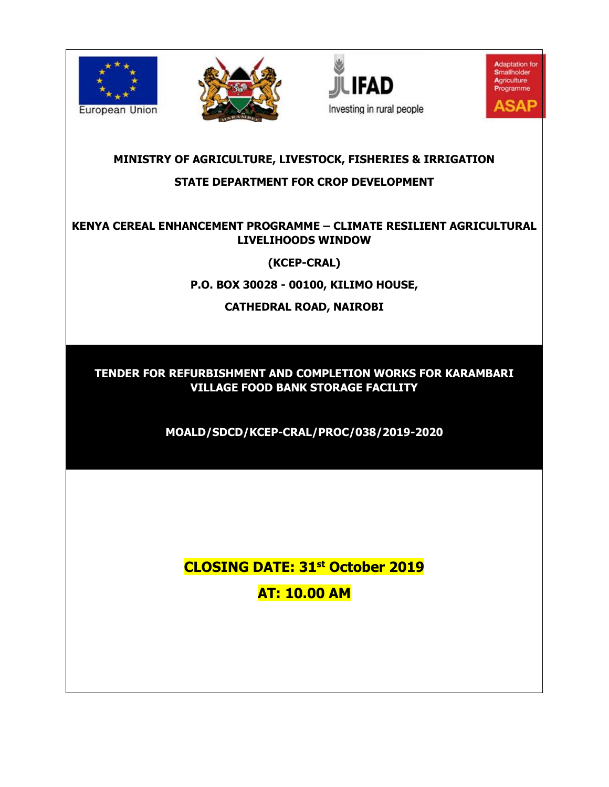







# **MINISTRY OF AGRICULTURE, LIVESTOCK, FISHERIES & IRRIGATION STATE DEPARTMENT FOR CROP DEVELOPMENT**

# **KENYA CEREAL ENHANCEMENT PROGRAMME – CLIMATE RESILIENT AGRICULTURAL LIVELIHOODS WINDOW**

**(KCEP-CRAL)**

**P.O. BOX 30028 - 00100, KILIMO HOUSE,**

**CATHEDRAL ROAD, NAIROBI**

**TENDER FOR REFURBISHMENT AND COMPLETION WORKS FOR KARAMBARI VILLAGE FOOD BANK STORAGE FACILITY**

**MOALD/SDCD/KCEP-CRAL/PROC/038/2019-2020**

**CLOSING DATE: 31st October 2019 AT: 10.00 AM**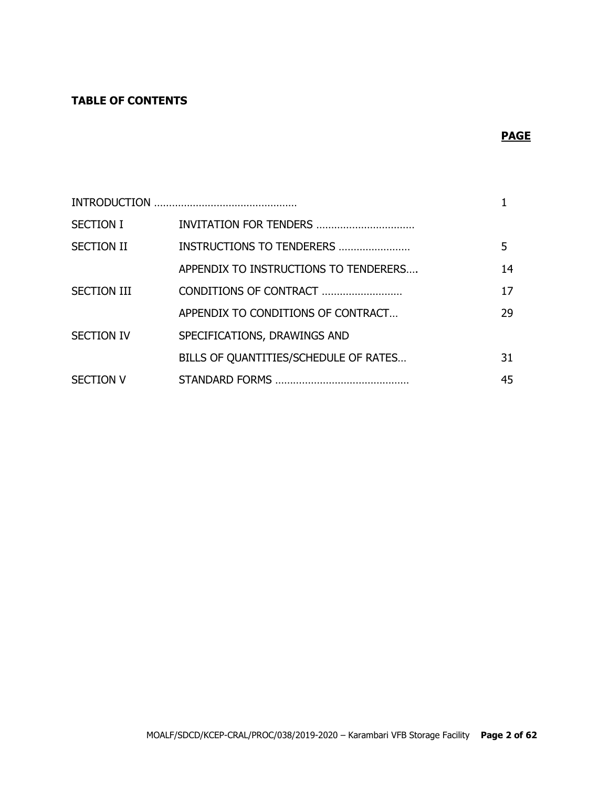# **TABLE OF CONTENTS**

# **PAGE**

| <b>SECTION I</b>   | INVITATION FOR TENDERS                |    |
|--------------------|---------------------------------------|----|
| <b>SECTION II</b>  | INSTRUCTIONS TO TENDERERS             | 5. |
|                    | APPENDIX TO INSTRUCTIONS TO TENDERERS | 14 |
| <b>SECTION III</b> | CONDITIONS OF CONTRACT                | 17 |
|                    | APPENDIX TO CONDITIONS OF CONTRACT    | 29 |
| <b>SECTION IV</b>  | SPECIFICATIONS, DRAWINGS AND          |    |
|                    | BILLS OF QUANTITIES/SCHEDULE OF RATES | 31 |
| <b>SECTION V</b>   |                                       | 45 |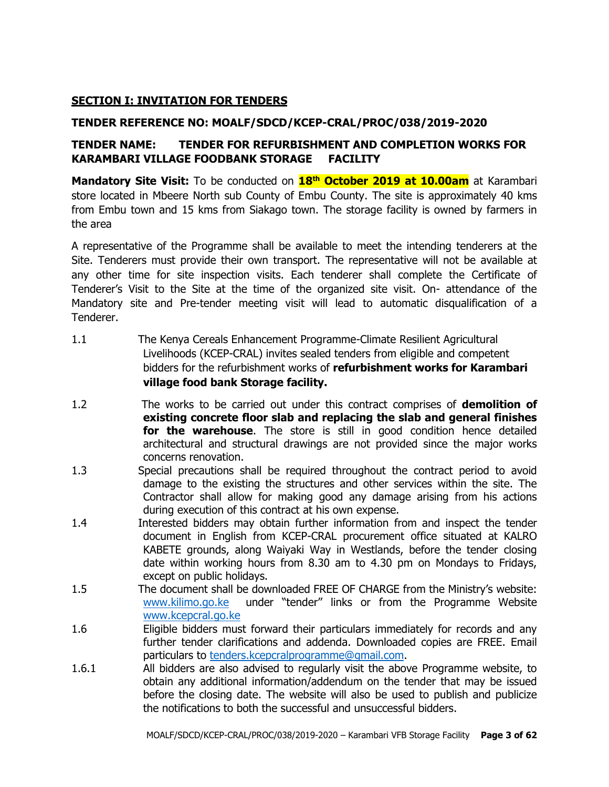## **SECTION I: INVITATION FOR TENDERS**

### **TENDER REFERENCE NO: MOALF/SDCD/KCEP-CRAL/PROC/038/2019-2020**

## **TENDER NAME: TENDER FOR REFURBISHMENT AND COMPLETION WORKS FOR KARAMBARI VILLAGE FOODBANK STORAGE FACILITY**

**Mandatory Site Visit:** To be conducted on **18th October 2019 at 10.00am** at Karambari store located in Mbeere North sub County of Embu County. The site is approximately 40 kms from Embu town and 15 kms from Siakago town. The storage facility is owned by farmers in the area

A representative of the Programme shall be available to meet the intending tenderers at the Site. Tenderers must provide their own transport. The representative will not be available at any other time for site inspection visits. Each tenderer shall complete the Certificate of Tenderer's Visit to the Site at the time of the organized site visit. On- attendance of the Mandatory site and Pre-tender meeting visit will lead to automatic disqualification of a Tenderer.

- 1.1 The Kenya Cereals Enhancement Programme-Climate Resilient Agricultural Livelihoods (KCEP-CRAL) invites sealed tenders from eligible and competent bidders for the refurbishment works of **refurbishment works for Karambari village food bank Storage facility.**
- 1.2 The works to be carried out under this contract comprises of **demolition of existing concrete floor slab and replacing the slab and general finishes for the warehouse**. The store is still in good condition hence detailed architectural and structural drawings are not provided since the major works concerns renovation.
- 1.3 Special precautions shall be required throughout the contract period to avoid damage to the existing the structures and other services within the site. The Contractor shall allow for making good any damage arising from his actions during execution of this contract at his own expense.
- 1.4 Interested bidders may obtain further information from and inspect the tender document in English from KCEP-CRAL procurement office situated at KALRO KABETE grounds, along Waiyaki Way in Westlands, before the tender closing date within working hours from 8.30 am to 4.30 pm on Mondays to Fridays, except on public holidays.
- 1.5 The document shall be downloaded FREE OF CHARGE from the Ministry's website: [www.kilimo.go.ke](http://www.kilimo.go.ke/) under "tender'' links or from the Programme Website [www.kcepcral.go.ke](http://www.kcepcral.go.ke/)
- 1.6 Eligible bidders must forward their particulars immediately for records and any further tender clarifications and addenda. Downloaded copies are FREE. Email particulars to [tenders.kcepcralprogramme@gmail.com.](mailto:tenders.kcepcralprogramme@gmail.com)
- 1.6.1 All bidders are also advised to regularly visit the above Programme website, to obtain any additional information/addendum on the tender that may be issued before the closing date. The website will also be used to publish and publicize the notifications to both the successful and unsuccessful bidders.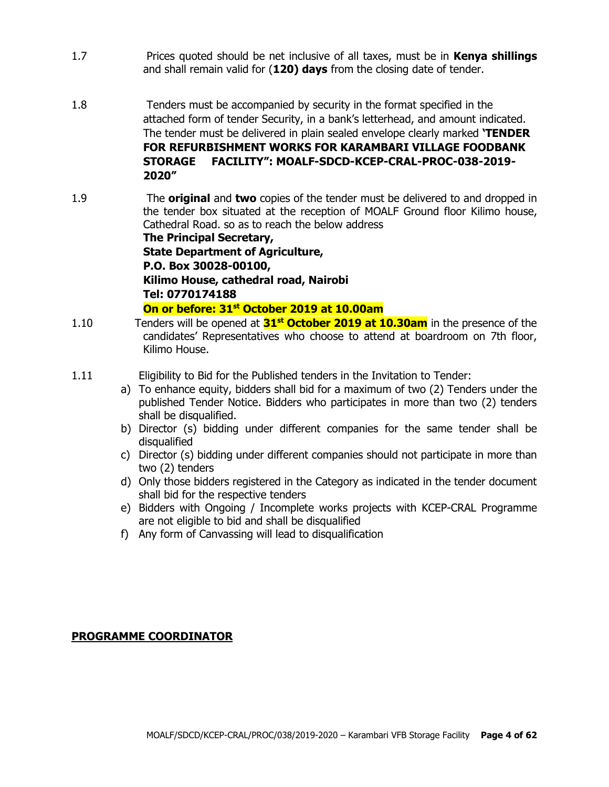- 1.7 Prices quoted should be net inclusive of all taxes, must be in **Kenya shillings** and shall remain valid for (**120) days** from the closing date of tender.
- 1.8 Tenders must be accompanied by security in the format specified in the attached form of tender Security, in a bank's letterhead, and amount indicated. The tender must be delivered in plain sealed envelope clearly marked **'TENDER FOR REFURBISHMENT WORKS FOR KARAMBARI VILLAGE FOODBANK STORAGE FACILITY": MOALF-SDCD-KCEP-CRAL-PROC-038-2019- 2020"**
- 1.9 The **original** and **two** copies of the tender must be delivered to and dropped in the tender box situated at the reception of MOALF Ground floor Kilimo house, Cathedral Road. so as to reach the below address **The Principal Secretary,**

**State Department of Agriculture, P.O. Box 30028-00100, Kilimo House, cathedral road, Nairobi Tel: 0770174188**

**On or before: 31st October 2019 at 10.00am**

- 1.10 Tenders will be opened at **31st October 2019 at 10.30am** in the presence of the candidates' Representatives who choose to attend at boardroom on 7th floor, Kilimo House.
- 1.11 Eligibility to Bid for the Published tenders in the Invitation to Tender:
	- a) To enhance equity, bidders shall bid for a maximum of two (2) Tenders under the published Tender Notice. Bidders who participates in more than two (2) tenders shall be disqualified.
	- b) Director (s) bidding under different companies for the same tender shall be disqualified
	- c) Director (s) bidding under different companies should not participate in more than two (2) tenders
	- d) Only those bidders registered in the Category as indicated in the tender document shall bid for the respective tenders
	- e) Bidders with Ongoing / Incomplete works projects with KCEP-CRAL Programme are not eligible to bid and shall be disqualified
	- f) Any form of Canvassing will lead to disqualification

#### **PROGRAMME COORDINATOR**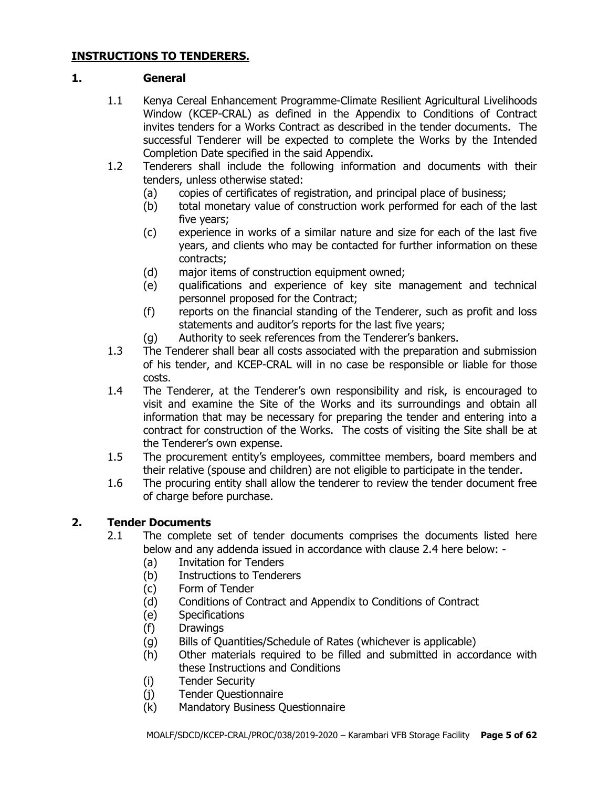#### **INSTRUCTIONS TO TENDERERS.**

#### **1. General**

- 1.1 Kenya Cereal Enhancement Programme-Climate Resilient Agricultural Livelihoods Window (KCEP-CRAL) as defined in the Appendix to Conditions of Contract invites tenders for a Works Contract as described in the tender documents. The successful Tenderer will be expected to complete the Works by the Intended Completion Date specified in the said Appendix.
- 1.2 Tenderers shall include the following information and documents with their tenders, unless otherwise stated:
	- (a) copies of certificates of registration, and principal place of business;
	- (b) total monetary value of construction work performed for each of the last five years;
	- (c) experience in works of a similar nature and size for each of the last five years, and clients who may be contacted for further information on these contracts;
	- (d) major items of construction equipment owned;
	- (e) qualifications and experience of key site management and technical personnel proposed for the Contract;
	- (f) reports on the financial standing of the Tenderer, such as profit and loss statements and auditor's reports for the last five years;
	- (g) Authority to seek references from the Tenderer's bankers.
- 1.3 The Tenderer shall bear all costs associated with the preparation and submission of his tender, and KCEP-CRAL will in no case be responsible or liable for those costs.
- 1.4 The Tenderer, at the Tenderer's own responsibility and risk, is encouraged to visit and examine the Site of the Works and its surroundings and obtain all information that may be necessary for preparing the tender and entering into a contract for construction of the Works. The costs of visiting the Site shall be at the Tenderer's own expense.
- 1.5 The procurement entity's employees, committee members, board members and their relative (spouse and children) are not eligible to participate in the tender.
- 1.6 The procuring entity shall allow the tenderer to review the tender document free of charge before purchase.

# **2. Tender Documents**

- 2.1 The complete set of tender documents comprises the documents listed here below and any addenda issued in accordance with clause 2.4 here below: -
	- (a) Invitation for Tenders
	- (b) Instructions to Tenderers
	- (c) Form of Tender
	- (d) Conditions of Contract and Appendix to Conditions of Contract
	- (e) Specifications
	- (f) Drawings
	- (g) Bills of Quantities/Schedule of Rates (whichever is applicable)
	- (h) Other materials required to be filled and submitted in accordance with these Instructions and Conditions
	- (i) Tender Security
	- (j) Tender Questionnaire
	- (k) Mandatory Business Questionnaire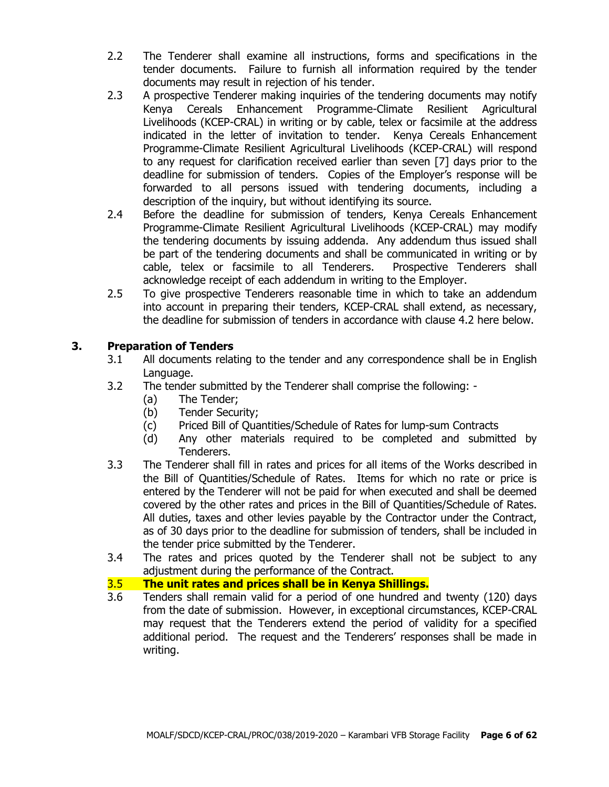- 2.2 The Tenderer shall examine all instructions, forms and specifications in the tender documents. Failure to furnish all information required by the tender documents may result in rejection of his tender.
- 2.3 A prospective Tenderer making inquiries of the tendering documents may notify Kenya Cereals Enhancement Programme-Climate Resilient Agricultural Livelihoods (KCEP-CRAL) in writing or by cable, telex or facsimile at the address indicated in the letter of invitation to tender. Kenya Cereals Enhancement Programme-Climate Resilient Agricultural Livelihoods (KCEP-CRAL) will respond to any request for clarification received earlier than seven [7] days prior to the deadline for submission of tenders. Copies of the Employer's response will be forwarded to all persons issued with tendering documents, including a description of the inquiry, but without identifying its source.
- 2.4 Before the deadline for submission of tenders, Kenya Cereals Enhancement Programme-Climate Resilient Agricultural Livelihoods (KCEP-CRAL) may modify the tendering documents by issuing addenda. Any addendum thus issued shall be part of the tendering documents and shall be communicated in writing or by cable, telex or facsimile to all Tenderers. Prospective Tenderers shall acknowledge receipt of each addendum in writing to the Employer.
- 2.5 To give prospective Tenderers reasonable time in which to take an addendum into account in preparing their tenders, KCEP-CRAL shall extend, as necessary, the deadline for submission of tenders in accordance with clause 4.2 here below.

# **3. Preparation of Tenders**

- 3.1 All documents relating to the tender and any correspondence shall be in English Language.
- 3.2 The tender submitted by the Tenderer shall comprise the following:
	- (a) The Tender;
	- (b) Tender Security;
	- (c) Priced Bill of Quantities/Schedule of Rates for lump-sum Contracts
	- (d) Any other materials required to be completed and submitted by Tenderers.
- 3.3 The Tenderer shall fill in rates and prices for all items of the Works described in the Bill of Quantities/Schedule of Rates. Items for which no rate or price is entered by the Tenderer will not be paid for when executed and shall be deemed covered by the other rates and prices in the Bill of Quantities/Schedule of Rates. All duties, taxes and other levies payable by the Contractor under the Contract, as of 30 days prior to the deadline for submission of tenders, shall be included in the tender price submitted by the Tenderer.
- 3.4 The rates and prices quoted by the Tenderer shall not be subject to any adjustment during the performance of the Contract.

## 3.5 **The unit rates and prices shall be in Kenya Shillings.**

3.6 Tenders shall remain valid for a period of one hundred and twenty (120) days from the date of submission. However, in exceptional circumstances, KCEP-CRAL may request that the Tenderers extend the period of validity for a specified additional period. The request and the Tenderers' responses shall be made in writing.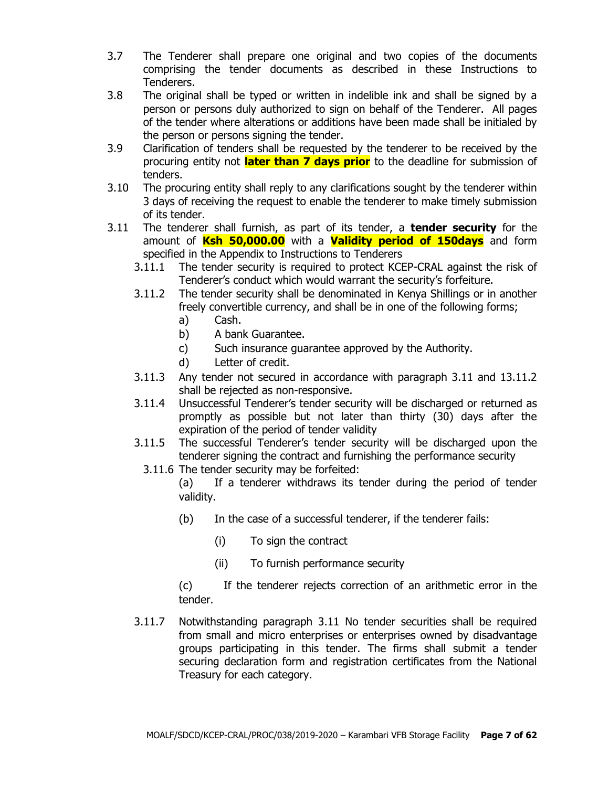- 3.7 The Tenderer shall prepare one original and two copies of the documents comprising the tender documents as described in these Instructions to Tenderers.
- 3.8 The original shall be typed or written in indelible ink and shall be signed by a person or persons duly authorized to sign on behalf of the Tenderer. All pages of the tender where alterations or additions have been made shall be initialed by the person or persons signing the tender.
- 3.9 Clarification of tenders shall be requested by the tenderer to be received by the procuring entity not **later than 7 days prior** to the deadline for submission of tenders.
- 3.10 The procuring entity shall reply to any clarifications sought by the tenderer within 3 days of receiving the request to enable the tenderer to make timely submission of its tender.
- 3.11 The tenderer shall furnish, as part of its tender, a **tender security** for the amount of **Ksh 50,000.00** with a **Validity period of 150days** and form specified in the Appendix to Instructions to Tenderers
	- 3.11.1 The tender security is required to protect KCEP-CRAL against the risk of Tenderer's conduct which would warrant the security's forfeiture.
	- 3.11.2 The tender security shall be denominated in Kenya Shillings or in another freely convertible currency, and shall be in one of the following forms;
		- a) Cash.
		- b) A bank Guarantee.
		- c) Such insurance guarantee approved by the Authority.
		- d) Letter of credit.
	- 3.11.3 Any tender not secured in accordance with paragraph 3.11 and 13.11.2 shall be rejected as non-responsive.
	- 3.11.4 Unsuccessful Tenderer's tender security will be discharged or returned as promptly as possible but not later than thirty (30) days after the expiration of the period of tender validity
	- 3.11.5 The successful Tenderer's tender security will be discharged upon the tenderer signing the contract and furnishing the performance security
		- 3.11.6 The tender security may be forfeited:

(a) If a tenderer withdraws its tender during the period of tender validity.

- (b) In the case of a successful tenderer, if the tenderer fails:
	- (i) To sign the contract
	- (ii) To furnish performance security

(c) If the tenderer rejects correction of an arithmetic error in the tender.

3.11.7 Notwithstanding paragraph 3.11 No tender securities shall be required from small and micro enterprises or enterprises owned by disadvantage groups participating in this tender. The firms shall submit a tender securing declaration form and registration certificates from the National Treasury for each category.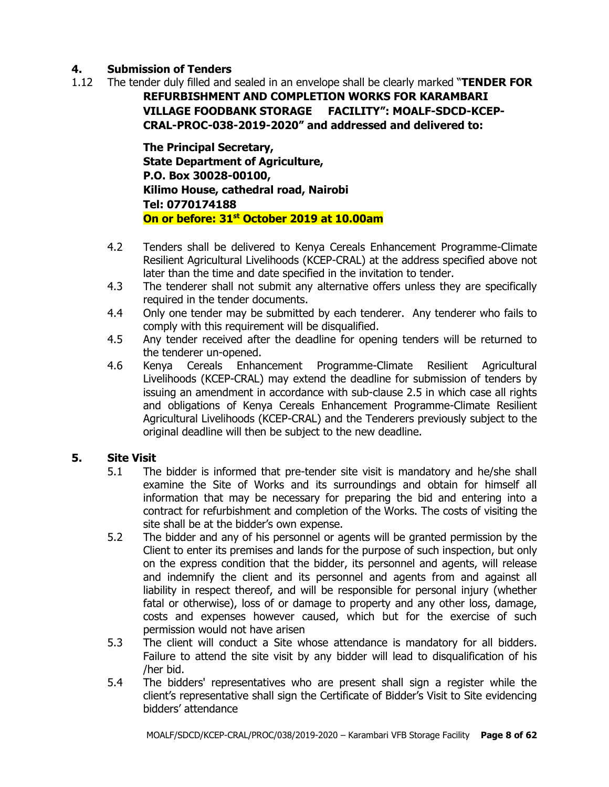## **4. Submission of Tenders**

1.12 The tender duly filled and sealed in an envelope shall be clearly marked "**TENDER FOR** 

**REFURBISHMENT AND COMPLETION WORKS FOR KARAMBARI VILLAGE FOODBANK STORAGE FACILITY": MOALF-SDCD-KCEP-CRAL-PROC-038-2019-2020" and addressed and delivered to:**

**The Principal Secretary, State Department of Agriculture, P.O. Box 30028-00100, Kilimo House, cathedral road, Nairobi Tel: 0770174188 On or before: 31st October 2019 at 10.00am**

- 4.2 Tenders shall be delivered to Kenya Cereals Enhancement Programme-Climate Resilient Agricultural Livelihoods (KCEP-CRAL) at the address specified above not later than the time and date specified in the invitation to tender.
- 4.3 The tenderer shall not submit any alternative offers unless they are specifically required in the tender documents.
- 4.4 Only one tender may be submitted by each tenderer. Any tenderer who fails to comply with this requirement will be disqualified.
- 4.5 Any tender received after the deadline for opening tenders will be returned to the tenderer un-opened.
- 4.6 Kenya Cereals Enhancement Programme-Climate Resilient Agricultural Livelihoods (KCEP-CRAL) may extend the deadline for submission of tenders by issuing an amendment in accordance with sub-clause 2.5 in which case all rights and obligations of Kenya Cereals Enhancement Programme-Climate Resilient Agricultural Livelihoods (KCEP-CRAL) and the Tenderers previously subject to the original deadline will then be subject to the new deadline.

# **5. Site Visit**

- 5.1 The bidder is informed that pre-tender site visit is mandatory and he/she shall examine the Site of Works and its surroundings and obtain for himself all information that may be necessary for preparing the bid and entering into a contract for refurbishment and completion of the Works. The costs of visiting the site shall be at the bidder's own expense.
- 5.2 The bidder and any of his personnel or agents will be granted permission by the Client to enter its premises and lands for the purpose of such inspection, but only on the express condition that the bidder, its personnel and agents, will release and indemnify the client and its personnel and agents from and against all liability in respect thereof, and will be responsible for personal injury (whether fatal or otherwise), loss of or damage to property and any other loss, damage, costs and expenses however caused, which but for the exercise of such permission would not have arisen
- 5.3 The client will conduct a Site whose attendance is mandatory for all bidders. Failure to attend the site visit by any bidder will lead to disqualification of his /her bid.
- 5.4 The bidders' representatives who are present shall sign a register while the client's representative shall sign the Certificate of Bidder's Visit to Site evidencing bidders' attendance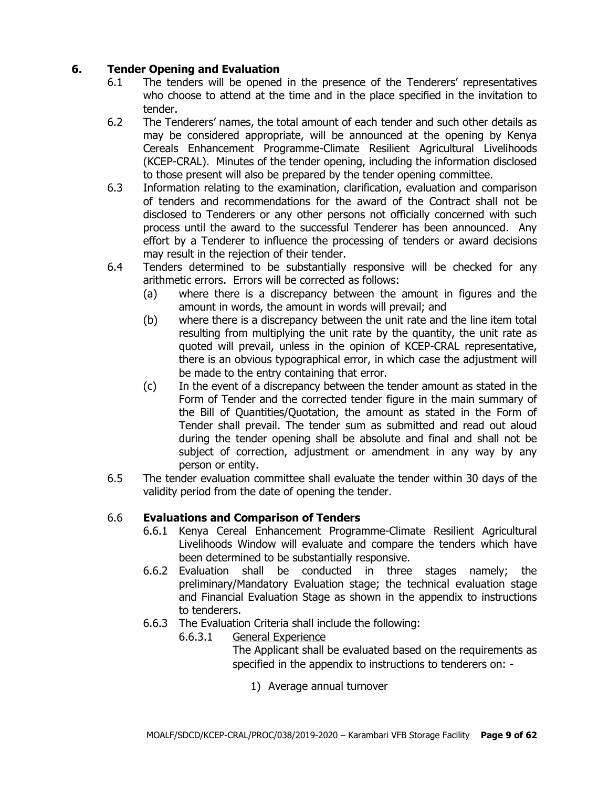# **6. Tender Opening and Evaluation**

- 6.1 The tenders will be opened in the presence of the Tenderers' representatives who choose to attend at the time and in the place specified in the invitation to tender.
- 6.2 The Tenderers' names, the total amount of each tender and such other details as may be considered appropriate, will be announced at the opening by Kenya Cereals Enhancement Programme-Climate Resilient Agricultural Livelihoods (KCEP-CRAL). Minutes of the tender opening, including the information disclosed to those present will also be prepared by the tender opening committee.
- 6.3 Information relating to the examination, clarification, evaluation and comparison of tenders and recommendations for the award of the Contract shall not be disclosed to Tenderers or any other persons not officially concerned with such process until the award to the successful Tenderer has been announced. Any effort by a Tenderer to influence the processing of tenders or award decisions may result in the rejection of their tender.
- 6.4 Tenders determined to be substantially responsive will be checked for any arithmetic errors. Errors will be corrected as follows:
	- (a) where there is a discrepancy between the amount in figures and the amount in words, the amount in words will prevail; and
	- (b) where there is a discrepancy between the unit rate and the line item total resulting from multiplying the unit rate by the quantity, the unit rate as quoted will prevail, unless in the opinion of KCEP-CRAL representative, there is an obvious typographical error, in which case the adjustment will be made to the entry containing that error.
	- (c) In the event of a discrepancy between the tender amount as stated in the Form of Tender and the corrected tender figure in the main summary of the Bill of Quantities/Quotation, the amount as stated in the Form of Tender shall prevail. The tender sum as submitted and read out aloud during the tender opening shall be absolute and final and shall not be subject of correction, adjustment or amendment in any way by any person or entity.
- 6.5 The tender evaluation committee shall evaluate the tender within 30 days of the validity period from the date of opening the tender.

## 6.6 **Evaluations and Comparison of Tenders**

- 6.6.1 Kenya Cereal Enhancement Programme-Climate Resilient Agricultural Livelihoods Window will evaluate and compare the tenders which have been determined to be substantially responsive.
- 6.6.2 Evaluation shall be conducted in three stages namely; the preliminary/Mandatory Evaluation stage; the technical evaluation stage and Financial Evaluation Stage as shown in the appendix to instructions to tenderers.
- 6.6.3 The Evaluation Criteria shall include the following:
	- 6.6.3.1 General Experience

The Applicant shall be evaluated based on the requirements as specified in the appendix to instructions to tenderers on: -

1) Average annual turnover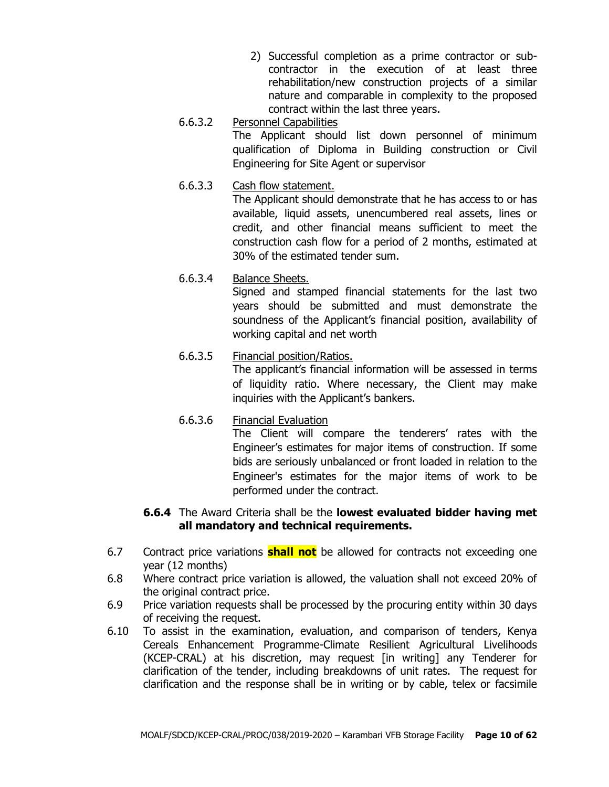- 2) Successful completion as a prime contractor or subcontractor in the execution of at least three rehabilitation/new construction projects of a similar nature and comparable in complexity to the proposed contract within the last three years.
- 6.6.3.2 Personnel Capabilities The Applicant should list down personnel of minimum qualification of Diploma in Building construction or Civil Engineering for Site Agent or supervisor
- 6.6.3.3 Cash flow statement.

The Applicant should demonstrate that he has access to or has available, liquid assets, unencumbered real assets, lines or credit, and other financial means sufficient to meet the construction cash flow for a period of 2 months, estimated at 30% of the estimated tender sum.

6.6.3.4 Balance Sheets.

Signed and stamped financial statements for the last two years should be submitted and must demonstrate the soundness of the Applicant's financial position, availability of working capital and net worth

# 6.6.3.5 Financial position/Ratios.

The applicant's financial information will be assessed in terms of liquidity ratio. Where necessary, the Client may make inquiries with the Applicant's bankers.

6.6.3.6 Financial Evaluation The Client will compare the tenderers' rates with the Engineer's estimates for major items of construction. If some bids are seriously unbalanced or front loaded in relation to the Engineer's estimates for the major items of work to be performed under the contract.

#### **6.6.4** The Award Criteria shall be the **lowest evaluated bidder having met all mandatory and technical requirements.**

- 6.7 Contract price variations **shall not** be allowed for contracts not exceeding one year (12 months)
- 6.8 Where contract price variation is allowed, the valuation shall not exceed 20% of the original contract price.
- 6.9 Price variation requests shall be processed by the procuring entity within 30 days of receiving the request.
- 6.10 To assist in the examination, evaluation, and comparison of tenders, Kenya Cereals Enhancement Programme-Climate Resilient Agricultural Livelihoods (KCEP-CRAL) at his discretion, may request [in writing] any Tenderer for clarification of the tender, including breakdowns of unit rates. The request for clarification and the response shall be in writing or by cable, telex or facsimile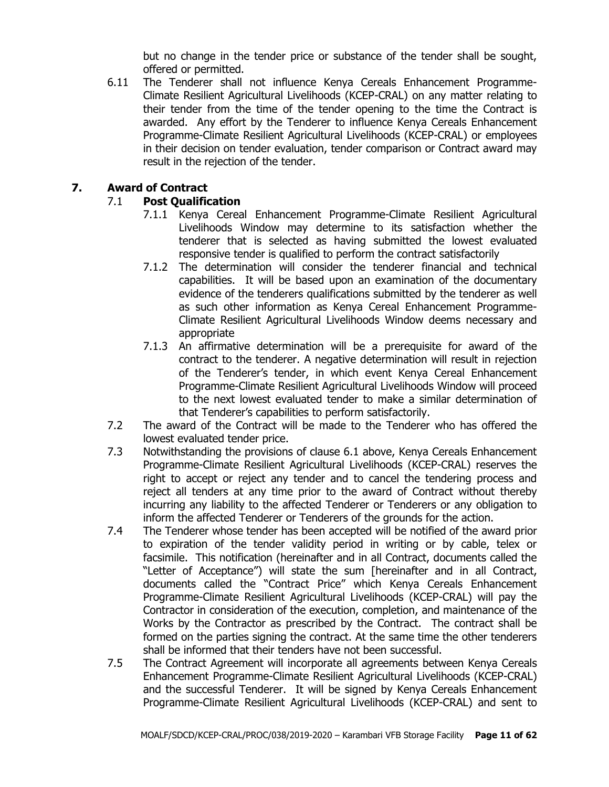but no change in the tender price or substance of the tender shall be sought, offered or permitted.

6.11 The Tenderer shall not influence Kenya Cereals Enhancement Programme-Climate Resilient Agricultural Livelihoods (KCEP-CRAL) on any matter relating to their tender from the time of the tender opening to the time the Contract is awarded. Any effort by the Tenderer to influence Kenya Cereals Enhancement Programme-Climate Resilient Agricultural Livelihoods (KCEP-CRAL) or employees in their decision on tender evaluation, tender comparison or Contract award may result in the rejection of the tender.

## **7. Award of Contract**

## 7.1 **Post Qualification**

- 7.1.1 Kenya Cereal Enhancement Programme-Climate Resilient Agricultural Livelihoods Window may determine to its satisfaction whether the tenderer that is selected as having submitted the lowest evaluated responsive tender is qualified to perform the contract satisfactorily
- 7.1.2 The determination will consider the tenderer financial and technical capabilities. It will be based upon an examination of the documentary evidence of the tenderers qualifications submitted by the tenderer as well as such other information as Kenya Cereal Enhancement Programme-Climate Resilient Agricultural Livelihoods Window deems necessary and appropriate
- 7.1.3 An affirmative determination will be a prerequisite for award of the contract to the tenderer. A negative determination will result in rejection of the Tenderer's tender, in which event Kenya Cereal Enhancement Programme-Climate Resilient Agricultural Livelihoods Window will proceed to the next lowest evaluated tender to make a similar determination of that Tenderer's capabilities to perform satisfactorily.
- 7.2 The award of the Contract will be made to the Tenderer who has offered the lowest evaluated tender price.
- 7.3 Notwithstanding the provisions of clause 6.1 above, Kenya Cereals Enhancement Programme-Climate Resilient Agricultural Livelihoods (KCEP-CRAL) reserves the right to accept or reject any tender and to cancel the tendering process and reject all tenders at any time prior to the award of Contract without thereby incurring any liability to the affected Tenderer or Tenderers or any obligation to inform the affected Tenderer or Tenderers of the grounds for the action.
- 7.4 The Tenderer whose tender has been accepted will be notified of the award prior to expiration of the tender validity period in writing or by cable, telex or facsimile. This notification (hereinafter and in all Contract, documents called the "Letter of Acceptance") will state the sum [hereinafter and in all Contract, documents called the "Contract Price" which Kenya Cereals Enhancement Programme-Climate Resilient Agricultural Livelihoods (KCEP-CRAL) will pay the Contractor in consideration of the execution, completion, and maintenance of the Works by the Contractor as prescribed by the Contract. The contract shall be formed on the parties signing the contract. At the same time the other tenderers shall be informed that their tenders have not been successful.
- 7.5 The Contract Agreement will incorporate all agreements between Kenya Cereals Enhancement Programme-Climate Resilient Agricultural Livelihoods (KCEP-CRAL) and the successful Tenderer. It will be signed by Kenya Cereals Enhancement Programme-Climate Resilient Agricultural Livelihoods (KCEP-CRAL) and sent to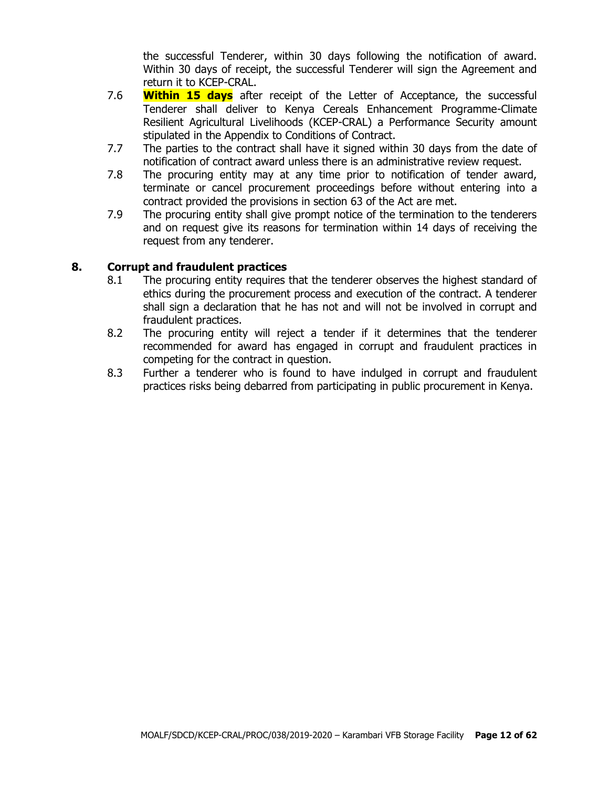the successful Tenderer, within 30 days following the notification of award. Within 30 days of receipt, the successful Tenderer will sign the Agreement and return it to KCEP-CRAL.

- 7.6 **Within 15 days** after receipt of the Letter of Acceptance, the successful Tenderer shall deliver to Kenya Cereals Enhancement Programme-Climate Resilient Agricultural Livelihoods (KCEP-CRAL) a Performance Security amount stipulated in the Appendix to Conditions of Contract.
- 7.7 The parties to the contract shall have it signed within 30 days from the date of notification of contract award unless there is an administrative review request.
- 7.8 The procuring entity may at any time prior to notification of tender award, terminate or cancel procurement proceedings before without entering into a contract provided the provisions in section 63 of the Act are met.
- 7.9 The procuring entity shall give prompt notice of the termination to the tenderers and on request give its reasons for termination within 14 days of receiving the request from any tenderer.

#### **8. Corrupt and fraudulent practices**

- 8.1 The procuring entity requires that the tenderer observes the highest standard of ethics during the procurement process and execution of the contract. A tenderer shall sign a declaration that he has not and will not be involved in corrupt and fraudulent practices.
- 8.2 The procuring entity will reject a tender if it determines that the tenderer recommended for award has engaged in corrupt and fraudulent practices in competing for the contract in question.
- 8.3 Further a tenderer who is found to have indulged in corrupt and fraudulent practices risks being debarred from participating in public procurement in Kenya.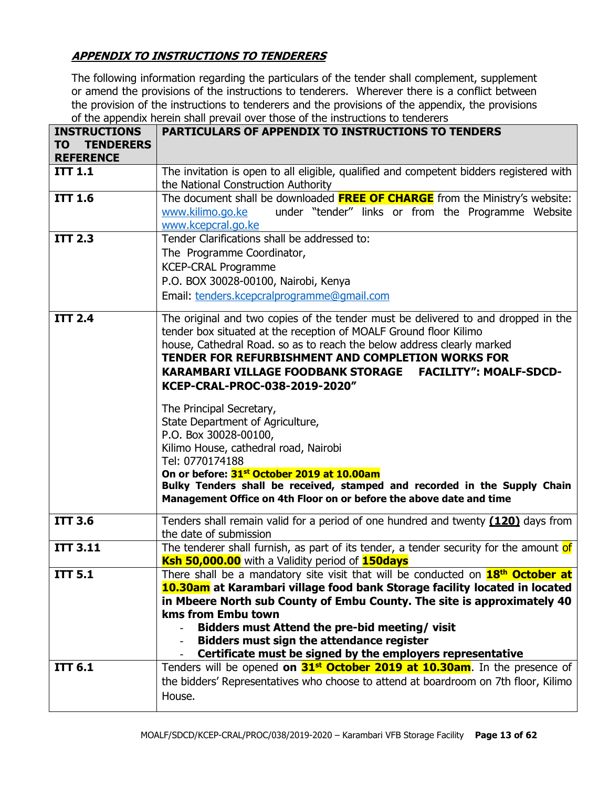# **APPENDIX TO INSTRUCTIONS TO TENDERERS**

The following information regarding the particulars of the tender shall complement, supplement or amend the provisions of the instructions to tenderers. Wherever there is a conflict between the provision of the instructions to tenderers and the provisions of the appendix, the provisions of the appendix herein shall prevail over those of the instructions to tenderers

| <b>INSTRUCTIONS</b><br>TO<br><b>TENDERERS</b><br><b>REFERENCE</b> | <b>PARTICULARS OF APPENDIX TO INSTRUCTIONS TO TENDERS</b>                                                                                                                                                                                                                                                                                                                                                                                                                                                                                                                                                                                                                                                                                                               |
|-------------------------------------------------------------------|-------------------------------------------------------------------------------------------------------------------------------------------------------------------------------------------------------------------------------------------------------------------------------------------------------------------------------------------------------------------------------------------------------------------------------------------------------------------------------------------------------------------------------------------------------------------------------------------------------------------------------------------------------------------------------------------------------------------------------------------------------------------------|
| <b>ITT 1.1</b>                                                    | The invitation is open to all eligible, qualified and competent bidders registered with<br>the National Construction Authority                                                                                                                                                                                                                                                                                                                                                                                                                                                                                                                                                                                                                                          |
| <b>ITT 1.6</b>                                                    | The document shall be downloaded <b>FREE OF CHARGE</b> from the Ministry's website:<br>under "tender" links or from the Programme Website<br>www.kilimo.go.ke<br>www.kcepcral.go.ke                                                                                                                                                                                                                                                                                                                                                                                                                                                                                                                                                                                     |
| <b>ITT 2.3</b>                                                    | Tender Clarifications shall be addressed to:<br>The Programme Coordinator,<br><b>KCEP-CRAL Programme</b><br>P.O. BOX 30028-00100, Nairobi, Kenya<br>Email: tenders.kcepcralprogramme@gmail.com                                                                                                                                                                                                                                                                                                                                                                                                                                                                                                                                                                          |
| <b>ITT 2.4</b>                                                    | The original and two copies of the tender must be delivered to and dropped in the<br>tender box situated at the reception of MOALF Ground floor Kilimo<br>house, Cathedral Road. so as to reach the below address clearly marked<br>TENDER FOR REFURBISHMENT AND COMPLETION WORKS FOR<br><b>FACILITY": MOALF-SDCD-</b><br><b>KARAMBARI VILLAGE FOODBANK STORAGE</b><br>KCEP-CRAL-PROC-038-2019-2020"<br>The Principal Secretary,<br>State Department of Agriculture,<br>P.O. Box 30028-00100,<br>Kilimo House, cathedral road, Nairobi<br>Tel: 0770174188<br>On or before: 31 <sup>st</sup> October 2019 at 10.00am<br>Bulky Tenders shall be received, stamped and recorded in the Supply Chain<br>Management Office on 4th Floor on or before the above date and time |
| <b>ITT 3.6</b>                                                    | Tenders shall remain valid for a period of one hundred and twenty (120) days from<br>the date of submission                                                                                                                                                                                                                                                                                                                                                                                                                                                                                                                                                                                                                                                             |
| <b>ITT 3.11</b>                                                   | The tenderer shall furnish, as part of its tender, a tender security for the amount of<br>Ksh 50,000.00 with a Validity period of 150days                                                                                                                                                                                                                                                                                                                                                                                                                                                                                                                                                                                                                               |
| <b>ITT 5.1</b>                                                    | There shall be a mandatory site visit that will be conducted on 18 <sup>th</sup> October at<br>10.30am at Karambari village food bank Storage facility located in located<br>in Mbeere North sub County of Embu County. The site is approximately 40<br>kms from Embu town<br>Bidders must Attend the pre-bid meeting/visit<br><b>Bidders must sign the attendance register</b><br>Certificate must be signed by the employers representative                                                                                                                                                                                                                                                                                                                           |
| <b>ITT 6.1</b>                                                    | Tenders will be opened on 31 <sup>st</sup> October 2019 at 10.30am. In the presence of<br>the bidders' Representatives who choose to attend at boardroom on 7th floor, Kilimo<br>House.                                                                                                                                                                                                                                                                                                                                                                                                                                                                                                                                                                                 |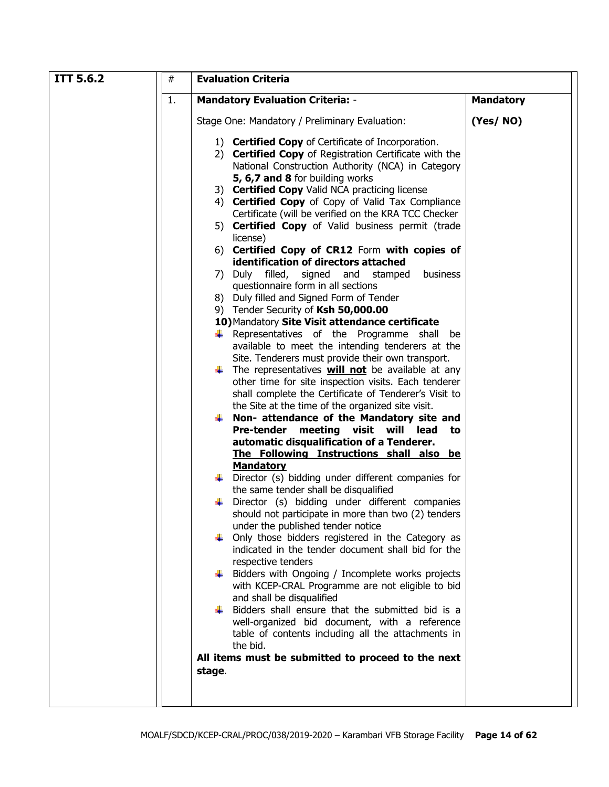| <b>ITT 5.6.2</b><br>$\#$ | <b>Evaluation Criteria</b>                                                                                                                                                                                                                                                                                                                                                                                                                                                                                                                                                                                                                                                                                                                                                                                                                                                                                                                                                                                                                                                                                                                                                                                                                                                                                                                                                                                                                                                                                                                                                                                                                                                                                                                                                                                                                                                                                                           |                  |  |  |  |
|--------------------------|--------------------------------------------------------------------------------------------------------------------------------------------------------------------------------------------------------------------------------------------------------------------------------------------------------------------------------------------------------------------------------------------------------------------------------------------------------------------------------------------------------------------------------------------------------------------------------------------------------------------------------------------------------------------------------------------------------------------------------------------------------------------------------------------------------------------------------------------------------------------------------------------------------------------------------------------------------------------------------------------------------------------------------------------------------------------------------------------------------------------------------------------------------------------------------------------------------------------------------------------------------------------------------------------------------------------------------------------------------------------------------------------------------------------------------------------------------------------------------------------------------------------------------------------------------------------------------------------------------------------------------------------------------------------------------------------------------------------------------------------------------------------------------------------------------------------------------------------------------------------------------------------------------------------------------------|------------------|--|--|--|
| 1.                       | <b>Mandatory Evaluation Criteria: -</b>                                                                                                                                                                                                                                                                                                                                                                                                                                                                                                                                                                                                                                                                                                                                                                                                                                                                                                                                                                                                                                                                                                                                                                                                                                                                                                                                                                                                                                                                                                                                                                                                                                                                                                                                                                                                                                                                                              | <b>Mandatory</b> |  |  |  |
|                          | Stage One: Mandatory / Preliminary Evaluation:                                                                                                                                                                                                                                                                                                                                                                                                                                                                                                                                                                                                                                                                                                                                                                                                                                                                                                                                                                                                                                                                                                                                                                                                                                                                                                                                                                                                                                                                                                                                                                                                                                                                                                                                                                                                                                                                                       | (Yes/NO)         |  |  |  |
|                          | 1) <b>Certified Copy</b> of Certificate of Incorporation.<br>2) Certified Copy of Registration Certificate with the<br>National Construction Authority (NCA) in Category<br>5, 6,7 and 8 for building works<br>3) Certified Copy Valid NCA practicing license<br>4) Certified Copy of Copy of Valid Tax Compliance<br>Certificate (will be verified on the KRA TCC Checker<br>5) Certified Copy of Valid business permit (trade<br>license)<br>6) Certified Copy of CR12 Form with copies of<br>identification of directors attached<br>business<br>7) Duly filled,<br>signed and<br>stamped<br>questionnaire form in all sections<br>8) Duly filled and Signed Form of Tender<br>9) Tender Security of Ksh 50,000.00<br>10) Mandatory Site Visit attendance certificate<br>$\downarrow$ Representatives of the Programme shall<br>be<br>available to meet the intending tenderers at the<br>Site. Tenderers must provide their own transport.<br>$\downarrow$ The representatives <b>will not</b> be available at any<br>other time for site inspection visits. Each tenderer<br>shall complete the Certificate of Tenderer's Visit to<br>the Site at the time of the organized site visit.<br>$\downarrow$ Non- attendance of the Mandatory site and<br>Pre-tender meeting visit will<br>lead<br>to<br>automatic disqualification of a Tenderer.<br>The Following Instructions shall also be<br><b>Mandatory</b><br>Director (s) bidding under different companies for<br>the same tender shall be disqualified<br>Director (s) bidding under different companies<br>should not participate in more than two (2) tenders<br>under the published tender notice<br>Only those bidders registered in the Category as<br>indicated in the tender document shall bid for the<br>respective tenders<br>Bidders with Ongoing / Incomplete works projects<br>with KCEP-CRAL Programme are not eligible to bid<br>and shall be disqualified |                  |  |  |  |
|                          | Bidders shall ensure that the submitted bid is a<br>well-organized bid document, with a reference<br>table of contents including all the attachments in                                                                                                                                                                                                                                                                                                                                                                                                                                                                                                                                                                                                                                                                                                                                                                                                                                                                                                                                                                                                                                                                                                                                                                                                                                                                                                                                                                                                                                                                                                                                                                                                                                                                                                                                                                              |                  |  |  |  |
|                          | the bid.<br>All items must be submitted to proceed to the next                                                                                                                                                                                                                                                                                                                                                                                                                                                                                                                                                                                                                                                                                                                                                                                                                                                                                                                                                                                                                                                                                                                                                                                                                                                                                                                                                                                                                                                                                                                                                                                                                                                                                                                                                                                                                                                                       |                  |  |  |  |
|                          | stage.                                                                                                                                                                                                                                                                                                                                                                                                                                                                                                                                                                                                                                                                                                                                                                                                                                                                                                                                                                                                                                                                                                                                                                                                                                                                                                                                                                                                                                                                                                                                                                                                                                                                                                                                                                                                                                                                                                                               |                  |  |  |  |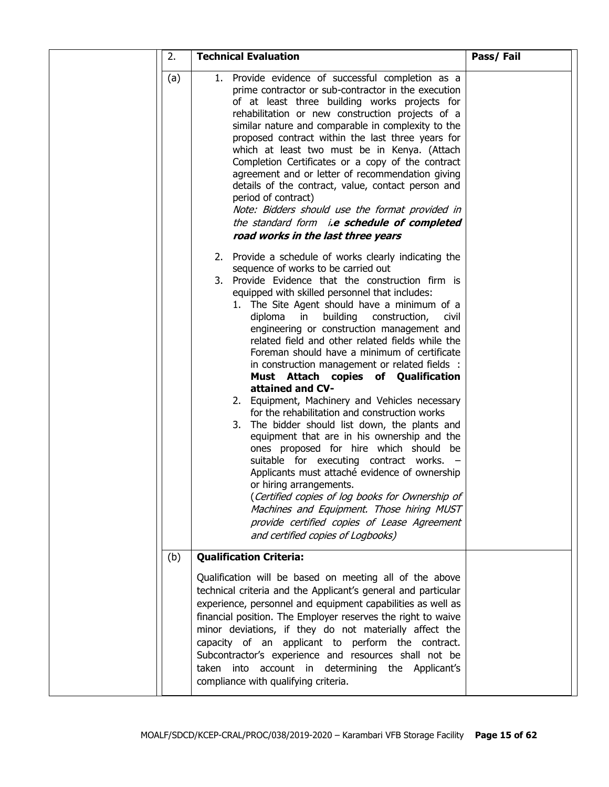|  | 2.  | <b>Technical Evaluation</b>                                                                                                                                                                                                                                                                                                                                                                                                                                                                                                                                                                                                                                                                                                                                                                                                                                                                                                                                                                                                                                                                                                                | Pass/Fail |
|--|-----|--------------------------------------------------------------------------------------------------------------------------------------------------------------------------------------------------------------------------------------------------------------------------------------------------------------------------------------------------------------------------------------------------------------------------------------------------------------------------------------------------------------------------------------------------------------------------------------------------------------------------------------------------------------------------------------------------------------------------------------------------------------------------------------------------------------------------------------------------------------------------------------------------------------------------------------------------------------------------------------------------------------------------------------------------------------------------------------------------------------------------------------------|-----------|
|  | (a) | 1. Provide evidence of successful completion as a<br>prime contractor or sub-contractor in the execution<br>of at least three building works projects for<br>rehabilitation or new construction projects of a<br>similar nature and comparable in complexity to the<br>proposed contract within the last three years for<br>which at least two must be in Kenya. (Attach<br>Completion Certificates or a copy of the contract<br>agreement and or letter of recommendation giving<br>details of the contract, value, contact person and<br>period of contract)<br>Note: Bidders should use the format provided in<br>the standard form i.e schedule of completed<br>road works in the last three years                                                                                                                                                                                                                                                                                                                                                                                                                                     |           |
|  |     | 2. Provide a schedule of works clearly indicating the<br>sequence of works to be carried out<br>3. Provide Evidence that the construction firm is<br>equipped with skilled personnel that includes:<br>1. The Site Agent should have a minimum of a<br>diploma<br>in<br>building<br>construction,<br><b>Civil</b><br>engineering or construction management and<br>related field and other related fields while the<br>Foreman should have a minimum of certificate<br>in construction management or related fields :<br>Must Attach copies of Qualification<br>attained and CV-<br>2. Equipment, Machinery and Vehicles necessary<br>for the rehabilitation and construction works<br>3. The bidder should list down, the plants and<br>equipment that are in his ownership and the<br>ones proposed for hire which should be<br>suitable for executing contract works. -<br>Applicants must attaché evidence of ownership<br>or hiring arrangements.<br>(Certified copies of log books for Ownership of<br>Machines and Equipment. Those hiring MUST<br>provide certified copies of Lease Agreement<br>and certified copies of Logbooks) |           |
|  | (b) | <b>Qualification Criteria:</b>                                                                                                                                                                                                                                                                                                                                                                                                                                                                                                                                                                                                                                                                                                                                                                                                                                                                                                                                                                                                                                                                                                             |           |
|  |     | Qualification will be based on meeting all of the above<br>technical criteria and the Applicant's general and particular<br>experience, personnel and equipment capabilities as well as<br>financial position. The Employer reserves the right to waive<br>minor deviations, if they do not materially affect the<br>capacity of an applicant to perform the contract.<br>Subcontractor's experience and resources shall not be<br>taken into account in determining the Applicant's<br>compliance with qualifying criteria.                                                                                                                                                                                                                                                                                                                                                                                                                                                                                                                                                                                                               |           |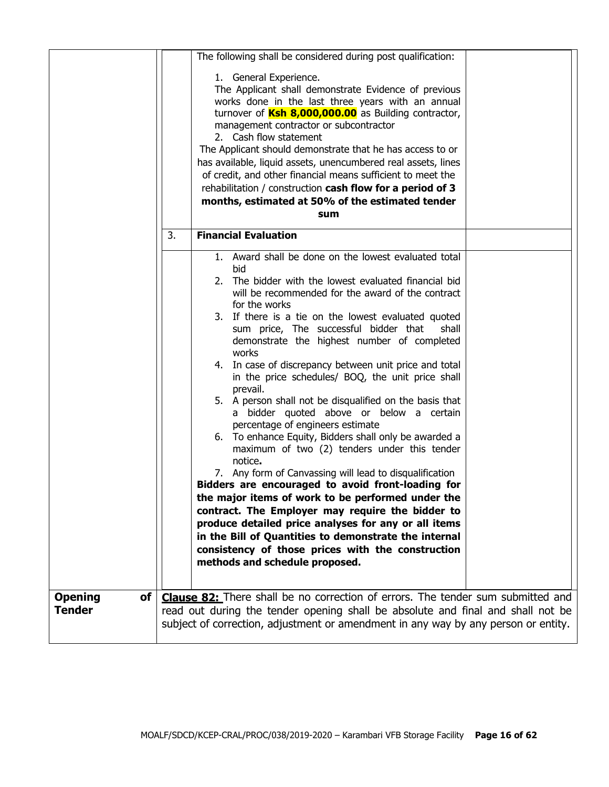|                                |    | The following shall be considered during post qualification:                                                                                                                                                                                                                                                                                                                                                                                                                                                                                                                                                                                                                                                                                                                                                                                                                                                                                                                                                                                                                                                                                                                           |  |
|--------------------------------|----|----------------------------------------------------------------------------------------------------------------------------------------------------------------------------------------------------------------------------------------------------------------------------------------------------------------------------------------------------------------------------------------------------------------------------------------------------------------------------------------------------------------------------------------------------------------------------------------------------------------------------------------------------------------------------------------------------------------------------------------------------------------------------------------------------------------------------------------------------------------------------------------------------------------------------------------------------------------------------------------------------------------------------------------------------------------------------------------------------------------------------------------------------------------------------------------|--|
|                                |    | 1. General Experience.<br>The Applicant shall demonstrate Evidence of previous<br>works done in the last three years with an annual<br>turnover of Ksh 8,000,000.00 as Building contractor,<br>management contractor or subcontractor<br>2. Cash flow statement<br>The Applicant should demonstrate that he has access to or<br>has available, liquid assets, unencumbered real assets, lines<br>of credit, and other financial means sufficient to meet the<br>rehabilitation / construction cash flow for a period of 3<br>months, estimated at 50% of the estimated tender<br>sum                                                                                                                                                                                                                                                                                                                                                                                                                                                                                                                                                                                                   |  |
|                                | 3. | <b>Financial Evaluation</b>                                                                                                                                                                                                                                                                                                                                                                                                                                                                                                                                                                                                                                                                                                                                                                                                                                                                                                                                                                                                                                                                                                                                                            |  |
|                                |    | 1. Award shall be done on the lowest evaluated total<br>bid<br>2. The bidder with the lowest evaluated financial bid<br>will be recommended for the award of the contract<br>for the works<br>3. If there is a tie on the lowest evaluated quoted<br>sum price, The successful bidder that<br>shall<br>demonstrate the highest number of completed<br>works<br>4. In case of discrepancy between unit price and total<br>in the price schedules/ BOQ, the unit price shall<br>prevail.<br>5. A person shall not be disqualified on the basis that<br>a bidder quoted above or below a certain<br>percentage of engineers estimate<br>6. To enhance Equity, Bidders shall only be awarded a<br>maximum of two (2) tenders under this tender<br>notice.<br>7. Any form of Canvassing will lead to disqualification<br>Bidders are encouraged to avoid front-loading for<br>the major items of work to be performed under the<br>contract. The Employer may require the bidder to<br>produce detailed price analyses for any or all items<br>in the Bill of Quantities to demonstrate the internal<br>consistency of those prices with the construction<br>methods and schedule proposed. |  |
| <b>Opening</b><br>of<br>Tender |    | <b>Clause 82:</b> There shall be no correction of errors. The tender sum submitted and<br>read out during the tender opening shall be absolute and final and shall not be<br>subject of correction, adjustment or amendment in any way by any person or entity.                                                                                                                                                                                                                                                                                                                                                                                                                                                                                                                                                                                                                                                                                                                                                                                                                                                                                                                        |  |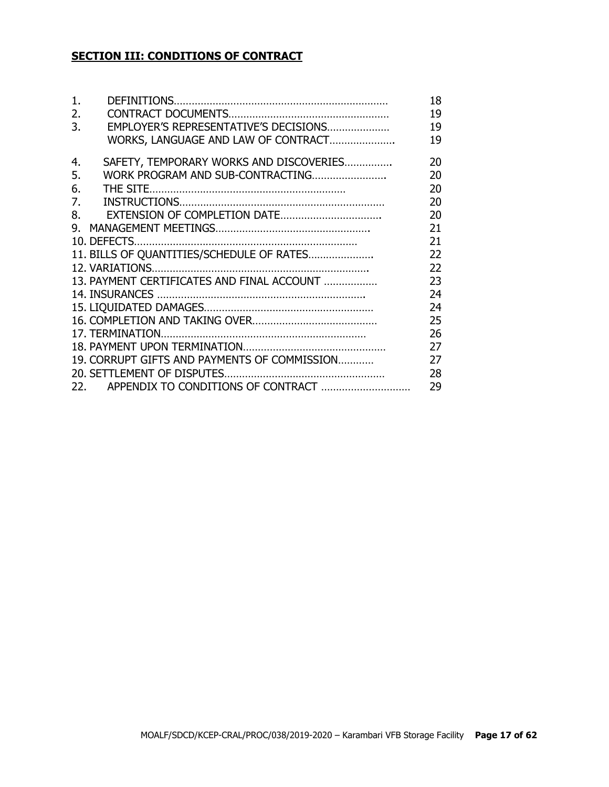# **SECTION III: CONDITIONS OF CONTRACT**

| 1. |                                              | 18 |
|----|----------------------------------------------|----|
| 2. |                                              | 19 |
| 3. | EMPLOYER'S REPRESENTATIVE'S DECISIONS        | 19 |
|    | WORKS, LANGUAGE AND LAW OF CONTRACT          | 19 |
| 4. | SAFETY, TEMPORARY WORKS AND DISCOVERIES      | 20 |
| 5. | WORK PROGRAM AND SUB-CONTRACTING             | 20 |
| 6. |                                              | 20 |
| 7. |                                              | 20 |
| 8. |                                              | 20 |
| 9. |                                              | 21 |
|    |                                              | 21 |
|    | 11. BILLS OF QUANTITIES/SCHEDULE OF RATES    | 22 |
|    |                                              | 22 |
|    | 13. PAYMENT CERTIFICATES AND FINAL ACCOUNT   | 23 |
|    |                                              | 24 |
|    |                                              | 24 |
|    |                                              | 25 |
|    |                                              | 26 |
|    |                                              | 27 |
|    | 19. CORRUPT GIFTS AND PAYMENTS OF COMMISSION | 27 |
|    |                                              | 28 |
|    |                                              | 29 |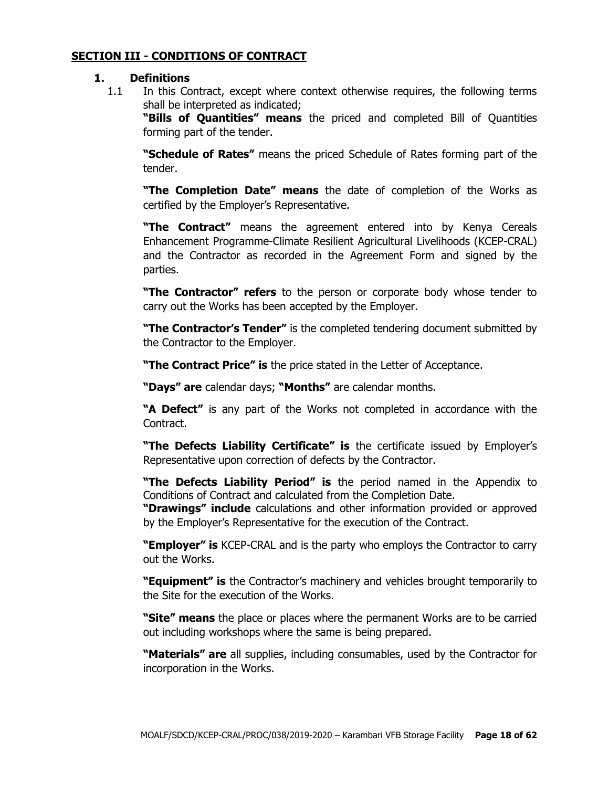#### **SECTION III - CONDITIONS OF CONTRACT**

#### **1. Definitions**

1.1 In this Contract, except where context otherwise requires, the following terms shall be interpreted as indicated;

**"Bills of Quantities" means** the priced and completed Bill of Quantities forming part of the tender.

**"Schedule of Rates"** means the priced Schedule of Rates forming part of the tender.

**"The Completion Date" means** the date of completion of the Works as certified by the Employer's Representative.

**"The Contract"** means the agreement entered into by Kenya Cereals Enhancement Programme-Climate Resilient Agricultural Livelihoods (KCEP-CRAL) and the Contractor as recorded in the Agreement Form and signed by the parties.

**"The Contractor" refers** to the person or corporate body whose tender to carry out the Works has been accepted by the Employer.

**"The Contractor's Tender"** is the completed tendering document submitted by the Contractor to the Employer.

**"The Contract Price" is** the price stated in the Letter of Acceptance.

**"Days" are** calendar days; **"Months"** are calendar months.

**"A Defect"** is any part of the Works not completed in accordance with the Contract.

**"The Defects Liability Certificate" is** the certificate issued by Employer's Representative upon correction of defects by the Contractor.

**"The Defects Liability Period" is** the period named in the Appendix to Conditions of Contract and calculated from the Completion Date.

**"Drawings" include** calculations and other information provided or approved by the Employer's Representative for the execution of the Contract.

**"Employer" is** KCEP-CRAL and is the party who employs the Contractor to carry out the Works.

**"Equipment" is** the Contractor's machinery and vehicles brought temporarily to the Site for the execution of the Works.

**"Site" means** the place or places where the permanent Works are to be carried out including workshops where the same is being prepared.

**"Materials" are** all supplies, including consumables, used by the Contractor for incorporation in the Works.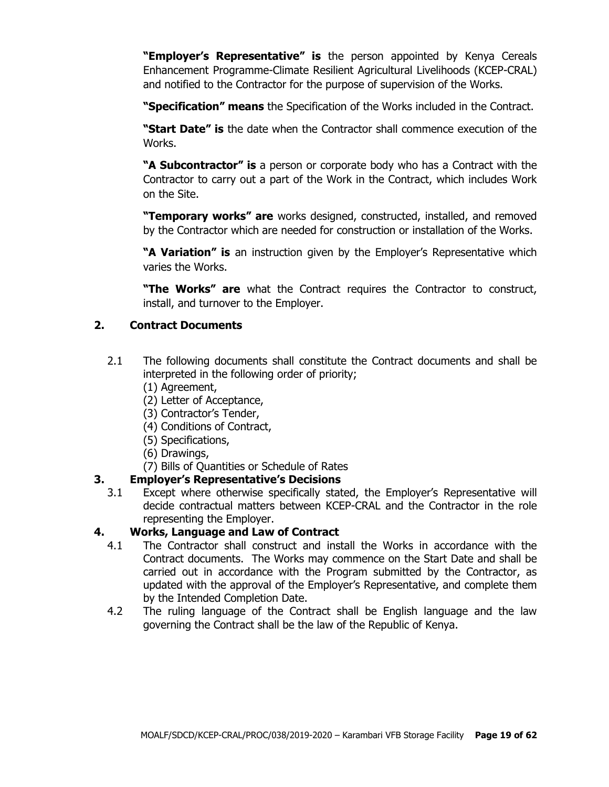**"Employer's Representative" is** the person appointed by Kenya Cereals Enhancement Programme-Climate Resilient Agricultural Livelihoods (KCEP-CRAL) and notified to the Contractor for the purpose of supervision of the Works.

**"Specification" means** the Specification of the Works included in the Contract.

**"Start Date" is** the date when the Contractor shall commence execution of the Works.

**"A Subcontractor" is** a person or corporate body who has a Contract with the Contractor to carry out a part of the Work in the Contract, which includes Work on the Site.

**"Temporary works" are** works designed, constructed, installed, and removed by the Contractor which are needed for construction or installation of the Works.

**"A Variation" is** an instruction given by the Employer's Representative which varies the Works.

**"The Works" are** what the Contract requires the Contractor to construct, install, and turnover to the Employer.

# **2. Contract Documents**

- 2.1 The following documents shall constitute the Contract documents and shall be interpreted in the following order of priority;
	- (1) Agreement,
	- (2) Letter of Acceptance,
	- (3) Contractor's Tender,
	- (4) Conditions of Contract,
	- (5) Specifications,
	- (6) Drawings,
	- (7) Bills of Quantities or Schedule of Rates

# **3. Employer's Representative's Decisions**

3.1 Except where otherwise specifically stated, the Employer's Representative will decide contractual matters between KCEP-CRAL and the Contractor in the role representing the Employer.

## **4. Works, Language and Law of Contract**

- 4.1 The Contractor shall construct and install the Works in accordance with the Contract documents. The Works may commence on the Start Date and shall be carried out in accordance with the Program submitted by the Contractor, as updated with the approval of the Employer's Representative, and complete them by the Intended Completion Date.
- 4.2 The ruling language of the Contract shall be English language and the law governing the Contract shall be the law of the Republic of Kenya.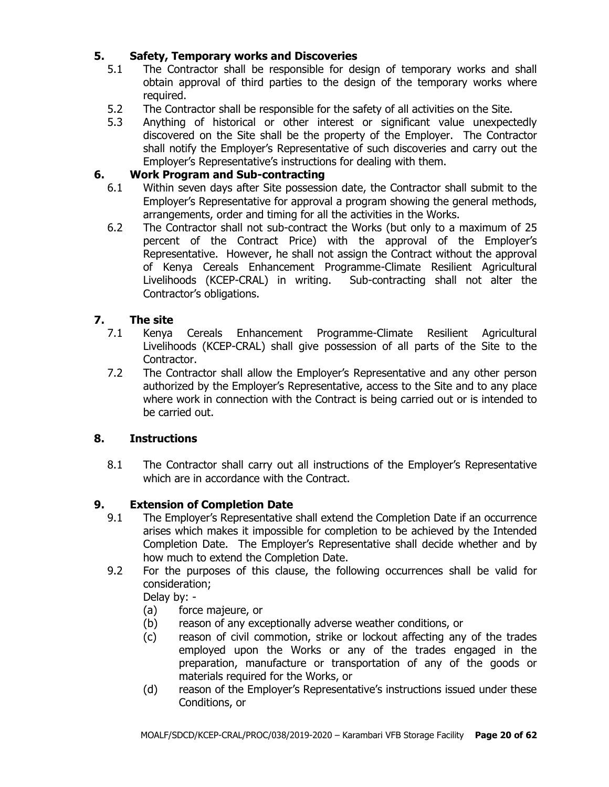# **5. Safety, Temporary works and Discoveries**

- 5.1 The Contractor shall be responsible for design of temporary works and shall obtain approval of third parties to the design of the temporary works where required.
- 5.2 The Contractor shall be responsible for the safety of all activities on the Site.
- 5.3 Anything of historical or other interest or significant value unexpectedly discovered on the Site shall be the property of the Employer. The Contractor shall notify the Employer's Representative of such discoveries and carry out the Employer's Representative's instructions for dealing with them.

## **6. Work Program and Sub-contracting**

- 6.1 Within seven days after Site possession date, the Contractor shall submit to the Employer's Representative for approval a program showing the general methods, arrangements, order and timing for all the activities in the Works.
- 6.2 The Contractor shall not sub-contract the Works (but only to a maximum of 25 percent of the Contract Price) with the approval of the Employer's Representative. However, he shall not assign the Contract without the approval of Kenya Cereals Enhancement Programme-Climate Resilient Agricultural Livelihoods (KCEP-CRAL) in writing. Sub-contracting shall not alter the Contractor's obligations.

# **7. The site**

- 7.1 Kenya Cereals Enhancement Programme-Climate Resilient Agricultural Livelihoods (KCEP-CRAL) shall give possession of all parts of the Site to the Contractor.
- 7.2 The Contractor shall allow the Employer's Representative and any other person authorized by the Employer's Representative, access to the Site and to any place where work in connection with the Contract is being carried out or is intended to be carried out.

## **8. Instructions**

8.1 The Contractor shall carry out all instructions of the Employer's Representative which are in accordance with the Contract.

# **9. Extension of Completion Date**

- 9.1 The Employer's Representative shall extend the Completion Date if an occurrence arises which makes it impossible for completion to be achieved by the Intended Completion Date. The Employer's Representative shall decide whether and by how much to extend the Completion Date.
- 9.2 For the purposes of this clause, the following occurrences shall be valid for consideration;

Delay by: -

- (a) force majeure, or
- (b) reason of any exceptionally adverse weather conditions, or
- (c) reason of civil commotion, strike or lockout affecting any of the trades employed upon the Works or any of the trades engaged in the preparation, manufacture or transportation of any of the goods or materials required for the Works, or
- (d) reason of the Employer's Representative's instructions issued under these Conditions, or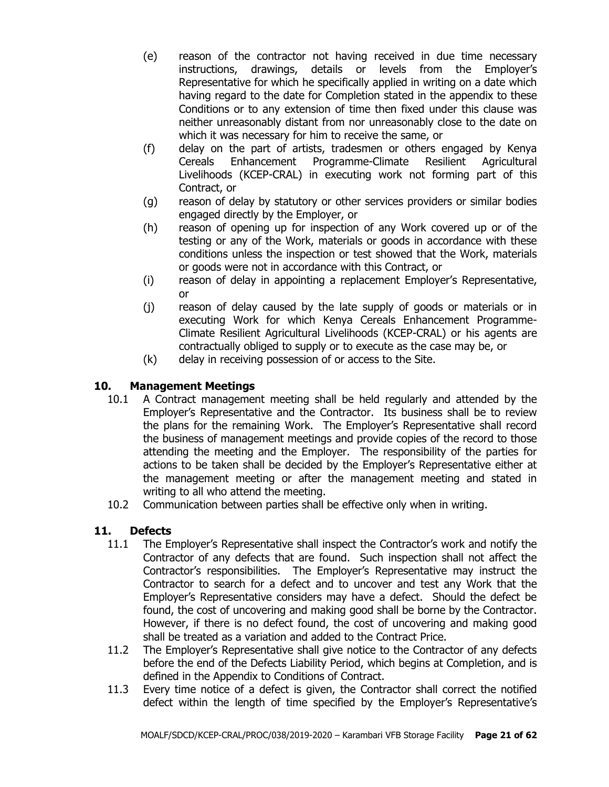- (e) reason of the contractor not having received in due time necessary instructions, drawings, details or levels from the Employer's Representative for which he specifically applied in writing on a date which having regard to the date for Completion stated in the appendix to these Conditions or to any extension of time then fixed under this clause was neither unreasonably distant from nor unreasonably close to the date on which it was necessary for him to receive the same, or
- (f) delay on the part of artists, tradesmen or others engaged by Kenya Cereals Enhancement Programme-Climate Resilient Agricultural Livelihoods (KCEP-CRAL) in executing work not forming part of this Contract, or
- (g) reason of delay by statutory or other services providers or similar bodies engaged directly by the Employer, or
- (h) reason of opening up for inspection of any Work covered up or of the testing or any of the Work, materials or goods in accordance with these conditions unless the inspection or test showed that the Work, materials or goods were not in accordance with this Contract, or
- (i) reason of delay in appointing a replacement Employer's Representative, or
- (j) reason of delay caused by the late supply of goods or materials or in executing Work for which Kenya Cereals Enhancement Programme-Climate Resilient Agricultural Livelihoods (KCEP-CRAL) or his agents are contractually obliged to supply or to execute as the case may be, or
- (k) delay in receiving possession of or access to the Site.

# **10. Management Meetings**

- 10.1 A Contract management meeting shall be held regularly and attended by the Employer's Representative and the Contractor. Its business shall be to review the plans for the remaining Work. The Employer's Representative shall record the business of management meetings and provide copies of the record to those attending the meeting and the Employer. The responsibility of the parties for actions to be taken shall be decided by the Employer's Representative either at the management meeting or after the management meeting and stated in writing to all who attend the meeting.
- 10.2 Communication between parties shall be effective only when in writing.

# **11. Defects**

- 11.1 The Employer's Representative shall inspect the Contractor's work and notify the Contractor of any defects that are found. Such inspection shall not affect the Contractor's responsibilities. The Employer's Representative may instruct the Contractor to search for a defect and to uncover and test any Work that the Employer's Representative considers may have a defect. Should the defect be found, the cost of uncovering and making good shall be borne by the Contractor. However, if there is no defect found, the cost of uncovering and making good shall be treated as a variation and added to the Contract Price.
- 11.2 The Employer's Representative shall give notice to the Contractor of any defects before the end of the Defects Liability Period, which begins at Completion, and is defined in the Appendix to Conditions of Contract.
- 11.3 Every time notice of a defect is given, the Contractor shall correct the notified defect within the length of time specified by the Employer's Representative's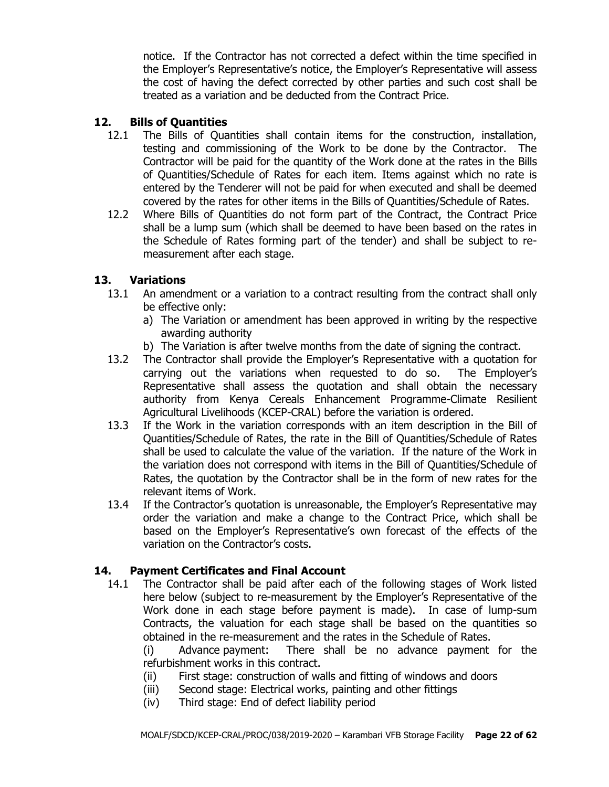notice. If the Contractor has not corrected a defect within the time specified in the Employer's Representative's notice, the Employer's Representative will assess the cost of having the defect corrected by other parties and such cost shall be treated as a variation and be deducted from the Contract Price.

### **12. Bills of Quantities**

- 12.1 The Bills of Quantities shall contain items for the construction, installation, testing and commissioning of the Work to be done by the Contractor. The Contractor will be paid for the quantity of the Work done at the rates in the Bills of Quantities/Schedule of Rates for each item. Items against which no rate is entered by the Tenderer will not be paid for when executed and shall be deemed covered by the rates for other items in the Bills of Quantities/Schedule of Rates.
- 12.2 Where Bills of Quantities do not form part of the Contract, the Contract Price shall be a lump sum (which shall be deemed to have been based on the rates in the Schedule of Rates forming part of the tender) and shall be subject to remeasurement after each stage.

#### **13. Variations**

- 13.1 An amendment or a variation to a contract resulting from the contract shall only be effective only:
	- a) The Variation or amendment has been approved in writing by the respective awarding authority
	- b) The Variation is after twelve months from the date of signing the contract.
- 13.2 The Contractor shall provide the Employer's Representative with a quotation for carrying out the variations when requested to do so. The Employer's Representative shall assess the quotation and shall obtain the necessary authority from Kenya Cereals Enhancement Programme-Climate Resilient Agricultural Livelihoods (KCEP-CRAL) before the variation is ordered.
- 13.3 If the Work in the variation corresponds with an item description in the Bill of Quantities/Schedule of Rates, the rate in the Bill of Quantities/Schedule of Rates shall be used to calculate the value of the variation. If the nature of the Work in the variation does not correspond with items in the Bill of Quantities/Schedule of Rates, the quotation by the Contractor shall be in the form of new rates for the relevant items of Work.
- 13.4 If the Contractor's quotation is unreasonable, the Employer's Representative may order the variation and make a change to the Contract Price, which shall be based on the Employer's Representative's own forecast of the effects of the variation on the Contractor's costs.

#### **14. Payment Certificates and Final Account**

14.1 The Contractor shall be paid after each of the following stages of Work listed here below (subject to re-measurement by the Employer's Representative of the Work done in each stage before payment is made). In case of lump-sum Contracts, the valuation for each stage shall be based on the quantities so obtained in the re-measurement and the rates in the Schedule of Rates.

(i) Advance payment: There shall be no advance payment for the refurbishment works in this contract.

- (ii) First stage: construction of walls and fitting of windows and doors
- (iii) Second stage: Electrical works, painting and other fittings
- (iv) Third stage: End of defect liability period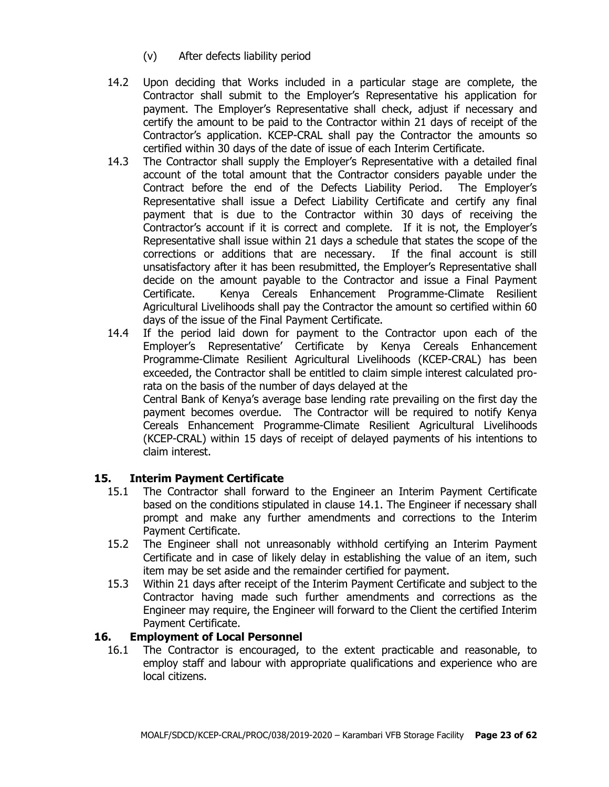- (v) After defects liability period
- 14.2 Upon deciding that Works included in a particular stage are complete, the Contractor shall submit to the Employer's Representative his application for payment. The Employer's Representative shall check, adjust if necessary and certify the amount to be paid to the Contractor within 21 days of receipt of the Contractor's application. KCEP-CRAL shall pay the Contractor the amounts so certified within 30 days of the date of issue of each Interim Certificate.
- 14.3 The Contractor shall supply the Employer's Representative with a detailed final account of the total amount that the Contractor considers payable under the Contract before the end of the Defects Liability Period. The Employer's Representative shall issue a Defect Liability Certificate and certify any final payment that is due to the Contractor within 30 days of receiving the Contractor's account if it is correct and complete. If it is not, the Employer's Representative shall issue within 21 days a schedule that states the scope of the corrections or additions that are necessary. If the final account is still unsatisfactory after it has been resubmitted, the Employer's Representative shall decide on the amount payable to the Contractor and issue a Final Payment Certificate. Kenya Cereals Enhancement Programme-Climate Resilient Agricultural Livelihoods shall pay the Contractor the amount so certified within 60 days of the issue of the Final Payment Certificate.
- 14.4 If the period laid down for payment to the Contractor upon each of the Employer's Representative' Certificate by Kenya Cereals Enhancement Programme-Climate Resilient Agricultural Livelihoods (KCEP-CRAL) has been exceeded, the Contractor shall be entitled to claim simple interest calculated prorata on the basis of the number of days delayed at the Central Bank of Kenya's average base lending rate prevailing on the first day the payment becomes overdue. The Contractor will be required to notify Kenya Cereals Enhancement Programme-Climate Resilient Agricultural Livelihoods (KCEP-CRAL) within 15 days of receipt of delayed payments of his intentions to claim interest.

## **15. Interim Payment Certificate**

- 15.1 The Contractor shall forward to the Engineer an Interim Payment Certificate based on the conditions stipulated in clause 14.1. The Engineer if necessary shall prompt and make any further amendments and corrections to the Interim Payment Certificate.
- 15.2 The Engineer shall not unreasonably withhold certifying an Interim Payment Certificate and in case of likely delay in establishing the value of an item, such item may be set aside and the remainder certified for payment.
- 15.3 Within 21 days after receipt of the Interim Payment Certificate and subject to the Contractor having made such further amendments and corrections as the Engineer may require, the Engineer will forward to the Client the certified Interim Payment Certificate.

## **16. Employment of Local Personnel**

16.1 The Contractor is encouraged, to the extent practicable and reasonable, to employ staff and labour with appropriate qualifications and experience who are local citizens.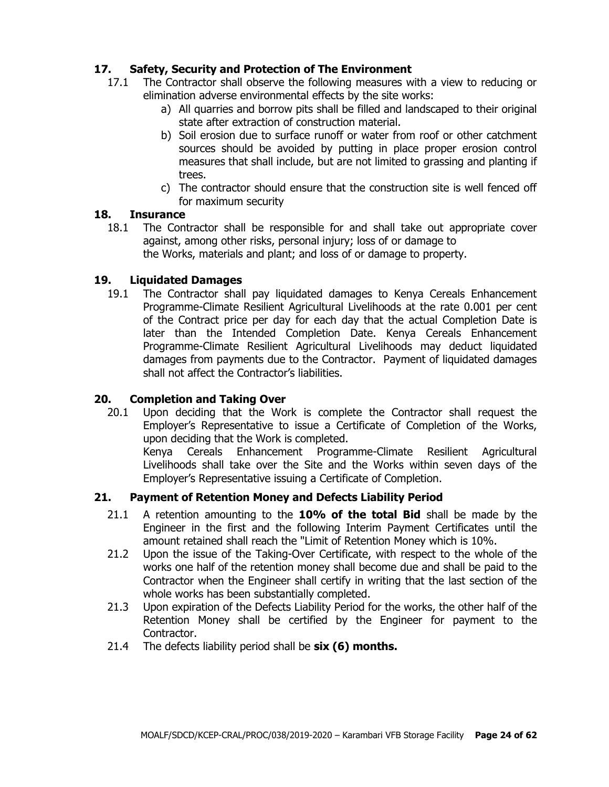# **17. Safety, Security and Protection of The Environment**

- 17.1 The Contractor shall observe the following measures with a view to reducing or elimination adverse environmental effects by the site works:
	- a) All quarries and borrow pits shall be filled and landscaped to their original state after extraction of construction material.
	- b) Soil erosion due to surface runoff or water from roof or other catchment sources should be avoided by putting in place proper erosion control measures that shall include, but are not limited to grassing and planting if trees.
	- c) The contractor should ensure that the construction site is well fenced off for maximum security

### **18. Insurance**

18.1 The Contractor shall be responsible for and shall take out appropriate cover against, among other risks, personal injury; loss of or damage to the Works, materials and plant; and loss of or damage to property.

## **19. Liquidated Damages**

19.1 The Contractor shall pay liquidated damages to Kenya Cereals Enhancement Programme-Climate Resilient Agricultural Livelihoods at the rate 0.001 per cent of the Contract price per day for each day that the actual Completion Date is later than the Intended Completion Date. Kenya Cereals Enhancement Programme-Climate Resilient Agricultural Livelihoods may deduct liquidated damages from payments due to the Contractor. Payment of liquidated damages shall not affect the Contractor's liabilities.

## **20. Completion and Taking Over**

20.1 Upon deciding that the Work is complete the Contractor shall request the Employer's Representative to issue a Certificate of Completion of the Works, upon deciding that the Work is completed.

Kenya Cereals Enhancement Programme-Climate Resilient Agricultural Livelihoods shall take over the Site and the Works within seven days of the Employer's Representative issuing a Certificate of Completion.

## **21. Payment of Retention Money and Defects Liability Period**

- 21.1 A retention amounting to the **10% of the total Bid** shall be made by the Engineer in the first and the following Interim Payment Certificates until the amount retained shall reach the "Limit of Retention Money which is 10%.
- 21.2 Upon the issue of the Taking-Over Certificate, with respect to the whole of the works one half of the retention money shall become due and shall be paid to the Contractor when the Engineer shall certify in writing that the last section of the whole works has been substantially completed.
- 21.3 Upon expiration of the Defects Liability Period for the works, the other half of the Retention Money shall be certified by the Engineer for payment to the Contractor.
- 21.4 The defects liability period shall be **six (6) months.**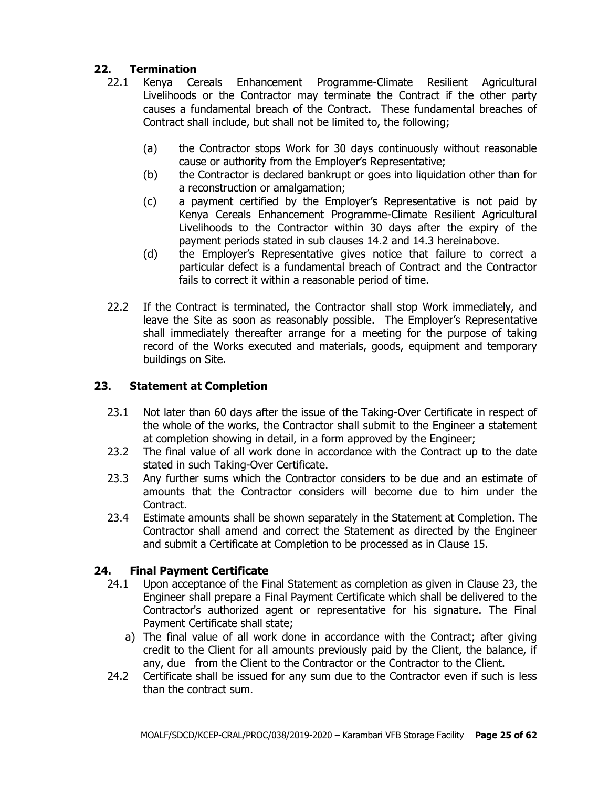# **22. Termination**

- 22.1 Kenya Cereals Enhancement Programme-Climate Resilient Agricultural Livelihoods or the Contractor may terminate the Contract if the other party causes a fundamental breach of the Contract. These fundamental breaches of Contract shall include, but shall not be limited to, the following;
	- (a) the Contractor stops Work for 30 days continuously without reasonable cause or authority from the Employer's Representative;
	- (b) the Contractor is declared bankrupt or goes into liquidation other than for a reconstruction or amalgamation;
	- (c) a payment certified by the Employer's Representative is not paid by Kenya Cereals Enhancement Programme-Climate Resilient Agricultural Livelihoods to the Contractor within 30 days after the expiry of the payment periods stated in sub clauses 14.2 and 14.3 hereinabove.
	- (d) the Employer's Representative gives notice that failure to correct a particular defect is a fundamental breach of Contract and the Contractor fails to correct it within a reasonable period of time.
- 22.2 If the Contract is terminated, the Contractor shall stop Work immediately, and leave the Site as soon as reasonably possible. The Employer's Representative shall immediately thereafter arrange for a meeting for the purpose of taking record of the Works executed and materials, goods, equipment and temporary buildings on Site.

# **23. Statement at Completion**

- 23.1 Not later than 60 days after the issue of the Taking-Over Certificate in respect of the whole of the works, the Contractor shall submit to the Engineer a statement at completion showing in detail, in a form approved by the Engineer;
- 23.2 The final value of all work done in accordance with the Contract up to the date stated in such Taking-Over Certificate.
- 23.3 Any further sums which the Contractor considers to be due and an estimate of amounts that the Contractor considers will become due to him under the Contract.
- 23.4 Estimate amounts shall be shown separately in the Statement at Completion. The Contractor shall amend and correct the Statement as directed by the Engineer and submit a Certificate at Completion to be processed as in Clause 15.

# **24. Final Payment Certificate**

- 24.1 Upon acceptance of the Final Statement as completion as given in Clause 23, the Engineer shall prepare a Final Payment Certificate which shall be delivered to the Contractor's authorized agent or representative for his signature. The Final Payment Certificate shall state;
	- a) The final value of all work done in accordance with the Contract; after giving credit to the Client for all amounts previously paid by the Client, the balance, if any, due from the Client to the Contractor or the Contractor to the Client.
- 24.2 Certificate shall be issued for any sum due to the Contractor even if such is less than the contract sum.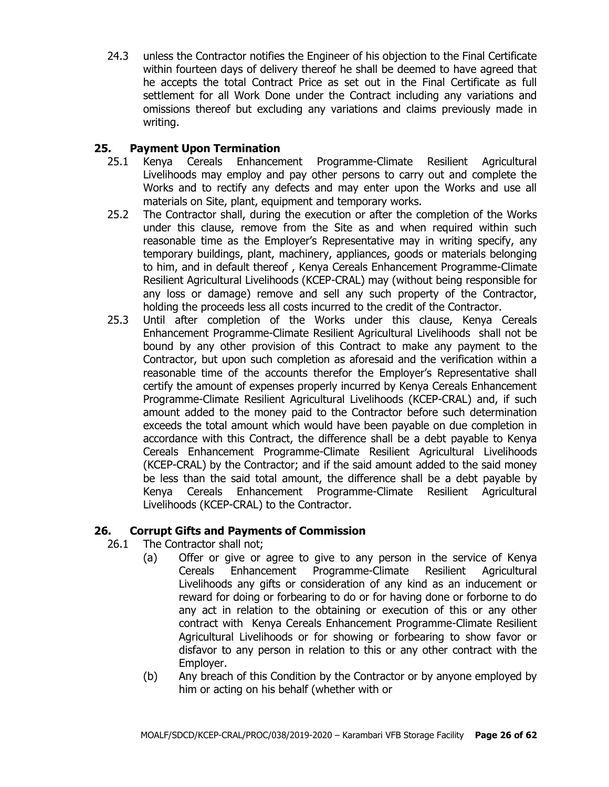24.3 unless the Contractor notifies the Engineer of his objection to the Final Certificate within fourteen days of delivery thereof he shall be deemed to have agreed that he accepts the total Contract Price as set out in the Final Certificate as full settlement for all Work Done under the Contract including any variations and omissions thereof but excluding any variations and claims previously made in writing.

## **25. Payment Upon Termination**

- 25.1 Kenya Cereals Enhancement Programme-Climate Resilient Agricultural Livelihoods may employ and pay other persons to carry out and complete the Works and to rectify any defects and may enter upon the Works and use all materials on Site, plant, equipment and temporary works.
- 25.2 The Contractor shall, during the execution or after the completion of the Works under this clause, remove from the Site as and when required within such reasonable time as the Employer's Representative may in writing specify, any temporary buildings, plant, machinery, appliances, goods or materials belonging to him, and in default thereof , Kenya Cereals Enhancement Programme-Climate Resilient Agricultural Livelihoods (KCEP-CRAL) may (without being responsible for any loss or damage) remove and sell any such property of the Contractor, holding the proceeds less all costs incurred to the credit of the Contractor.
- 25.3 Until after completion of the Works under this clause, Kenya Cereals Enhancement Programme-Climate Resilient Agricultural Livelihoods shall not be bound by any other provision of this Contract to make any payment to the Contractor, but upon such completion as aforesaid and the verification within a reasonable time of the accounts therefor the Employer's Representative shall certify the amount of expenses properly incurred by Kenya Cereals Enhancement Programme-Climate Resilient Agricultural Livelihoods (KCEP-CRAL) and, if such amount added to the money paid to the Contractor before such determination exceeds the total amount which would have been payable on due completion in accordance with this Contract, the difference shall be a debt payable to Kenya Cereals Enhancement Programme-Climate Resilient Agricultural Livelihoods (KCEP-CRAL) by the Contractor; and if the said amount added to the said money be less than the said total amount, the difference shall be a debt payable by Kenya Cereals Enhancement Programme-Climate Resilient Agricultural Livelihoods (KCEP-CRAL) to the Contractor.

## **26. Corrupt Gifts and Payments of Commission**

- 26.1 The Contractor shall not;
	- (a) Offer or give or agree to give to any person in the service of Kenya Cereals Enhancement Programme-Climate Resilient Agricultural Livelihoods any gifts or consideration of any kind as an inducement or reward for doing or forbearing to do or for having done or forborne to do any act in relation to the obtaining or execution of this or any other contract with Kenya Cereals Enhancement Programme-Climate Resilient Agricultural Livelihoods or for showing or forbearing to show favor or disfavor to any person in relation to this or any other contract with the Employer.
	- (b) Any breach of this Condition by the Contractor or by anyone employed by him or acting on his behalf (whether with or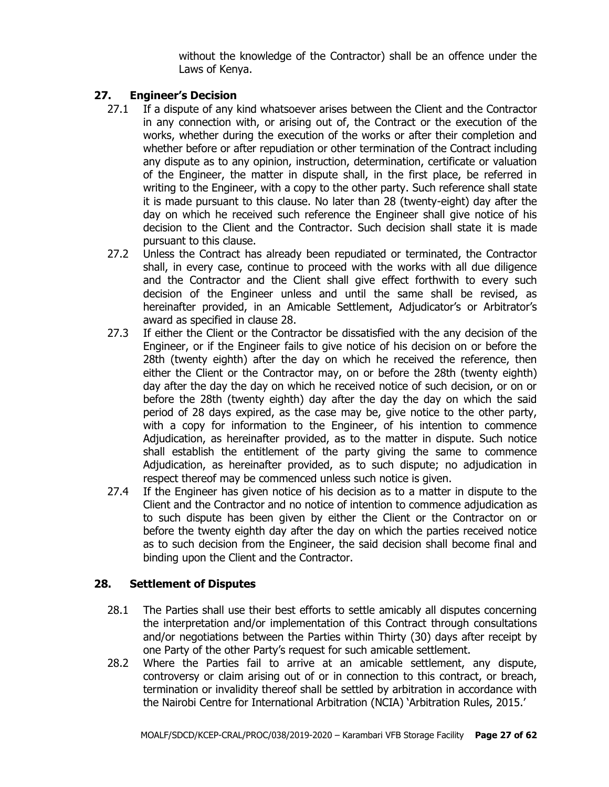without the knowledge of the Contractor) shall be an offence under the Laws of Kenya.

## **27. Engineer's Decision**

- 27.1 If a dispute of any kind whatsoever arises between the Client and the Contractor in any connection with, or arising out of, the Contract or the execution of the works, whether during the execution of the works or after their completion and whether before or after repudiation or other termination of the Contract including any dispute as to any opinion, instruction, determination, certificate or valuation of the Engineer, the matter in dispute shall, in the first place, be referred in writing to the Engineer, with a copy to the other party. Such reference shall state it is made pursuant to this clause. No later than 28 (twenty-eight) day after the day on which he received such reference the Engineer shall give notice of his decision to the Client and the Contractor. Such decision shall state it is made pursuant to this clause.
- 27.2 Unless the Contract has already been repudiated or terminated, the Contractor shall, in every case, continue to proceed with the works with all due diligence and the Contractor and the Client shall give effect forthwith to every such decision of the Engineer unless and until the same shall be revised, as hereinafter provided, in an Amicable Settlement, Adjudicator's or Arbitrator's award as specified in clause 28.
- 27.3 If either the Client or the Contractor be dissatisfied with the any decision of the Engineer, or if the Engineer fails to give notice of his decision on or before the 28th (twenty eighth) after the day on which he received the reference, then either the Client or the Contractor may, on or before the 28th (twenty eighth) day after the day the day on which he received notice of such decision, or on or before the 28th (twenty eighth) day after the day the day on which the said period of 28 days expired, as the case may be, give notice to the other party, with a copy for information to the Engineer, of his intention to commence Adjudication, as hereinafter provided, as to the matter in dispute. Such notice shall establish the entitlement of the party giving the same to commence Adjudication, as hereinafter provided, as to such dispute; no adjudication in respect thereof may be commenced unless such notice is given.
- 27.4 If the Engineer has given notice of his decision as to a matter in dispute to the Client and the Contractor and no notice of intention to commence adjudication as to such dispute has been given by either the Client or the Contractor on or before the twenty eighth day after the day on which the parties received notice as to such decision from the Engineer, the said decision shall become final and binding upon the Client and the Contractor.

# **28. Settlement of Disputes**

- 28.1 The Parties shall use their best efforts to settle amicably all disputes concerning the interpretation and/or implementation of this Contract through consultations and/or negotiations between the Parties within Thirty (30) days after receipt by one Party of the other Party's request for such amicable settlement.
- 28.2 Where the Parties fail to arrive at an amicable settlement, any dispute, controversy or claim arising out of or in connection to this contract, or breach, termination or invalidity thereof shall be settled by arbitration in accordance with the Nairobi Centre for International Arbitration (NCIA) 'Arbitration Rules, 2015.'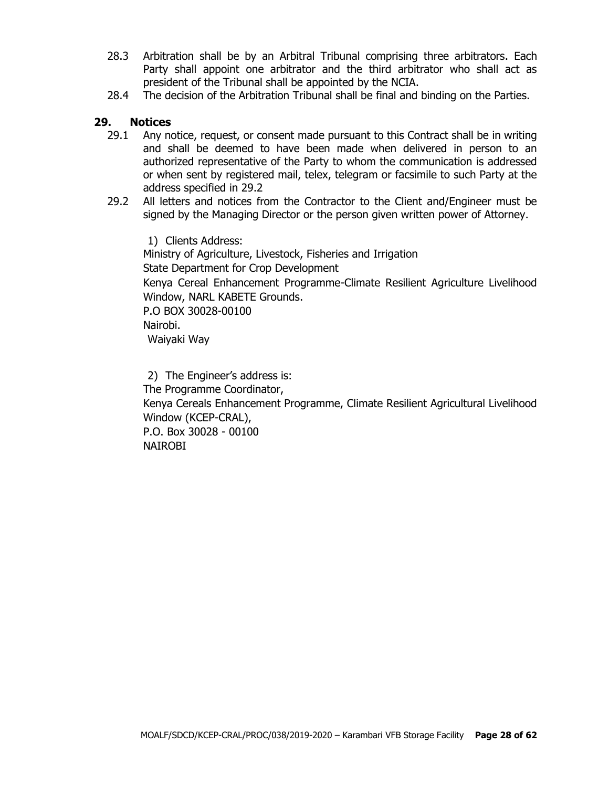- 28.3 Arbitration shall be by an Arbitral Tribunal comprising three arbitrators. Each Party shall appoint one arbitrator and the third arbitrator who shall act as president of the Tribunal shall be appointed by the NCIA.
- 28.4 The decision of the Arbitration Tribunal shall be final and binding on the Parties.

#### **29. Notices**

- 29.1 Any notice, request, or consent made pursuant to this Contract shall be in writing and shall be deemed to have been made when delivered in person to an authorized representative of the Party to whom the communication is addressed or when sent by registered mail, telex, telegram or facsimile to such Party at the address specified in 29.2
- 29.2 All letters and notices from the Contractor to the Client and/Engineer must be signed by the Managing Director or the person given written power of Attorney.

1) Clients Address: Ministry of Agriculture, Livestock, Fisheries and Irrigation State Department for Crop Development Kenya Cereal Enhancement Programme-Climate Resilient Agriculture Livelihood Window, NARL KABETE Grounds. P.O BOX 30028-00100 Nairobi. Waiyaki Way

2) The Engineer's address is: The Programme Coordinator, Kenya Cereals Enhancement Programme, Climate Resilient Agricultural Livelihood Window (KCEP-CRAL), P.O. Box 30028 - 00100 NAIROBI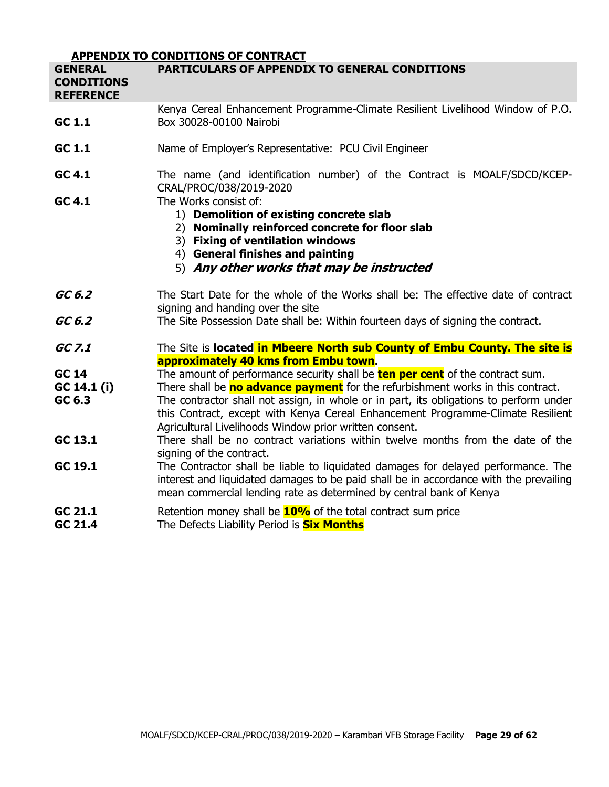|                                                         | <b>APPENDIX TO CONDITIONS OF CONTRACT</b>                                                                                                                                                                                                                                                                                                                                                                      |
|---------------------------------------------------------|----------------------------------------------------------------------------------------------------------------------------------------------------------------------------------------------------------------------------------------------------------------------------------------------------------------------------------------------------------------------------------------------------------------|
| <b>GENERAL</b><br><b>CONDITIONS</b><br><b>REFERENCE</b> | <b>PARTICULARS OF APPENDIX TO GENERAL CONDITIONS</b>                                                                                                                                                                                                                                                                                                                                                           |
| GC 1.1                                                  | Kenya Cereal Enhancement Programme-Climate Resilient Livelihood Window of P.O.<br>Box 30028-00100 Nairobi                                                                                                                                                                                                                                                                                                      |
| GC 1.1                                                  | Name of Employer's Representative: PCU Civil Engineer                                                                                                                                                                                                                                                                                                                                                          |
| GC 4.1<br>GC 4.1                                        | The name (and identification number) of the Contract is MOALF/SDCD/KCEP-<br>CRAL/PROC/038/2019-2020<br>The Works consist of:                                                                                                                                                                                                                                                                                   |
|                                                         | 1) Demolition of existing concrete slab<br>2) Nominally reinforced concrete for floor slab<br>3) Fixing of ventilation windows<br>4) General finishes and painting<br>5) Any other works that may be instructed                                                                                                                                                                                                |
| GC 6.2                                                  | The Start Date for the whole of the Works shall be: The effective date of contract<br>signing and handing over the site                                                                                                                                                                                                                                                                                        |
| GC 6.2                                                  | The Site Possession Date shall be: Within fourteen days of signing the contract.                                                                                                                                                                                                                                                                                                                               |
| GC 7.1                                                  | The Site is located in Mbeere North sub County of Embu County. The site is<br>approximately 40 kms from Embu town.                                                                                                                                                                                                                                                                                             |
| <b>GC 14</b><br>GC 14.1 (i)<br>GC 6.3                   | The amount of performance security shall be <b>ten per cent</b> of the contract sum.<br>There shall be no advance payment for the refurbishment works in this contract.<br>The contractor shall not assign, in whole or in part, its obligations to perform under<br>this Contract, except with Kenya Cereal Enhancement Programme-Climate Resilient<br>Agricultural Livelihoods Window prior written consent. |
| GC 13.1                                                 | There shall be no contract variations within twelve months from the date of the<br>signing of the contract.                                                                                                                                                                                                                                                                                                    |
| GC 19.1                                                 | The Contractor shall be liable to liquidated damages for delayed performance. The<br>interest and liquidated damages to be paid shall be in accordance with the prevailing<br>mean commercial lending rate as determined by central bank of Kenya                                                                                                                                                              |
| GC 21.1<br>GC 21.4                                      | Retention money shall be <b>10%</b> of the total contract sum price<br>The Defects Liability Period is <b>Six Months</b>                                                                                                                                                                                                                                                                                       |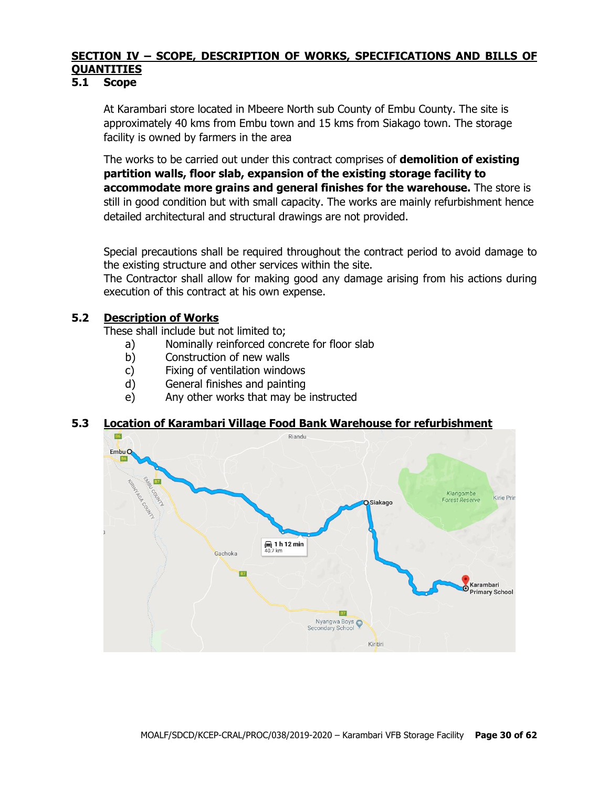# **SECTION IV – SCOPE, DESCRIPTION OF WORKS, SPECIFICATIONS AND BILLS OF QUANTITIES**

#### **5.1 Scope**

At Karambari store located in Mbeere North sub County of Embu County. The site is approximately 40 kms from Embu town and 15 kms from Siakago town. The storage facility is owned by farmers in the area

The works to be carried out under this contract comprises of **demolition of existing partition walls, floor slab, expansion of the existing storage facility to accommodate more grains and general finishes for the warehouse.** The store is still in good condition but with small capacity. The works are mainly refurbishment hence detailed architectural and structural drawings are not provided.

Special precautions shall be required throughout the contract period to avoid damage to the existing structure and other services within the site.

The Contractor shall allow for making good any damage arising from his actions during execution of this contract at his own expense.

#### **5.2 Description of Works**

These shall include but not limited to;

- a) Nominally reinforced concrete for floor slab
- b) Construction of new walls
- c) Fixing of ventilation windows
- d) General finishes and painting
- e) Any other works that may be instructed

## **5.3 Location of Karambari Village Food Bank Warehouse for refurbishment**

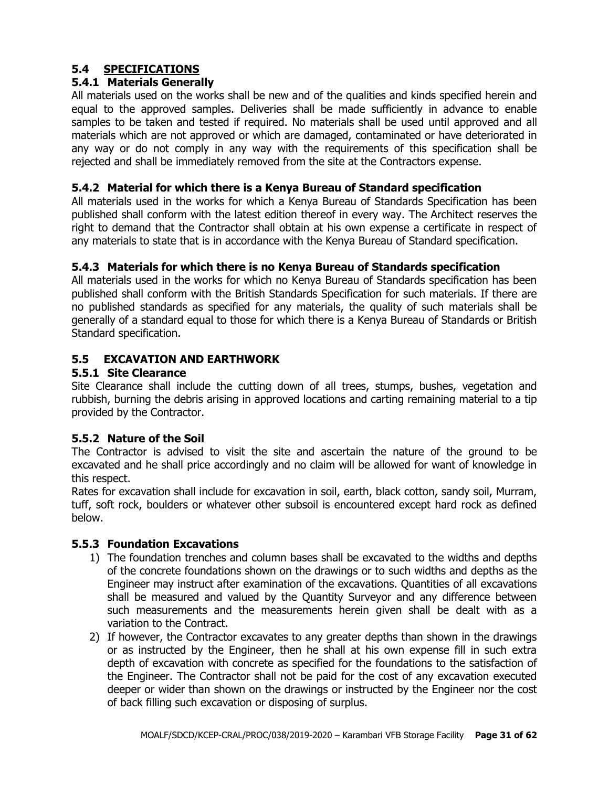# **5.4 SPECIFICATIONS**

## **5.4.1 Materials Generally**

All materials used on the works shall be new and of the qualities and kinds specified herein and equal to the approved samples. Deliveries shall be made sufficiently in advance to enable samples to be taken and tested if required. No materials shall be used until approved and all materials which are not approved or which are damaged, contaminated or have deteriorated in any way or do not comply in any way with the requirements of this specification shall be rejected and shall be immediately removed from the site at the Contractors expense.

#### **5.4.2 Material for which there is a Kenya Bureau of Standard specification**

All materials used in the works for which a Kenya Bureau of Standards Specification has been published shall conform with the latest edition thereof in every way. The Architect reserves the right to demand that the Contractor shall obtain at his own expense a certificate in respect of any materials to state that is in accordance with the Kenya Bureau of Standard specification.

#### **5.4.3 Materials for which there is no Kenya Bureau of Standards specification**

All materials used in the works for which no Kenya Bureau of Standards specification has been published shall conform with the British Standards Specification for such materials. If there are no published standards as specified for any materials, the quality of such materials shall be generally of a standard equal to those for which there is a Kenya Bureau of Standards or British Standard specification.

#### **5.5 EXCAVATION AND EARTHWORK**

#### **5.5.1 Site Clearance**

Site Clearance shall include the cutting down of all trees, stumps, bushes, vegetation and rubbish, burning the debris arising in approved locations and carting remaining material to a tip provided by the Contractor.

## **5.5.2 Nature of the Soil**

The Contractor is advised to visit the site and ascertain the nature of the ground to be excavated and he shall price accordingly and no claim will be allowed for want of knowledge in this respect.

Rates for excavation shall include for excavation in soil, earth, black cotton, sandy soil, Murram, tuff, soft rock, boulders or whatever other subsoil is encountered except hard rock as defined below.

#### **5.5.3 Foundation Excavations**

- 1) The foundation trenches and column bases shall be excavated to the widths and depths of the concrete foundations shown on the drawings or to such widths and depths as the Engineer may instruct after examination of the excavations. Quantities of all excavations shall be measured and valued by the Quantity Surveyor and any difference between such measurements and the measurements herein given shall be dealt with as a variation to the Contract.
- 2) If however, the Contractor excavates to any greater depths than shown in the drawings or as instructed by the Engineer, then he shall at his own expense fill in such extra depth of excavation with concrete as specified for the foundations to the satisfaction of the Engineer. The Contractor shall not be paid for the cost of any excavation executed deeper or wider than shown on the drawings or instructed by the Engineer nor the cost of back filling such excavation or disposing of surplus.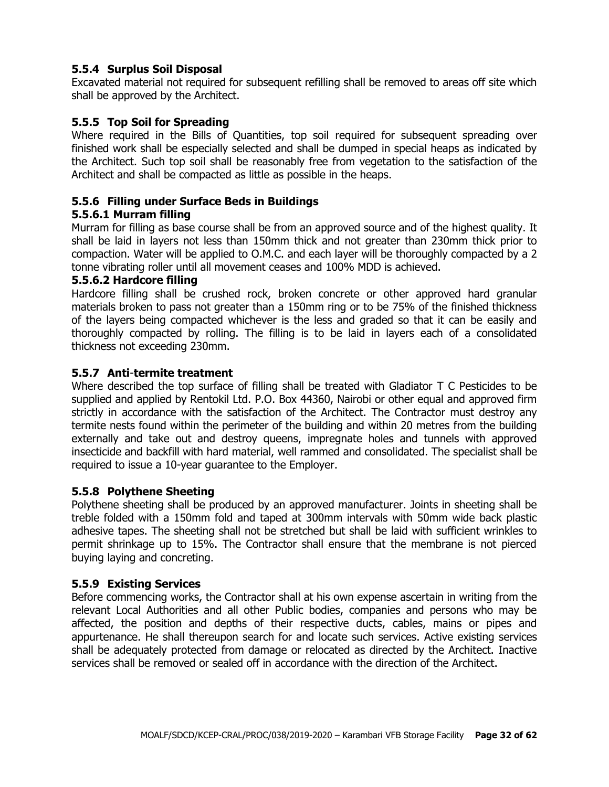## **5.5.4 Surplus Soil Disposal**

Excavated material not required for subsequent refilling shall be removed to areas off site which shall be approved by the Architect.

#### **5.5.5 Top Soil for Spreading**

Where required in the Bills of Quantities, top soil required for subsequent spreading over finished work shall be especially selected and shall be dumped in special heaps as indicated by the Architect. Such top soil shall be reasonably free from vegetation to the satisfaction of the Architect and shall be compacted as little as possible in the heaps.

#### **5.5.6 Filling under Surface Beds in Buildings**

#### **5.5.6.1 Murram filling**

Murram for filling as base course shall be from an approved source and of the highest quality. It shall be laid in layers not less than 150mm thick and not greater than 230mm thick prior to compaction. Water will be applied to O.M.C. and each layer will be thoroughly compacted by a 2 tonne vibrating roller until all movement ceases and 100% MDD is achieved.

#### **5.5.6.2 Hardcore filling**

Hardcore filling shall be crushed rock, broken concrete or other approved hard granular materials broken to pass not greater than a 150mm ring or to be 75% of the finished thickness of the layers being compacted whichever is the less and graded so that it can be easily and thoroughly compacted by rolling. The filling is to be laid in layers each of a consolidated thickness not exceeding 230mm.

#### **5.5.7 Anti**-**termite treatment**

Where described the top surface of filling shall be treated with Gladiator T C Pesticides to be supplied and applied by Rentokil Ltd. P.O. Box 44360, Nairobi or other equal and approved firm strictly in accordance with the satisfaction of the Architect. The Contractor must destroy any termite nests found within the perimeter of the building and within 20 metres from the building externally and take out and destroy queens, impregnate holes and tunnels with approved insecticide and backfill with hard material, well rammed and consolidated. The specialist shall be required to issue a 10-year guarantee to the Employer.

#### **5.5.8 Polythene Sheeting**

Polythene sheeting shall be produced by an approved manufacturer. Joints in sheeting shall be treble folded with a 150mm fold and taped at 300mm intervals with 50mm wide back plastic adhesive tapes. The sheeting shall not be stretched but shall be laid with sufficient wrinkles to permit shrinkage up to 15%. The Contractor shall ensure that the membrane is not pierced buying laying and concreting.

#### **5.5.9 Existing Services**

Before commencing works, the Contractor shall at his own expense ascertain in writing from the relevant Local Authorities and all other Public bodies, companies and persons who may be affected, the position and depths of their respective ducts, cables, mains or pipes and appurtenance. He shall thereupon search for and locate such services. Active existing services shall be adequately protected from damage or relocated as directed by the Architect. Inactive services shall be removed or sealed off in accordance with the direction of the Architect.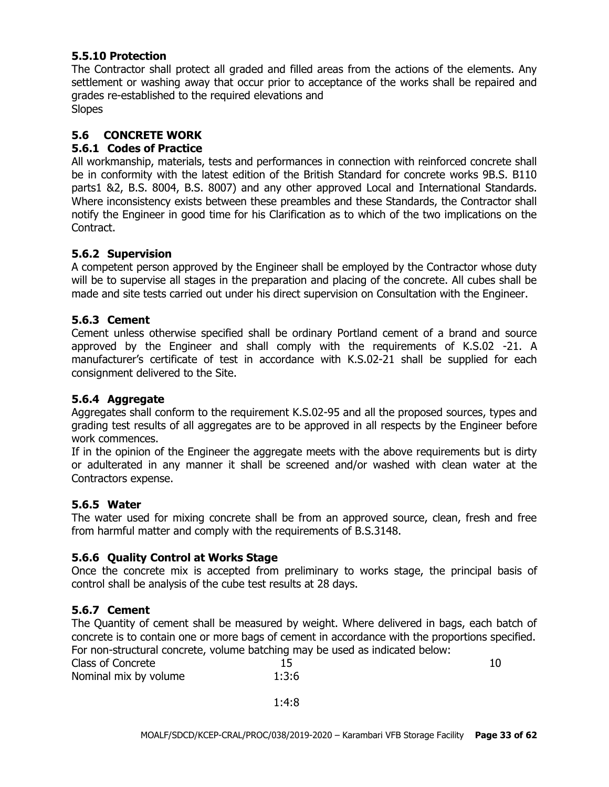#### **5.5.10 Protection**

The Contractor shall protect all graded and filled areas from the actions of the elements. Any settlement or washing away that occur prior to acceptance of the works shall be repaired and grades re-established to the required elevations and **Slopes** 

**5.6 CONCRETE WORK**

## **5.6.1 Codes of Practice**

All workmanship, materials, tests and performances in connection with reinforced concrete shall be in conformity with the latest edition of the British Standard for concrete works 9B.S. B110 parts1 &2, B.S. 8004, B.S. 8007) and any other approved Local and International Standards. Where inconsistency exists between these preambles and these Standards, the Contractor shall notify the Engineer in good time for his Clarification as to which of the two implications on the Contract.

#### **5.6.2 Supervision**

A competent person approved by the Engineer shall be employed by the Contractor whose duty will be to supervise all stages in the preparation and placing of the concrete. All cubes shall be made and site tests carried out under his direct supervision on Consultation with the Engineer.

#### **5.6.3 Cement**

Cement unless otherwise specified shall be ordinary Portland cement of a brand and source approved by the Engineer and shall comply with the requirements of K.S.02 -21. A manufacturer's certificate of test in accordance with K.S.02-21 shall be supplied for each consignment delivered to the Site.

### **5.6.4 Aggregate**

Aggregates shall conform to the requirement K.S.02-95 and all the proposed sources, types and grading test results of all aggregates are to be approved in all respects by the Engineer before work commences.

If in the opinion of the Engineer the aggregate meets with the above requirements but is dirty or adulterated in any manner it shall be screened and/or washed with clean water at the Contractors expense.

#### **5.6.5 Water**

The water used for mixing concrete shall be from an approved source, clean, fresh and free from harmful matter and comply with the requirements of B.S.3148.

## **5.6.6 Quality Control at Works Stage**

Once the concrete mix is accepted from preliminary to works stage, the principal basis of control shall be analysis of the cube test results at 28 days.

## **5.6.7 Cement**

The Quantity of cement shall be measured by weight. Where delivered in bags, each batch of concrete is to contain one or more bags of cement in accordance with the proportions specified. For non-structural concrete, volume batching may be used as indicated below:

| Class of Concrete     |       |  |
|-----------------------|-------|--|
| Nominal mix by volume | 1:3:6 |  |

1:4:8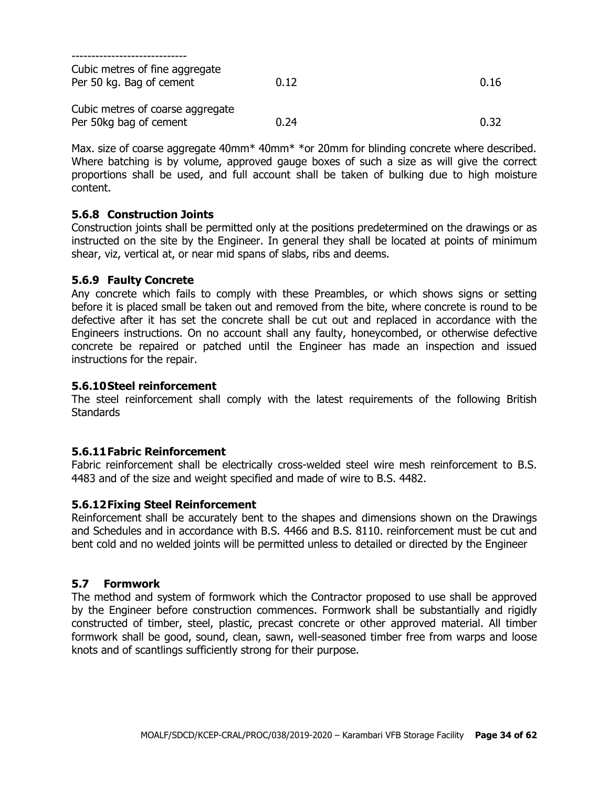| Cubic metres of fine aggregate<br>Per 50 kg. Bag of cement | 0.12 | 0.16 |
|------------------------------------------------------------|------|------|
| Cubic metres of coarse aggregate<br>Per 50kg bag of cement | 0.24 | 0.32 |

Max. size of coarse aggregate 40mm<sup>\*</sup> 40mm<sup>\*</sup> \*or 20mm for blinding concrete where described. Where batching is by volume, approved gauge boxes of such a size as will give the correct proportions shall be used, and full account shall be taken of bulking due to high moisture content.

#### **5.6.8 Construction Joints**

Construction joints shall be permitted only at the positions predetermined on the drawings or as instructed on the site by the Engineer. In general they shall be located at points of minimum shear, viz, vertical at, or near mid spans of slabs, ribs and deems.

#### **5.6.9 Faulty Concrete**

Any concrete which fails to comply with these Preambles, or which shows signs or setting before it is placed small be taken out and removed from the bite, where concrete is round to be defective after it has set the concrete shall be cut out and replaced in accordance with the Engineers instructions. On no account shall any faulty, honeycombed, or otherwise defective concrete be repaired or patched until the Engineer has made an inspection and issued instructions for the repair.

#### **5.6.10Steel reinforcement**

The steel reinforcement shall comply with the latest requirements of the following British **Standards** 

#### **5.6.11Fabric Reinforcement**

Fabric reinforcement shall be electrically cross-welded steel wire mesh reinforcement to B.S. 4483 and of the size and weight specified and made of wire to B.S. 4482.

#### **5.6.12Fixing Steel Reinforcement**

Reinforcement shall be accurately bent to the shapes and dimensions shown on the Drawings and Schedules and in accordance with B.S. 4466 and B.S. 8110. reinforcement must be cut and bent cold and no welded joints will be permitted unless to detailed or directed by the Engineer

#### **5.7 Formwork**

The method and system of formwork which the Contractor proposed to use shall be approved by the Engineer before construction commences. Formwork shall be substantially and rigidly constructed of timber, steel, plastic, precast concrete or other approved material. All timber formwork shall be good, sound, clean, sawn, well-seasoned timber free from warps and loose knots and of scantlings sufficiently strong for their purpose.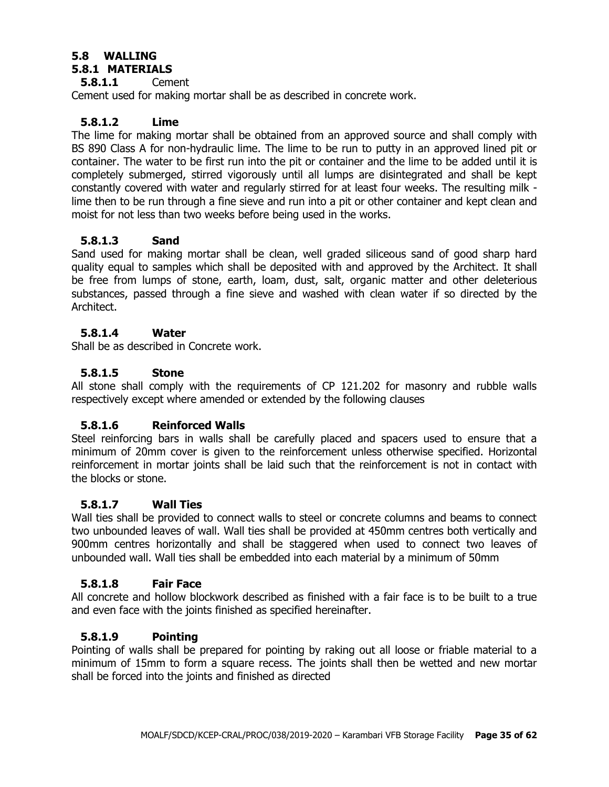#### **5.8 WALLING 5.8.1 MATERIALS**

# **5.8.1.1** Cement

Cement used for making mortar shall be as described in concrete work.

## **5.8.1.2 Lime**

The lime for making mortar shall be obtained from an approved source and shall comply with BS 890 Class A for non-hydraulic lime. The lime to be run to putty in an approved lined pit or container. The water to be first run into the pit or container and the lime to be added until it is completely submerged, stirred vigorously until all lumps are disintegrated and shall be kept constantly covered with water and regularly stirred for at least four weeks. The resulting milk lime then to be run through a fine sieve and run into a pit or other container and kept clean and moist for not less than two weeks before being used in the works.

## **5.8.1.3 Sand**

Sand used for making mortar shall be clean, well graded siliceous sand of good sharp hard quality equal to samples which shall be deposited with and approved by the Architect. It shall be free from lumps of stone, earth, loam, dust, salt, organic matter and other deleterious substances, passed through a fine sieve and washed with clean water if so directed by the Architect.

## **5.8.1.4 Water**

Shall be as described in Concrete work.

## **5.8.1.5 Stone**

All stone shall comply with the requirements of CP 121.202 for masonry and rubble walls respectively except where amended or extended by the following clauses

## **5.8.1.6 Reinforced Walls**

Steel reinforcing bars in walls shall be carefully placed and spacers used to ensure that a minimum of 20mm cover is given to the reinforcement unless otherwise specified. Horizontal reinforcement in mortar joints shall be laid such that the reinforcement is not in contact with the blocks or stone.

## **5.8.1.7 Wall Ties**

Wall ties shall be provided to connect walls to steel or concrete columns and beams to connect two unbounded leaves of wall. Wall ties shall be provided at 450mm centres both vertically and 900mm centres horizontally and shall be staggered when used to connect two leaves of unbounded wall. Wall ties shall be embedded into each material by a minimum of 50mm

## **5.8.1.8 Fair Face**

All concrete and hollow blockwork described as finished with a fair face is to be built to a true and even face with the joints finished as specified hereinafter.

## **5.8.1.9 Pointing**

Pointing of walls shall be prepared for pointing by raking out all loose or friable material to a minimum of 15mm to form a square recess. The joints shall then be wetted and new mortar shall be forced into the joints and finished as directed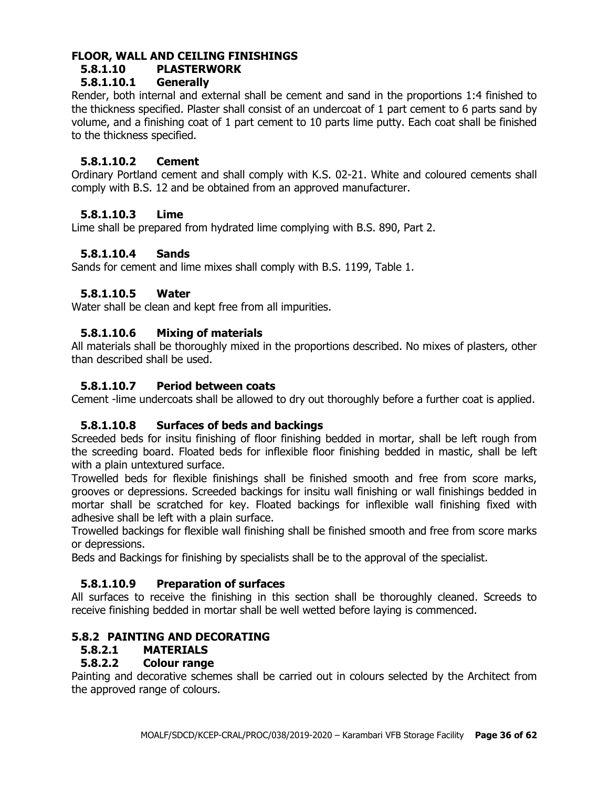# **FLOOR, WALL AND CEILING FINISHINGS**

# **5.8.1.10 PLASTERWORK**

# **5.8.1.10.1 Generally**

Render, both internal and external shall be cement and sand in the proportions 1:4 finished to the thickness specified. Plaster shall consist of an undercoat of 1 part cement to 6 parts sand by volume, and a finishing coat of 1 part cement to 10 parts lime putty. Each coat shall be finished to the thickness specified.

# **5.8.1.10.2 Cement**

Ordinary Portland cement and shall comply with K.S. 02-21. White and coloured cements shall comply with B.S. 12 and be obtained from an approved manufacturer.

# **5.8.1.10.3 Lime**

Lime shall be prepared from hydrated lime complying with B.S. 890, Part 2.

# **5.8.1.10.4 Sands**

Sands for cement and lime mixes shall comply with B.S. 1199, Table 1.

# **5.8.1.10.5 Water**

Water shall be clean and kept free from all impurities.

# **5.8.1.10.6 Mixing of materials**

All materials shall be thoroughly mixed in the proportions described. No mixes of plasters, other than described shall be used.

## **5.8.1.10.7 Period between coats**

Cement -lime undercoats shall be allowed to dry out thoroughly before a further coat is applied.

## **5.8.1.10.8 Surfaces of beds and backings**

Screeded beds for insitu finishing of floor finishing bedded in mortar, shall be left rough from the screeding board. Floated beds for inflexible floor finishing bedded in mastic, shall be left with a plain untextured surface.

Trowelled beds for flexible finishings shall be finished smooth and free from score marks, grooves or depressions. Screeded backings for insitu wall finishing or wall finishings bedded in mortar shall be scratched for key. Floated backings for inflexible wall finishing fixed with adhesive shall be left with a plain surface.

Trowelled backings for flexible wall finishing shall be finished smooth and free from score marks or depressions.

Beds and Backings for finishing by specialists shall be to the approval of the specialist.

## **5.8.1.10.9 Preparation of surfaces**

All surfaces to receive the finishing in this section shall be thoroughly cleaned. Screeds to receive finishing bedded in mortar shall be well wetted before laying is commenced.

# **5.8.2 PAINTING AND DECORATING**

## **5.8.2.1 MATERIALS**

## **5.8.2.2 Colour range**

Painting and decorative schemes shall be carried out in colours selected by the Architect from the approved range of colours.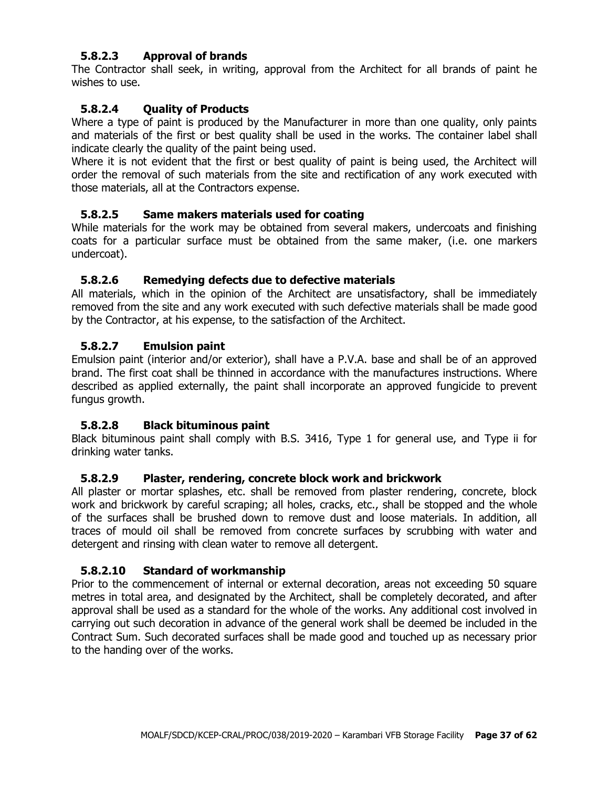## **5.8.2.3 Approval of brands**

The Contractor shall seek, in writing, approval from the Architect for all brands of paint he wishes to use.

### **5.8.2.4 Quality of Products**

Where a type of paint is produced by the Manufacturer in more than one quality, only paints and materials of the first or best quality shall be used in the works. The container label shall indicate clearly the quality of the paint being used.

Where it is not evident that the first or best quality of paint is being used, the Architect will order the removal of such materials from the site and rectification of any work executed with those materials, all at the Contractors expense.

#### **5.8.2.5 Same makers materials used for coating**

While materials for the work may be obtained from several makers, undercoats and finishing coats for a particular surface must be obtained from the same maker, (i.e. one markers undercoat).

#### **5.8.2.6 Remedying defects due to defective materials**

All materials, which in the opinion of the Architect are unsatisfactory, shall be immediately removed from the site and any work executed with such defective materials shall be made good by the Contractor, at his expense, to the satisfaction of the Architect.

#### **5.8.2.7 Emulsion paint**

Emulsion paint (interior and/or exterior), shall have a P.V.A. base and shall be of an approved brand. The first coat shall be thinned in accordance with the manufactures instructions. Where described as applied externally, the paint shall incorporate an approved fungicide to prevent fungus growth.

#### **5.8.2.8 Black bituminous paint**

Black bituminous paint shall comply with B.S. 3416, Type 1 for general use, and Type ii for drinking water tanks.

#### **5.8.2.9 Plaster, rendering, concrete block work and brickwork**

All plaster or mortar splashes, etc. shall be removed from plaster rendering, concrete, block work and brickwork by careful scraping; all holes, cracks, etc., shall be stopped and the whole of the surfaces shall be brushed down to remove dust and loose materials. In addition, all traces of mould oil shall be removed from concrete surfaces by scrubbing with water and detergent and rinsing with clean water to remove all detergent.

#### **5.8.2.10 Standard of workmanship**

Prior to the commencement of internal or external decoration, areas not exceeding 50 square metres in total area, and designated by the Architect, shall be completely decorated, and after approval shall be used as a standard for the whole of the works. Any additional cost involved in carrying out such decoration in advance of the general work shall be deemed be included in the Contract Sum. Such decorated surfaces shall be made good and touched up as necessary prior to the handing over of the works.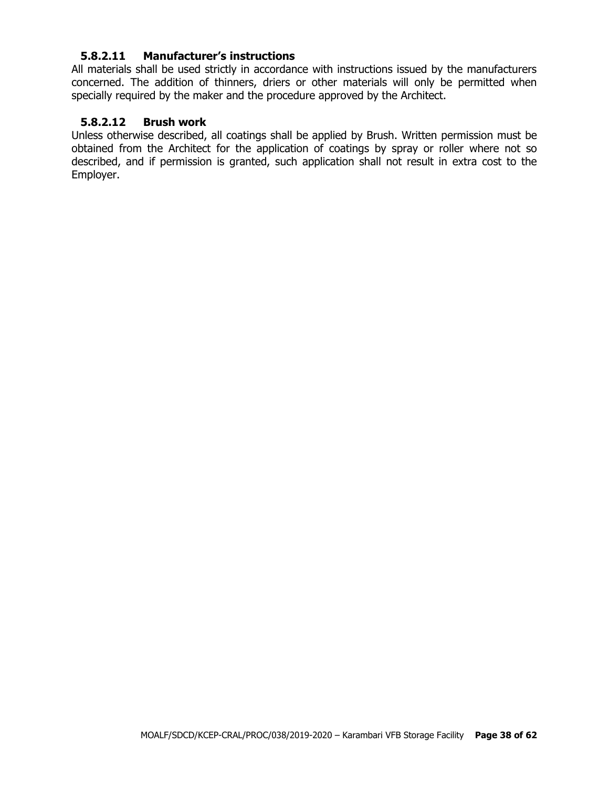#### **5.8.2.11 Manufacturer's instructions**

All materials shall be used strictly in accordance with instructions issued by the manufacturers concerned. The addition of thinners, driers or other materials will only be permitted when specially required by the maker and the procedure approved by the Architect.

#### **5.8.2.12 Brush work**

Unless otherwise described, all coatings shall be applied by Brush. Written permission must be obtained from the Architect for the application of coatings by spray or roller where not so described, and if permission is granted, such application shall not result in extra cost to the Employer.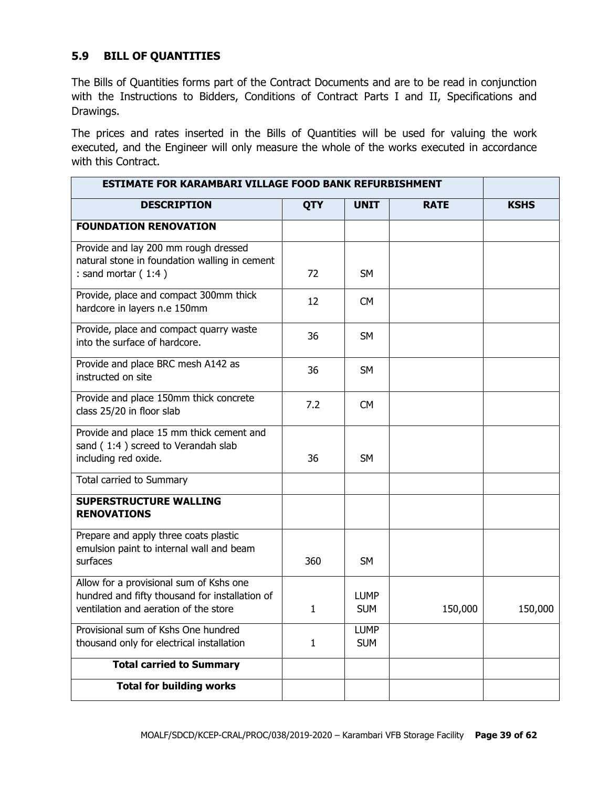## **5.9 BILL OF QUANTITIES**

The Bills of Quantities forms part of the Contract Documents and are to be read in conjunction with the Instructions to Bidders, Conditions of Contract Parts I and II, Specifications and Drawings.

The prices and rates inserted in the Bills of Quantities will be used for valuing the work executed, and the Engineer will only measure the whole of the works executed in accordance with this Contract.

| <b>ESTIMATE FOR KARAMBARI VILLAGE FOOD BANK REFURBISHMENT</b>                                                                      |              |                           |             |             |
|------------------------------------------------------------------------------------------------------------------------------------|--------------|---------------------------|-------------|-------------|
| <b>DESCRIPTION</b>                                                                                                                 | <b>QTY</b>   | <b>UNIT</b>               | <b>RATE</b> | <b>KSHS</b> |
| <b>FOUNDATION RENOVATION</b>                                                                                                       |              |                           |             |             |
| Provide and lay 200 mm rough dressed<br>natural stone in foundation walling in cement<br>: sand mortar $(1:4)$                     | 72           | <b>SM</b>                 |             |             |
| Provide, place and compact 300mm thick<br>hardcore in layers n.e 150mm                                                             | 12           | <b>CM</b>                 |             |             |
| Provide, place and compact quarry waste<br>into the surface of hardcore.                                                           | 36           | <b>SM</b>                 |             |             |
| Provide and place BRC mesh A142 as<br>instructed on site                                                                           | 36           | <b>SM</b>                 |             |             |
| Provide and place 150mm thick concrete<br>class 25/20 in floor slab                                                                | 7.2          | <b>CM</b>                 |             |             |
| Provide and place 15 mm thick cement and<br>sand (1:4) screed to Verandah slab<br>including red oxide.                             | 36           | <b>SM</b>                 |             |             |
| Total carried to Summary                                                                                                           |              |                           |             |             |
| <b>SUPERSTRUCTURE WALLING</b><br><b>RENOVATIONS</b>                                                                                |              |                           |             |             |
| Prepare and apply three coats plastic<br>emulsion paint to internal wall and beam<br>surfaces                                      | 360          | <b>SM</b>                 |             |             |
| Allow for a provisional sum of Kshs one<br>hundred and fifty thousand for installation of<br>ventilation and aeration of the store | 1            | <b>LUMP</b><br><b>SUM</b> | 150,000     | 150,000     |
| Provisional sum of Kshs One hundred<br>thousand only for electrical installation                                                   | $\mathbf{1}$ | <b>LUMP</b><br><b>SUM</b> |             |             |
| <b>Total carried to Summary</b>                                                                                                    |              |                           |             |             |
|                                                                                                                                    |              |                           |             |             |
| <b>Total for building works</b>                                                                                                    |              |                           |             |             |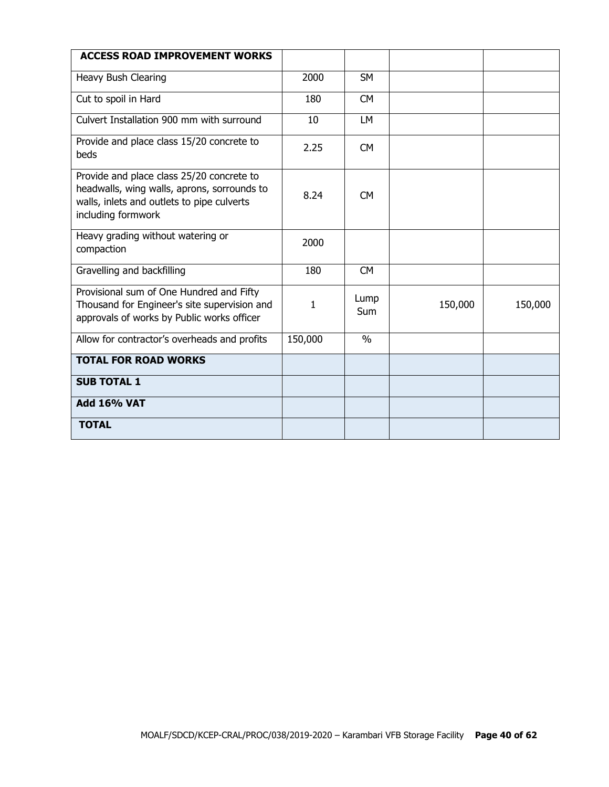| <b>ACCESS ROAD IMPROVEMENT WORKS</b>                                                                                                                         |         |                    |         |         |
|--------------------------------------------------------------------------------------------------------------------------------------------------------------|---------|--------------------|---------|---------|
| Heavy Bush Clearing                                                                                                                                          | 2000    | <b>SM</b>          |         |         |
| Cut to spoil in Hard                                                                                                                                         | 180     | <b>CM</b>          |         |         |
| Culvert Installation 900 mm with surround                                                                                                                    | 10      | <b>LM</b>          |         |         |
| Provide and place class 15/20 concrete to<br>beds                                                                                                            | 2.25    | <b>CM</b>          |         |         |
| Provide and place class 25/20 concrete to<br>headwalls, wing walls, aprons, sorrounds to<br>walls, inlets and outlets to pipe culverts<br>including formwork | 8.24    | <b>CM</b>          |         |         |
| Heavy grading without watering or<br>compaction                                                                                                              | 2000    |                    |         |         |
| Gravelling and backfilling                                                                                                                                   | 180     | <b>CM</b>          |         |         |
| Provisional sum of One Hundred and Fifty<br>Thousand for Engineer's site supervision and<br>approvals of works by Public works officer                       | 1       | Lump<br><b>Sum</b> | 150,000 | 150,000 |
| Allow for contractor's overheads and profits                                                                                                                 | 150,000 | $\frac{0}{0}$      |         |         |
| <b>TOTAL FOR ROAD WORKS</b>                                                                                                                                  |         |                    |         |         |
| <b>SUB TOTAL 1</b>                                                                                                                                           |         |                    |         |         |
| <b>Add 16% VAT</b>                                                                                                                                           |         |                    |         |         |
| <b>TOTAL</b>                                                                                                                                                 |         |                    |         |         |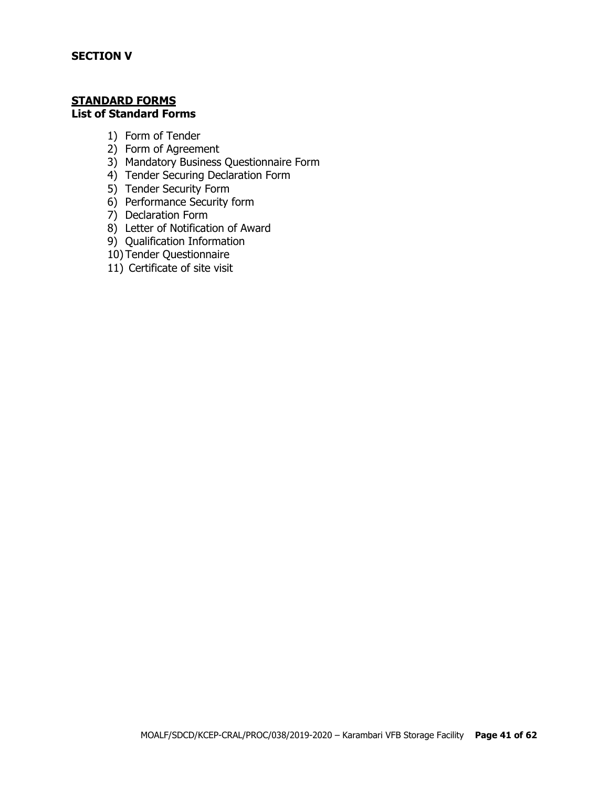#### **STANDARD FORMS List of Standard Forms**

- 1) Form of Tender
- 2) Form of Agreement
- 3) Mandatory Business Questionnaire Form
- 4) Tender Securing Declaration Form
- 5) Tender Security Form
- 6) Performance Security form
- 7) Declaration Form
- 8) Letter of Notification of Award
- 9) Qualification Information
- 10) Tender Questionnaire
- 11) Certificate of site visit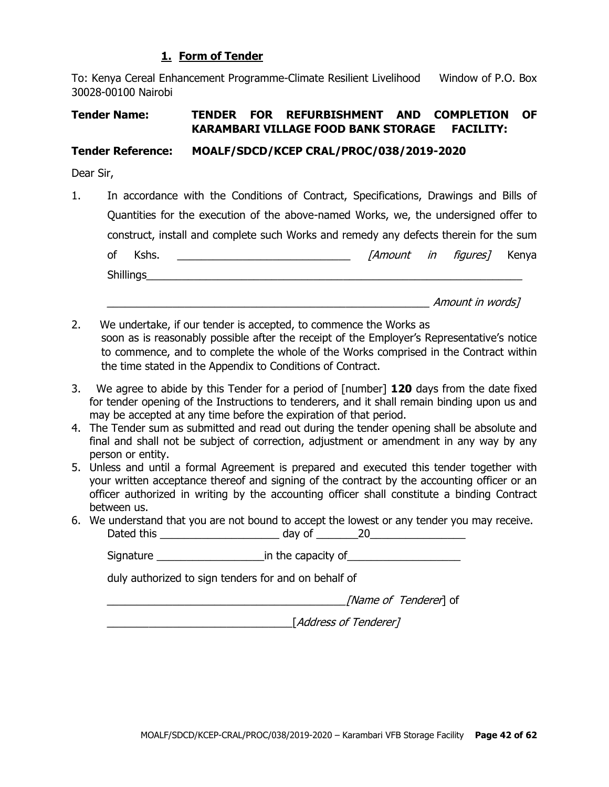## **1. Form of Tender**

To: Kenya Cereal Enhancement Programme-Climate Resilient Livelihood Window of P.O. Box 30028-00100 Nairobi

# **Tender Name: TENDER FOR REFURBISHMENT AND COMPLETION OF KARAMBARI VILLAGE FOOD BANK STORAGE FACILITY:**

## **Tender Reference: MOALF/SDCD/KCEP CRAL/PROC/038/2019-2020**

Dear Sir,

1. In accordance with the Conditions of Contract, Specifications, Drawings and Bills of Quantities for the execution of the above-named Works, we, the undersigned offer to construct, install and complete such Works and remedy any defects therein for the sum of Kshs. \_\_\_\_\_\_\_\_\_\_\_\_\_\_\_\_\_\_\_\_\_\_\_\_\_\_\_\_\_ [Amount in figures] Kenya Shillings\_\_\_\_\_\_\_\_\_\_\_\_\_\_\_\_\_\_\_\_\_\_\_\_\_\_\_\_\_\_\_\_\_\_\_\_\_\_\_\_\_\_\_\_\_\_\_\_\_\_\_\_\_\_\_\_\_\_\_\_\_\_\_

 $A$ mount in words]

- 2. We undertake, if our tender is accepted, to commence the Works as soon as is reasonably possible after the receipt of the Employer's Representative's notice to commence, and to complete the whole of the Works comprised in the Contract within the time stated in the Appendix to Conditions of Contract.
- 3. We agree to abide by this Tender for a period of [number] **120** days from the date fixed for tender opening of the Instructions to tenderers, and it shall remain binding upon us and may be accepted at any time before the expiration of that period.
- 4. The Tender sum as submitted and read out during the tender opening shall be absolute and final and shall not be subject of correction, adjustment or amendment in any way by any person or entity.
- 5. Unless and until a formal Agreement is prepared and executed this tender together with your written acceptance thereof and signing of the contract by the accounting officer or an officer authorized in writing by the accounting officer shall constitute a binding Contract between us.
- 6. We understand that you are not bound to accept the lowest or any tender you may receive. Dated this \_\_\_\_\_\_\_\_\_\_\_\_\_\_\_\_\_\_\_\_ day of \_\_\_\_\_\_\_20\_\_\_\_\_\_\_\_\_\_\_\_\_\_\_\_

Signature \_\_\_\_\_\_\_\_\_\_\_\_\_\_\_\_\_\_in the capacity of\_\_\_\_\_\_\_\_\_\_\_\_\_\_\_\_\_\_\_

duly authorized to sign tenders for and on behalf of

[Name of Tenderer] of

\_\_\_\_\_\_\_\_\_\_\_\_\_\_\_\_\_\_\_\_\_\_\_\_\_\_\_\_\_\_\_[Address of Tenderer]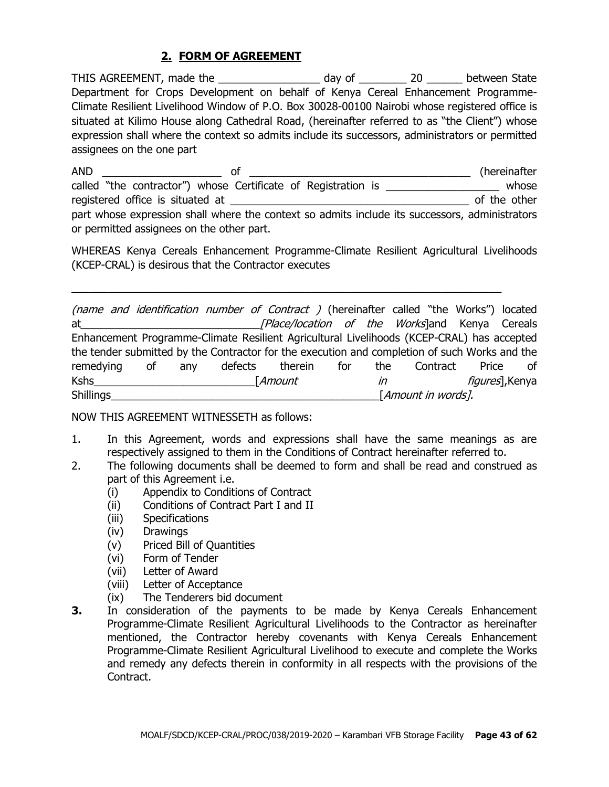# **2. FORM OF AGREEMENT**

THIS AGREEMENT, made the \_\_\_\_\_\_\_\_\_\_\_\_\_\_\_\_\_\_\_ day of \_\_\_\_\_\_\_\_\_\_ 20 \_\_\_\_\_\_\_ between State Department for Crops Development on behalf of Kenya Cereal Enhancement Programme-Climate Resilient Livelihood Window of P.O. Box 30028-00100 Nairobi whose registered office is situated at Kilimo House along Cathedral Road, (hereinafter referred to as "the Client") whose expression shall where the context so admits include its successors, administrators or permitted assignees on the one part

AND \_\_\_\_\_\_\_\_\_\_\_\_\_\_\_\_\_\_\_\_ of \_\_\_\_\_\_\_\_\_\_\_\_\_\_\_\_\_\_\_\_\_\_\_\_\_\_\_\_\_\_\_\_\_\_\_\_\_ (hereinafter called "the contractor") whose Certificate of Registration is \_\_\_\_\_\_\_\_\_\_\_\_\_\_\_\_\_\_\_\_ whose registered office is situated at \_\_\_\_\_\_\_\_\_\_\_\_\_\_\_\_\_\_\_\_\_\_\_\_\_\_\_\_\_\_\_\_\_\_\_\_\_\_\_\_ of the other part whose expression shall where the context so admits include its successors, administrators or permitted assignees on the other part.

WHEREAS Kenya Cereals Enhancement Programme-Climate Resilient Agricultural Livelihoods (KCEP-CRAL) is desirous that the Contractor executes

 $\_$  , and the set of the set of the set of the set of the set of the set of the set of the set of the set of the set of the set of the set of the set of the set of the set of the set of the set of the set of the set of th

(name and identification number of Contract ) (hereinafter called "the Works") located at\_\_\_\_\_\_\_\_\_\_\_\_\_\_\_\_\_\_\_\_\_\_\_\_\_\_\_\_\_\_[Place/location of the Works]and Kenya Cereals Enhancement Programme-Climate Resilient Agricultural Livelihoods (KCEP-CRAL) has accepted the tender submitted by the Contractor for the execution and completion of such Works and the remedying of any defects therein for the Contract Price of Kshs\_\_\_\_\_\_\_\_\_\_\_\_\_\_\_\_\_\_\_\_\_\_\_\_\_\_\_[Amount in figures],Kenya  $\begin{aligned} \textcolor{red}{\underbrace{\hspace{1.5mm}}_{\text{1}}\text{1}} \textcolor{blue}{\underbrace{\hspace{1.5mm}}_{\text{2}}\text{2}} \textcolor{blue}{\underbrace{\hspace{1.5mm}}_{\text{2}}\text{2}} \textcolor{blue}{\underbrace{\hspace{1.5mm}}_{\text{3}}\text{2}} \textcolor{blue}{\underbrace{\hspace{1.5mm}}_{\text{4}}\text{2}} \textcolor{blue}{\underbrace{\hspace{1.5mm}}_{\text{5}}\text{2}} \textcolor{blue}{\underbrace{\hspace{1.5mm}}_{\text{5}}\text{2}} \textcolor{blue}{\underbrace{\hspace$ 

NOW THIS AGREEMENT WITNESSETH as follows:

- 1. In this Agreement, words and expressions shall have the same meanings as are respectively assigned to them in the Conditions of Contract hereinafter referred to.
- 2. The following documents shall be deemed to form and shall be read and construed as part of this Agreement i.e.
	- (i) Appendix to Conditions of Contract
	- (ii) Conditions of Contract Part I and II
	- (iii) Specifications
	- (iv) Drawings
	- (v) Priced Bill of Quantities
	- (vi) Form of Tender
	- (vii) Letter of Award
	- (viii) Letter of Acceptance
	- (ix) The Tenderers bid document
- **3.** In consideration of the payments to be made by Kenya Cereals Enhancement Programme-Climate Resilient Agricultural Livelihoods to the Contractor as hereinafter mentioned, the Contractor hereby covenants with Kenya Cereals Enhancement Programme-Climate Resilient Agricultural Livelihood to execute and complete the Works and remedy any defects therein in conformity in all respects with the provisions of the Contract.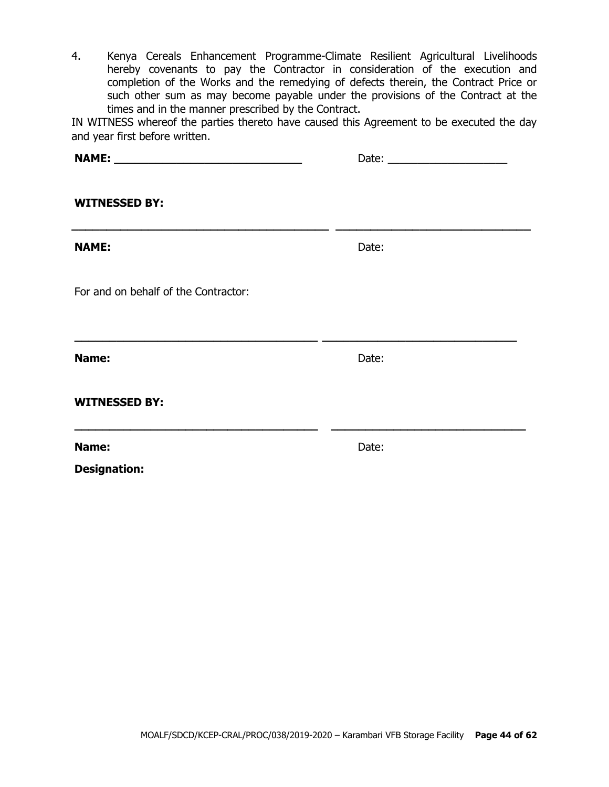4. Kenya Cereals Enhancement Programme-Climate Resilient Agricultural Livelihoods hereby covenants to pay the Contractor in consideration of the execution and completion of the Works and the remedying of defects therein, the Contract Price or such other sum as may become payable under the provisions of the Contract at the times and in the manner prescribed by the Contract.

IN WITNESS whereof the parties thereto have caused this Agreement to be executed the day and year first before written.

| <b>WITNESSED BY:</b>                                              |       |  |
|-------------------------------------------------------------------|-------|--|
| <b>NAME:</b>                                                      | Date: |  |
| For and on behalf of the Contractor:                              |       |  |
| Name:                                                             | Date: |  |
| <b>WITNESSED BY:</b>                                              |       |  |
| <u> 1980 - Johann Stoff, amerikansk politik (* 1901)</u><br>Name: | Date: |  |
| <b>Designation:</b>                                               |       |  |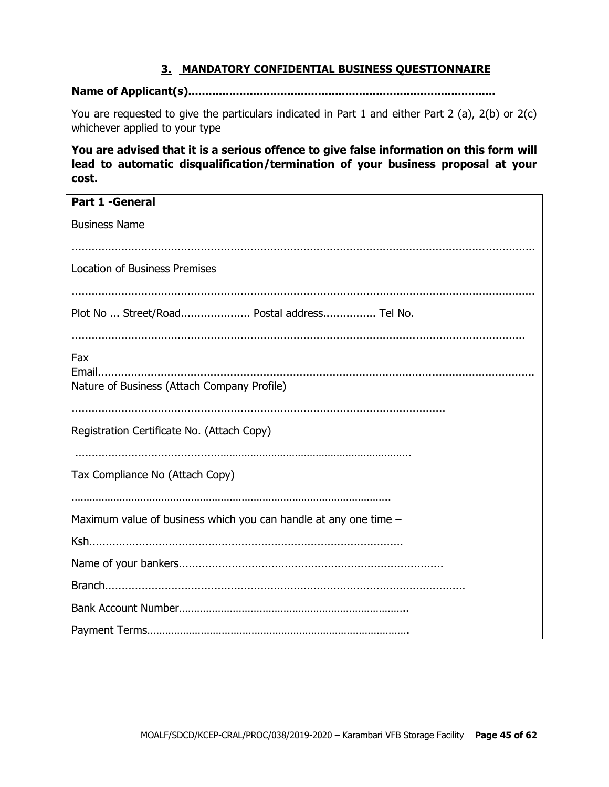## **3. MANDATORY CONFIDENTIAL BUSINESS QUESTIONNAIRE**

#### **Name of Applicant(s)..........................................................................................**

You are requested to give the particulars indicated in Part 1 and either Part 2 (a), 2(b) or 2(c) whichever applied to your type

**You are advised that it is a serious offence to give false information on this form will lead to automatic disqualification/termination of your business proposal at your cost.**

| <b>Part 1 - General</b>                                          |
|------------------------------------------------------------------|
|                                                                  |
| <b>Business Name</b>                                             |
|                                                                  |
|                                                                  |
| <b>Location of Business Premises</b>                             |
|                                                                  |
|                                                                  |
| Plot No  Street/Road Postal address Tel No.                      |
|                                                                  |
| Fax                                                              |
|                                                                  |
| Nature of Business (Attach Company Profile)                      |
|                                                                  |
|                                                                  |
| Registration Certificate No. (Attach Copy)                       |
|                                                                  |
|                                                                  |
| Tax Compliance No (Attach Copy)                                  |
|                                                                  |
|                                                                  |
| Maximum value of business which you can handle at any one time - |
|                                                                  |
|                                                                  |
|                                                                  |
|                                                                  |
|                                                                  |
|                                                                  |
|                                                                  |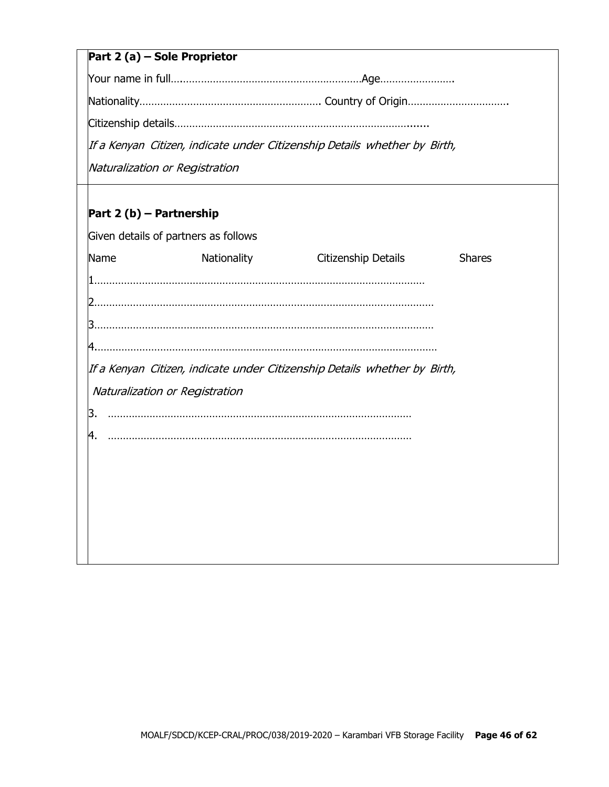# **Part 2 (a) – Sole Proprietor**

Your name in full….……………………………………………………Age…………………….

Nationality……………………………………………………. Country of Origin…………………………….

Citizenship details…………………………………………………………………….......

If <sup>a</sup> Kenyan Citizen, indicate under Citizenship Details whether by Birth,

Naturalization or Registration

# **Part 2 (b) – Partnership**

|    |      | Given details of partners as follows |                                                                           |               |
|----|------|--------------------------------------|---------------------------------------------------------------------------|---------------|
|    | Name | Nationality                          | Citizenship Details                                                       | <b>Shares</b> |
|    |      |                                      |                                                                           |               |
|    |      |                                      |                                                                           |               |
|    |      |                                      |                                                                           |               |
|    |      |                                      |                                                                           |               |
|    |      | Naturalization or Registration       | If a Kenyan Citizen, indicate under Citizenship Details whether by Birth, |               |
| З. |      |                                      |                                                                           |               |
|    |      |                                      |                                                                           |               |
|    |      |                                      |                                                                           |               |
|    |      |                                      |                                                                           |               |
|    |      |                                      |                                                                           |               |
|    |      |                                      |                                                                           |               |
|    |      |                                      |                                                                           |               |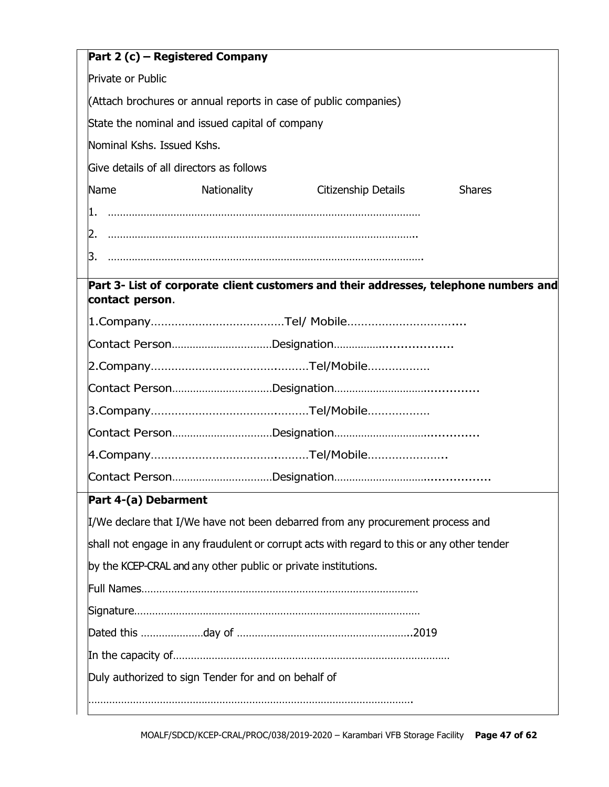| Part 2 (c) – Registered Company                                                            |  |  |  |  |
|--------------------------------------------------------------------------------------------|--|--|--|--|
| Private or Public                                                                          |  |  |  |  |
| (Attach brochures or annual reports in case of public companies)                           |  |  |  |  |
| State the nominal and issued capital of company                                            |  |  |  |  |
| Nominal Kshs. Issued Kshs.                                                                 |  |  |  |  |
| Give details of all directors as follows                                                   |  |  |  |  |
| Name<br>Nationality<br>Citizenship Details<br><b>Shares</b>                                |  |  |  |  |
| 1.                                                                                         |  |  |  |  |
|                                                                                            |  |  |  |  |
| 3.                                                                                         |  |  |  |  |
| Part 3- List of corporate client customers and their addresses, telephone numbers and      |  |  |  |  |
| contact person.                                                                            |  |  |  |  |
|                                                                                            |  |  |  |  |
|                                                                                            |  |  |  |  |
|                                                                                            |  |  |  |  |
|                                                                                            |  |  |  |  |
|                                                                                            |  |  |  |  |
|                                                                                            |  |  |  |  |
|                                                                                            |  |  |  |  |
|                                                                                            |  |  |  |  |
| Part 4-(a) Debarment                                                                       |  |  |  |  |
| I/We declare that I/We have not been debarred from any procurement process and             |  |  |  |  |
| shall not engage in any fraudulent or corrupt acts with regard to this or any other tender |  |  |  |  |
| by the KCEP-CRAL and any other public or private institutions.                             |  |  |  |  |
|                                                                                            |  |  |  |  |
|                                                                                            |  |  |  |  |
|                                                                                            |  |  |  |  |
|                                                                                            |  |  |  |  |
| Duly authorized to sign Tender for and on behalf of                                        |  |  |  |  |
|                                                                                            |  |  |  |  |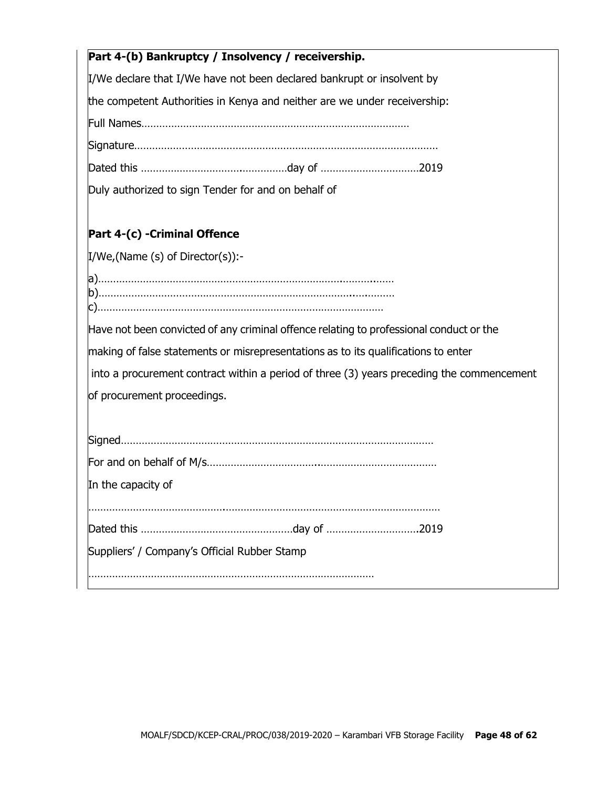| Part 4-(b) Bankruptcy / Insolvency / receivership.                                        |
|-------------------------------------------------------------------------------------------|
| I/We declare that I/We have not been declared bankrupt or insolvent by                    |
| the competent Authorities in Kenya and neither are we under receivership:                 |
|                                                                                           |
|                                                                                           |
|                                                                                           |
| Duly authorized to sign Tender for and on behalf of                                       |
| Part 4-(c) -Criminal Offence                                                              |
| $I/We$ , (Name (s) of Director(s)):-                                                      |
|                                                                                           |
| Have not been convicted of any criminal offence relating to professional conduct or the   |
| making of false statements or misrepresentations as to its qualifications to enter        |
| into a procurement contract within a period of three (3) years preceding the commencement |
| of procurement proceedings.                                                               |
|                                                                                           |
|                                                                                           |
| In the capacity of                                                                        |
|                                                                                           |
|                                                                                           |
| Suppliers' / Company's Official Rubber Stamp                                              |
|                                                                                           |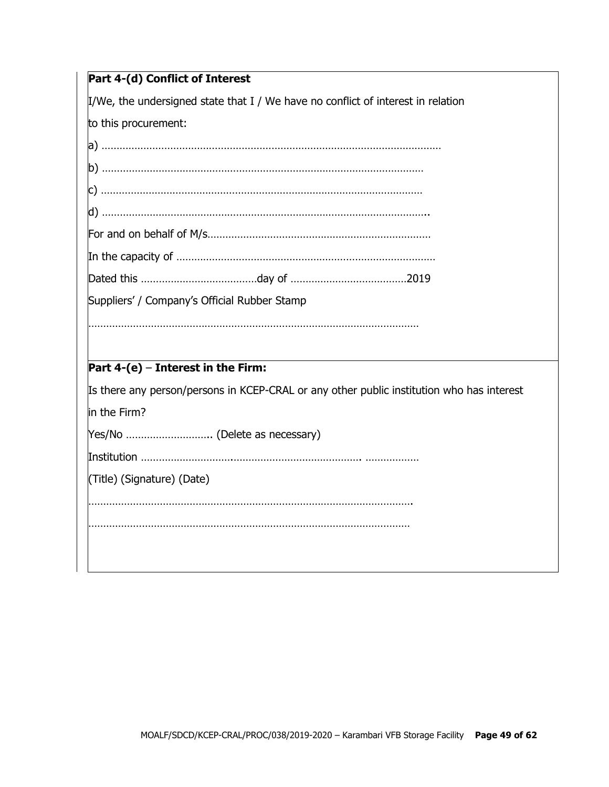$\mu$ /We, the undersigned state that I / We have no conflict of interest in relation

to this procurement:

| Suppliers' / Company's Official Rubber Stamp |                                                                                                                                    |  |  |
|----------------------------------------------|------------------------------------------------------------------------------------------------------------------------------------|--|--|
|                                              |                                                                                                                                    |  |  |
|                                              |                                                                                                                                    |  |  |
|                                              |                                                                                                                                    |  |  |
|                                              |                                                                                                                                    |  |  |
|                                              |                                                                                                                                    |  |  |
|                                              | Part $4-(e)$ – Interest in the Firm:<br>Its there any person/persons in KCEP-CRAL or any other public institution who has interest |  |  |

Yes/No ……………………….. (Delete as necessary)

Institution ………………………….……………………………………. ………………

(Title) (Signature) (Date)

……………………………………………………………………………………………….

………………………………………………………………………………………………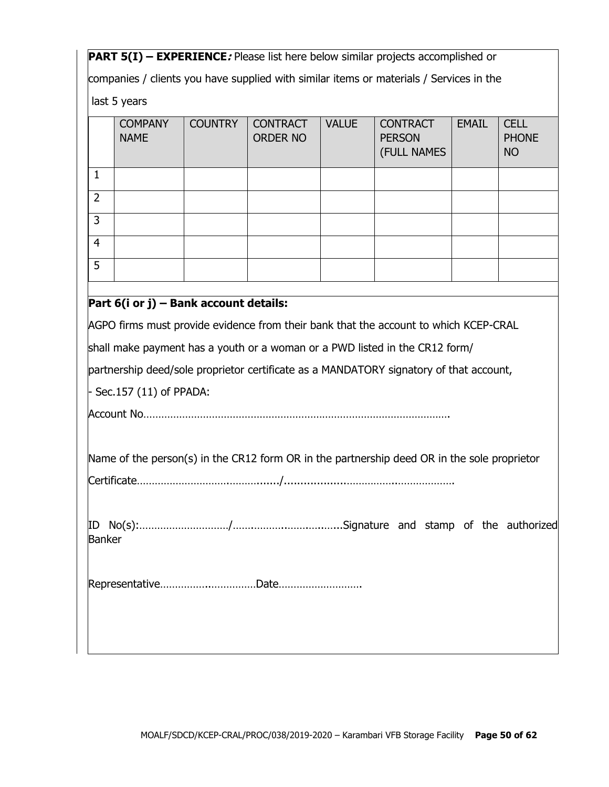**PART 5(I) – EXPERIENCE***:* Please list here below similar projects accomplished or

companies / clients you have supplied with similar items or materials / Services in the

last 5 years

|                | <b>COMPANY</b><br><b>NAME</b> | <b>COUNTRY</b> | <b>CONTRACT</b><br><b>ORDER NO</b> | <b>VALUE</b> | <b>CONTRACT</b><br><b>PERSON</b><br>(FULL NAMES | <b>EMAIL</b> | <b>CELL</b><br><b>PHONE</b><br><b>NO</b> |
|----------------|-------------------------------|----------------|------------------------------------|--------------|-------------------------------------------------|--------------|------------------------------------------|
|                |                               |                |                                    |              |                                                 |              |                                          |
| $\overline{2}$ |                               |                |                                    |              |                                                 |              |                                          |
| 3              |                               |                |                                    |              |                                                 |              |                                          |
| $\overline{4}$ |                               |                |                                    |              |                                                 |              |                                          |
| 5              |                               |                |                                    |              |                                                 |              |                                          |
|                |                               |                |                                    |              |                                                 |              |                                          |

# **Part 6(i or j) – Bank account details:**

AGPO firms must provide evidence from their bank that the account to which KCEP-CRAL

shall make payment has a youth or a woman or a PWD listed in the CR12 form/

partnership deed/sole proprietor certificate as a MANDATORY signatory of that account,

- Sec.157 (11) of PPADA:

Account No………………………………………………………………………………………….

Name of the person(s) in the CR12 form OR in the partnership deed OR in the sole proprietor

ID No(s):…………………………/…….………..…….…..…...Signature and stamp of the authorized Banker

Representative……………..……………Date……………………….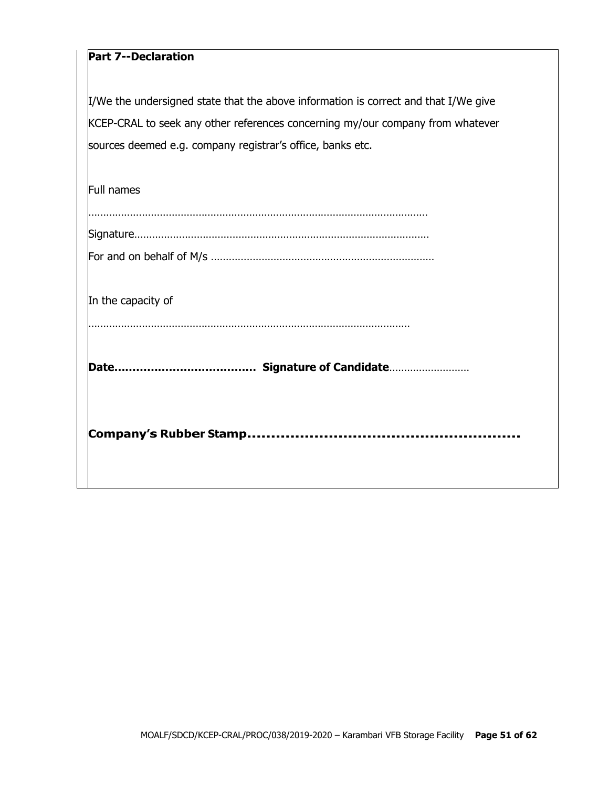# **Part 7--Declaration**

I/We the undersigned state that the above information is correct and that I/We give KCEP-CRAL to seek any other references concerning my/our company from whatever sources deemed e.g. company registrar's office, banks etc.

| <b>Full names</b>  |
|--------------------|
|                    |
| In the capacity of |
|                    |
|                    |
|                    |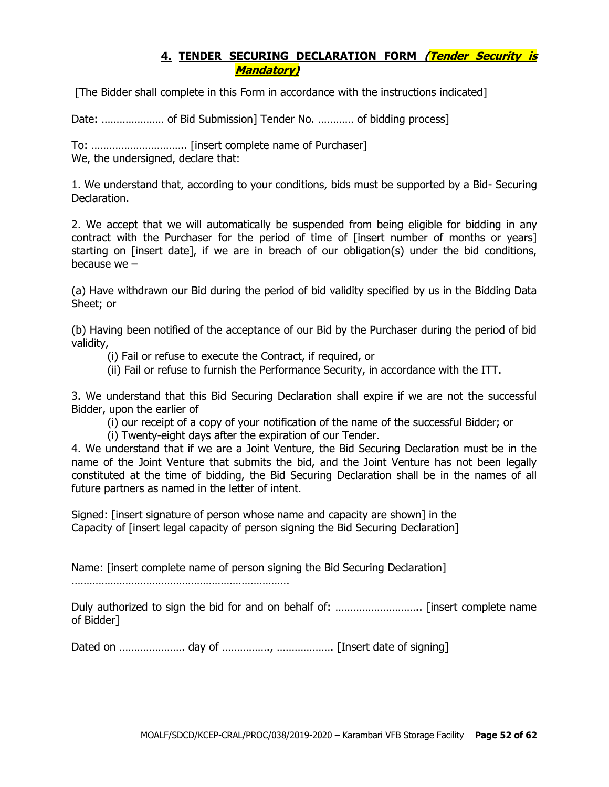## **4. TENDER SECURING DECLARATION FORM (Tender Security is Mandatory)**

[The Bidder shall complete in this Form in accordance with the instructions indicated]

Date: ………………… of Bid Submission] Tender No. ………… of bidding process]

To: ………………………….. [insert complete name of Purchaser] We, the undersigned, declare that:

1. We understand that, according to your conditions, bids must be supported by a Bid- Securing Declaration.

2. We accept that we will automatically be suspended from being eligible for bidding in any contract with the Purchaser for the period of time of [insert number of months or years] starting on [insert date], if we are in breach of our obligation(s) under the bid conditions, because we –

(a) Have withdrawn our Bid during the period of bid validity specified by us in the Bidding Data Sheet; or

(b) Having been notified of the acceptance of our Bid by the Purchaser during the period of bid validity,

(i) Fail or refuse to execute the Contract, if required, or

(ii) Fail or refuse to furnish the Performance Security, in accordance with the ITT.

3. We understand that this Bid Securing Declaration shall expire if we are not the successful Bidder, upon the earlier of

(i) our receipt of a copy of your notification of the name of the successful Bidder; or

(i) Twenty-eight days after the expiration of our Tender.

4. We understand that if we are a Joint Venture, the Bid Securing Declaration must be in the name of the Joint Venture that submits the bid, and the Joint Venture has not been legally constituted at the time of bidding, the Bid Securing Declaration shall be in the names of all future partners as named in the letter of intent.

Signed: [insert signature of person whose name and capacity are shown] in the Capacity of [insert legal capacity of person signing the Bid Securing Declaration]

Name: [insert complete name of person signing the Bid Securing Declaration]

……………………………………………………………….

Duly authorized to sign the bid for and on behalf of: ……………………….. [insert complete name of Bidder]

Dated on …………………. day of ……………., ………………. [Insert date of signing]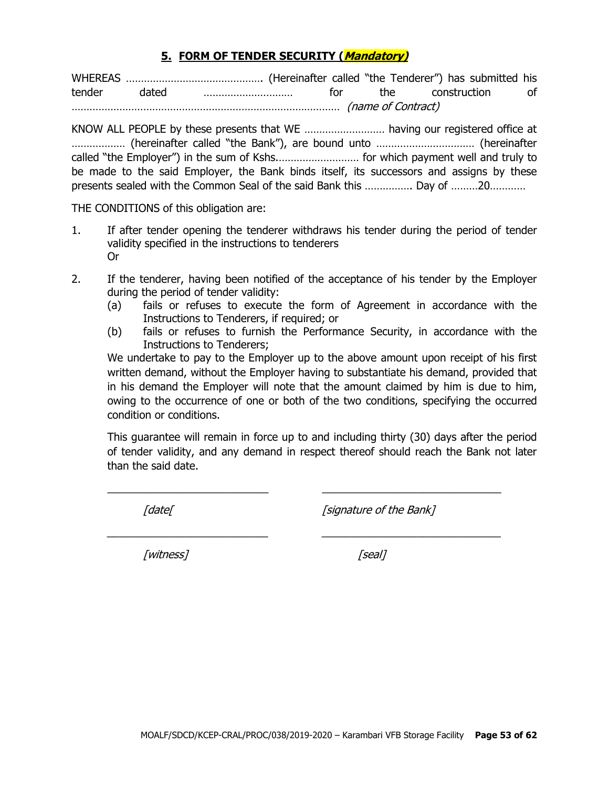#### **5. FORM OF TENDER SECURITY (Mandatory)**

WHEREAS ………………………………………. (Hereinafter called "the Tenderer") has submitted his tender dated ………………………… for the construction of ……………………………………………………………………………… (name of Contract)

KNOW ALL PEOPLE by these presents that WE ……………………… having our registered office at ……………… (hereinafter called "the Bank"), are bound unto …………………………… (hereinafter called "the Employer") in the sum of Kshs.……………………… for which payment well and truly to be made to the said Employer, the Bank binds itself, its successors and assigns by these presents sealed with the Common Seal of the said Bank this ……………. Day of ………20…………

THE CONDITIONS of this obligation are:

- 1. If after tender opening the tenderer withdraws his tender during the period of tender validity specified in the instructions to tenderers Or
- 2. If the tenderer, having been notified of the acceptance of his tender by the Employer during the period of tender validity:
	- (a) fails or refuses to execute the form of Agreement in accordance with the Instructions to Tenderers, if required; or
	- (b) fails or refuses to furnish the Performance Security, in accordance with the Instructions to Tenderers;

We undertake to pay to the Employer up to the above amount upon receipt of his first written demand, without the Employer having to substantiate his demand, provided that in his demand the Employer will note that the amount claimed by him is due to him, owing to the occurrence of one or both of the two conditions, specifying the occurred condition or conditions.

This guarantee will remain in force up to and including thirty (30) days after the period of tender validity, and any demand in respect thereof should reach the Bank not later than the said date.

 $\_$  , and the set of the set of the set of the set of the set of the set of the set of the set of the set of the set of the set of the set of the set of the set of the set of the set of the set of the set of the set of th

\_\_\_\_\_\_\_\_\_\_\_\_\_\_\_\_\_\_\_\_\_\_\_\_\_\_\_ \_\_\_\_\_\_\_\_\_\_\_\_\_\_\_\_\_\_\_\_\_\_\_\_\_\_\_\_\_\_

[date] [signature of the Bank]

[witness] [seal]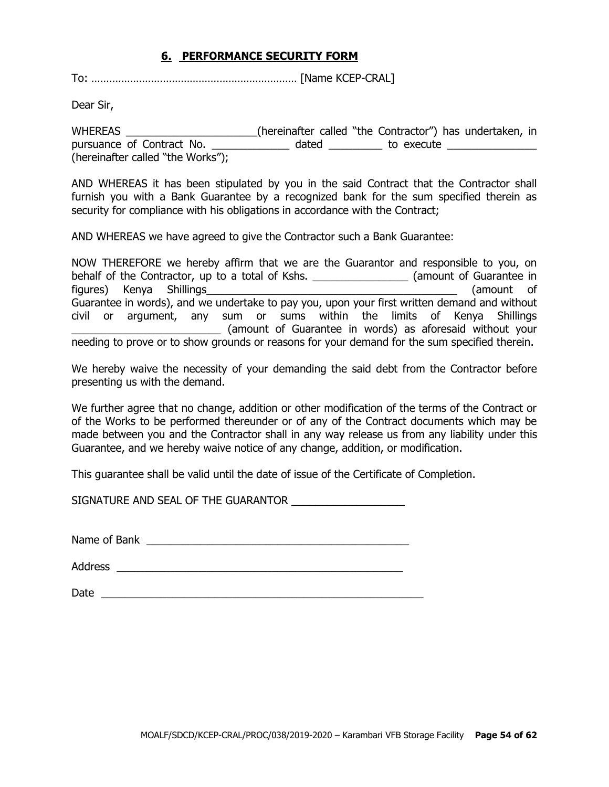#### **6. PERFORMANCE SECURITY FORM**

To: …………………………………………………………… [Name KCEP-CRAL]

Dear Sir,

WHEREAS \_\_\_\_\_\_\_\_\_\_\_\_\_\_\_\_\_\_\_\_\_\_(hereinafter called "the Contractor") has undertaken, in pursuance of Contract No. \_\_\_\_\_\_\_\_\_\_\_\_\_\_ dated \_\_\_\_\_\_\_\_\_\_ to execute \_\_\_\_\_\_\_\_\_\_\_ (hereinafter called "the Works");

AND WHEREAS it has been stipulated by you in the said Contract that the Contractor shall furnish you with a Bank Guarantee by a recognized bank for the sum specified therein as security for compliance with his obligations in accordance with the Contract;

AND WHEREAS we have agreed to give the Contractor such a Bank Guarantee:

NOW THEREFORE we hereby affirm that we are the Guarantor and responsible to you, on behalf of the Contractor, up to a total of Kshs. \_\_\_\_\_\_\_\_\_\_\_\_\_\_\_\_\_\_\_\_(amount of Guarantee in figures) Kenya Shillings\_\_\_\_\_\_\_\_\_\_\_\_\_\_\_\_\_\_\_\_\_\_\_\_\_\_\_\_\_\_\_\_\_\_\_\_\_\_\_\_\_\_ (amount of Guarantee in words), and we undertake to pay you, upon your first written demand and without civil or argument, any sum or sums within the limits of Kenya Shillings \_\_\_\_\_\_\_\_\_\_\_\_\_\_\_\_\_\_\_\_\_\_\_\_\_ (amount of Guarantee in words) as aforesaid without your needing to prove or to show grounds or reasons for your demand for the sum specified therein.

We hereby waive the necessity of your demanding the said debt from the Contractor before presenting us with the demand.

We further agree that no change, addition or other modification of the terms of the Contract or of the Works to be performed thereunder or of any of the Contract documents which may be made between you and the Contractor shall in any way release us from any liability under this Guarantee, and we hereby waive notice of any change, addition, or modification.

This guarantee shall be valid until the date of issue of the Certificate of Completion.

SIGNATURE AND SEAL OF THE GUARANTOR  $\_\_\_\_\_\_\_\_\_\_\_$ 

Name of Bank \_\_\_\_\_\_\_\_\_\_\_\_\_\_\_\_\_\_\_\_\_\_\_\_\_\_\_\_\_\_\_\_\_\_\_\_\_\_\_\_\_\_\_\_

Address  $\overline{\phantom{a}}$ 

Date  $\Box$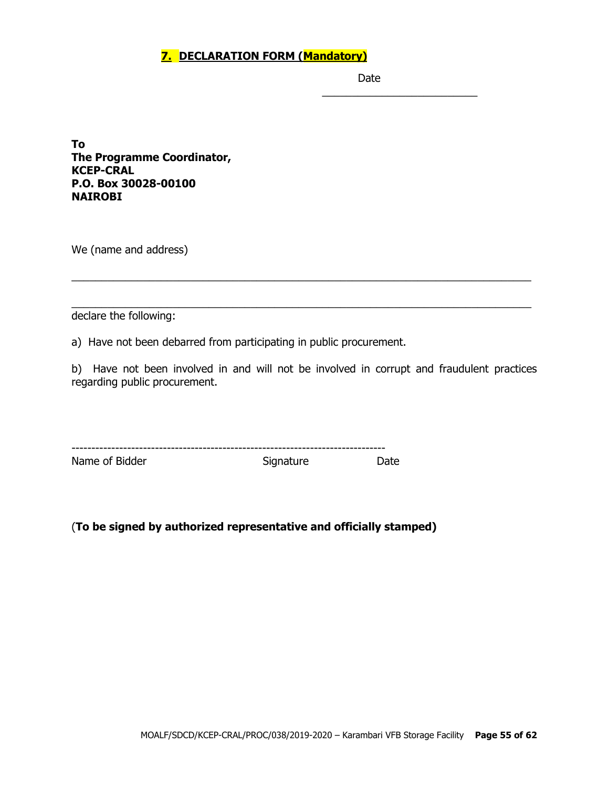## **7. DECLARATION FORM (Mandatory)**

Date

\_\_\_\_\_\_\_\_\_\_\_\_\_\_\_\_\_\_\_\_\_\_\_\_\_\_

**To The Programme Coordinator, KCEP-CRAL P.O. Box 30028-00100 NAIROBI**

We (name and address)

declare the following:

a) Have not been debarred from participating in public procurement.

b) Have not been involved in and will not be involved in corrupt and fraudulent practices regarding public procurement.

\_\_\_\_\_\_\_\_\_\_\_\_\_\_\_\_\_\_\_\_\_\_\_\_\_\_\_\_\_\_\_\_\_\_\_\_\_\_\_\_\_\_\_\_\_\_\_\_\_\_\_\_\_\_\_\_\_\_\_\_\_\_\_\_\_\_\_\_\_\_\_\_\_\_\_\_\_

\_\_\_\_\_\_\_\_\_\_\_\_\_\_\_\_\_\_\_\_\_\_\_\_\_\_\_\_\_\_\_\_\_\_\_\_\_\_\_\_\_\_\_\_\_\_\_\_\_\_\_\_\_\_\_\_\_\_\_\_\_\_\_\_\_\_\_\_\_\_\_\_\_\_\_\_\_

| ---            |           |       |
|----------------|-----------|-------|
| Name of Bidder | Signature | Date. |

(**To be signed by authorized representative and officially stamped)**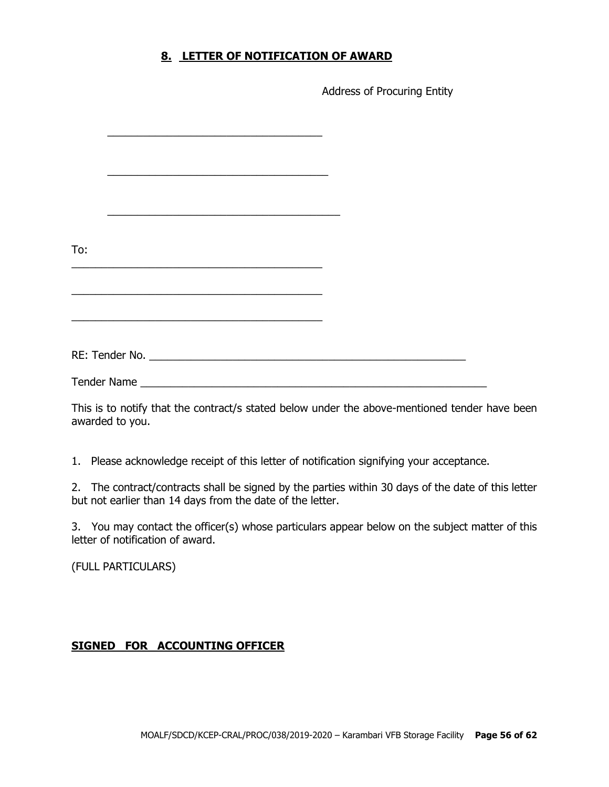### **8. LETTER OF NOTIFICATION OF AWARD**

Address of Procuring Entity

| To:                |                                                                                                                                                                                                                               |  |
|--------------------|-------------------------------------------------------------------------------------------------------------------------------------------------------------------------------------------------------------------------------|--|
|                    |                                                                                                                                                                                                                               |  |
|                    |                                                                                                                                                                                                                               |  |
|                    | the control of the control of the control of the control of the control of the control of the control of the control of the control of the control of the control of the control of the control of the control of the control |  |
|                    |                                                                                                                                                                                                                               |  |
|                    | <u> 1989 - Johann John Stone, Amerikaansk politiker (* 1989)</u>                                                                                                                                                              |  |
|                    |                                                                                                                                                                                                                               |  |
|                    |                                                                                                                                                                                                                               |  |
| <b>Tender Name</b> |                                                                                                                                                                                                                               |  |

This is to notify that the contract/s stated below under the above-mentioned tender have been awarded to you.

1. Please acknowledge receipt of this letter of notification signifying your acceptance.

2. The contract/contracts shall be signed by the parties within 30 days of the date of this letter but not earlier than 14 days from the date of the letter.

3. You may contact the officer(s) whose particulars appear below on the subject matter of this letter of notification of award.

(FULL PARTICULARS)

#### **SIGNED FOR ACCOUNTING OFFICER**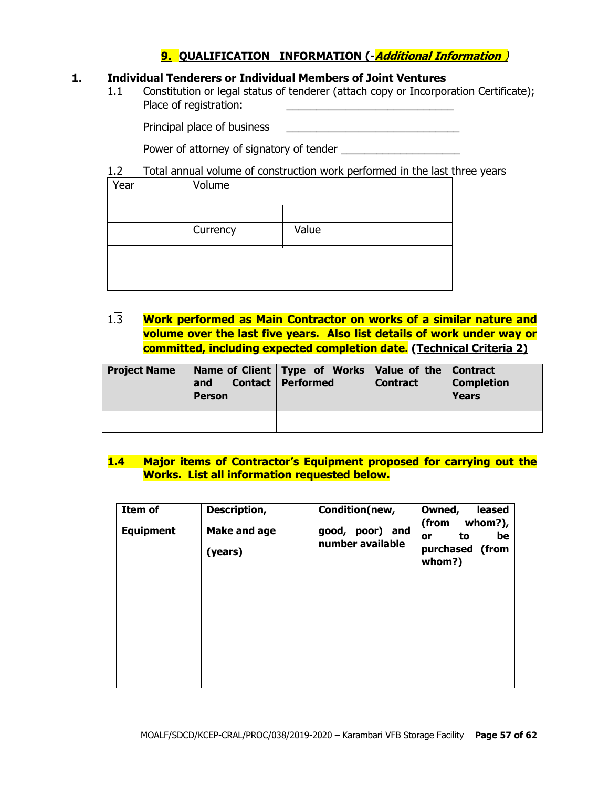# **9. QUALIFICATION INFORMATION (-Additional Information** )

#### **1. Individual Tenderers or Individual Members of Joint Ventures**

1.1 Constitution or legal status of tenderer (attach copy or Incorporation Certificate); Place of registration:

Principal place of business \_\_\_\_\_\_\_\_\_\_\_\_\_\_\_\_\_\_\_\_\_\_\_\_\_\_\_\_\_

Power of attorney of signatory of tender

#### 1.2 Total annual volume of construction work performed in the last three years

| Year | Volume   |       |
|------|----------|-------|
|      |          |       |
|      | Currency | Value |
|      |          |       |
|      |          |       |

1.3 **Work performed as Main Contractor on works of a similar nature and volume over the last five years. Also list details of work under way or committed, including expected completion date. (Technical Criteria 2)**

| <b>Project Name</b> | and<br><b>Person</b> | Name of Client   Type of Works   Value of the   Contract<br><b>Contact   Performed</b> | <b>Contract</b> | <b>Completion</b><br><b>Years</b> |
|---------------------|----------------------|----------------------------------------------------------------------------------------|-----------------|-----------------------------------|
|                     |                      |                                                                                        |                 |                                   |

#### **1.4 Major items of Contractor's Equipment proposed for carrying out the Works. List all information requested below.**

| Item of<br><b>Equipment</b> | Description,<br><b>Make and age</b><br>(years) | Condition(new,<br>poor) and<br>good,<br>number available | Owned,<br>leased<br>(from<br>whom?),<br>be<br>to<br>or<br>purchased (from<br>whom?) |
|-----------------------------|------------------------------------------------|----------------------------------------------------------|-------------------------------------------------------------------------------------|
|                             |                                                |                                                          |                                                                                     |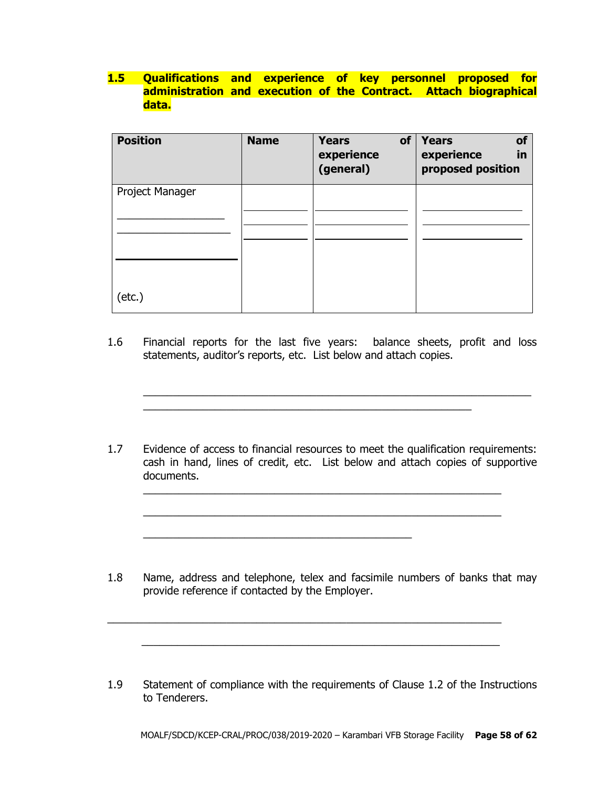## **1.5 Qualifications and experience of key personnel proposed for administration and execution of the Contract. Attach biographical data.**

| <b>Position</b> | <b>Name</b> | of<br><b>Years</b><br>experience<br>(general) | <b>Years</b><br>of<br>experience<br>in<br>proposed position |
|-----------------|-------------|-----------------------------------------------|-------------------------------------------------------------|
| Project Manager |             |                                               |                                                             |
|                 |             |                                               |                                                             |
|                 |             |                                               |                                                             |
| $(\text{etc.})$ |             |                                               |                                                             |

1.6 Financial reports for the last five years: balance sheets, profit and loss statements, auditor's reports, etc. List below and attach copies.

\_\_\_\_\_\_\_\_\_\_\_\_\_\_\_\_\_\_\_\_\_\_\_\_\_\_\_\_\_\_\_\_\_\_\_\_\_\_\_\_\_\_\_\_\_\_\_\_\_\_\_\_\_\_\_

 $\_$  , and the set of the set of the set of the set of the set of the set of the set of the set of the set of the set of the set of the set of the set of the set of the set of the set of the set of the set of the set of th

1.7 Evidence of access to financial resources to meet the qualification requirements: cash in hand, lines of credit, etc. List below and attach copies of supportive documents.

\_\_\_\_\_\_\_\_\_\_\_\_\_\_\_\_\_\_\_\_\_\_\_\_\_\_\_\_\_\_\_\_\_\_\_\_\_\_\_\_\_\_\_\_\_\_\_\_\_\_\_\_\_\_\_\_\_\_\_\_

 $\_$  , and the set of the set of the set of the set of the set of the set of the set of the set of the set of the set of the set of the set of the set of the set of the set of the set of the set of the set of the set of th

\_\_\_\_\_\_\_\_\_\_\_\_\_\_\_\_\_\_\_\_\_\_\_\_\_\_\_\_\_\_\_\_\_\_\_\_\_\_\_\_\_\_\_\_\_

1.8 Name, address and telephone, telex and facsimile numbers of banks that may provide reference if contacted by the Employer.

 $\_$  , and the set of the set of the set of the set of the set of the set of the set of the set of the set of the set of the set of the set of the set of the set of the set of the set of the set of the set of the set of th

 $\frac{1}{2}$  ,  $\frac{1}{2}$  ,  $\frac{1}{2}$  ,  $\frac{1}{2}$  ,  $\frac{1}{2}$  ,  $\frac{1}{2}$  ,  $\frac{1}{2}$  ,  $\frac{1}{2}$  ,  $\frac{1}{2}$  ,  $\frac{1}{2}$  ,  $\frac{1}{2}$  ,  $\frac{1}{2}$  ,  $\frac{1}{2}$  ,  $\frac{1}{2}$  ,  $\frac{1}{2}$  ,  $\frac{1}{2}$  ,  $\frac{1}{2}$  ,  $\frac{1}{2}$  ,  $\frac{1$ 

1.9 Statement of compliance with the requirements of Clause 1.2 of the Instructions to Tenderers.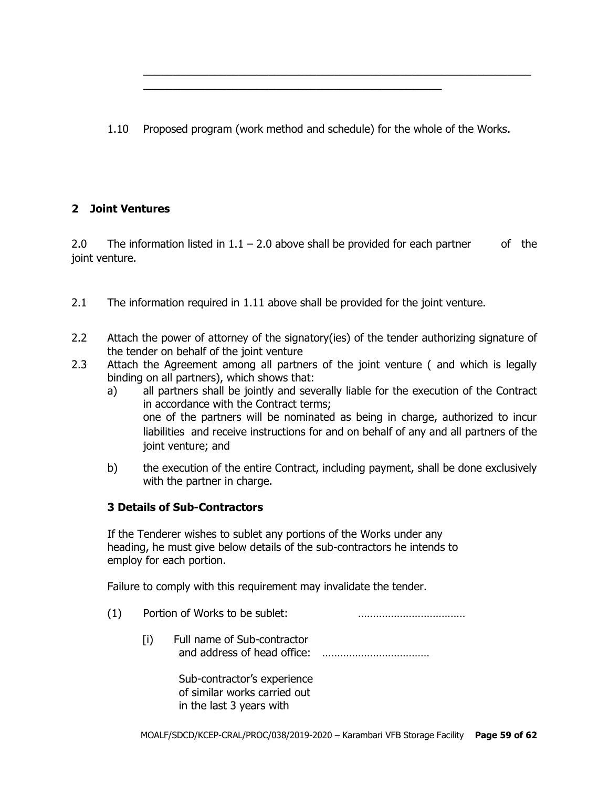1.10 Proposed program (work method and schedule) for the whole of the Works.

\_\_\_\_\_\_\_\_\_\_\_\_\_\_\_\_\_\_\_\_\_\_\_\_\_\_\_\_\_\_\_\_\_\_\_\_\_\_\_\_\_\_\_\_\_\_\_\_\_\_

 $\_$  , and the set of the set of the set of the set of the set of the set of the set of the set of the set of the set of the set of the set of the set of the set of the set of the set of the set of the set of the set of th

# **2 Joint Ventures**

2.0 The information listed in  $1.1 - 2.0$  above shall be provided for each partner of the joint venture.

- 2.1 The information required in 1.11 above shall be provided for the joint venture.
- 2.2 Attach the power of attorney of the signatory(ies) of the tender authorizing signature of the tender on behalf of the joint venture
- 2.3 Attach the Agreement among all partners of the joint venture ( and which is legally binding on all partners), which shows that:
	- a) all partners shall be jointly and severally liable for the execution of the Contract in accordance with the Contract terms; one of the partners will be nominated as being in charge, authorized to incur liabilities and receive instructions for and on behalf of any and all partners of the joint venture; and
	- b) the execution of the entire Contract, including payment, shall be done exclusively with the partner in charge.

## **3 Details of Sub-Contractors**

If the Tenderer wishes to sublet any portions of the Works under any heading, he must give below details of the sub-contractors he intends to employ for each portion.

Failure to comply with this requirement may invalidate the tender.

- (1) Portion of Works to be sublet: ………………………………
	- [i) Full name of Sub-contractor and address of head office: ………………………………

Sub-contractor's experience of similar works carried out in the last 3 years with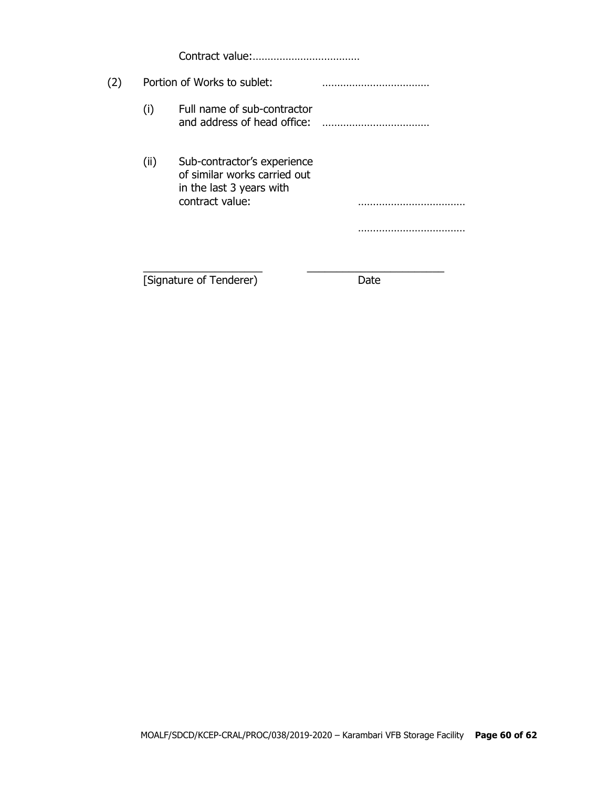Contract value:………………………………

| (2) |      | Portion of Works to sublet:                                                                                |      |  |
|-----|------|------------------------------------------------------------------------------------------------------------|------|--|
|     | (i)  | Full name of sub-contractor<br>and address of head office:                                                 |      |  |
|     | (ii) | Sub-contractor's experience<br>of similar works carried out<br>in the last 3 years with<br>contract value: |      |  |
|     |      | [Signature of Tenderer)                                                                                    | Jate |  |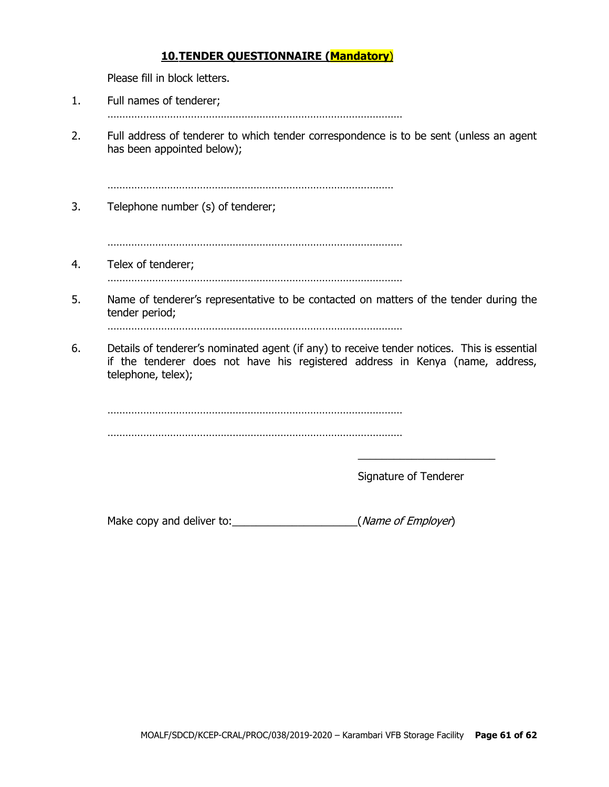## **10.TENDER QUESTIONNAIRE (Mandatory**)

Please fill in block letters.

- 1. Full names of tenderer;
	- ………………………………………………………………………………………
- 2. Full address of tenderer to which tender correspondence is to be sent (unless an agent has been appointed below);

……………………………………………………………………………………

3. Telephone number (s) of tenderer;

………………………………………………………………………………………

4. Telex of tenderer;

………………………………………………………………………………………

5. Name of tenderer's representative to be contacted on matters of the tender during the tender period;

………………………………………………………………………………………

6. Details of tenderer's nominated agent (if any) to receive tender notices. This is essential if the tenderer does not have his registered address in Kenya (name, address, telephone, telex);

. The same state of the state of the state of the state of the state of the state of the state of the state of the state of the state of the state of the state of the state of the state of the state of the state of the st ………………………………………………………………………………………

Signature of Tenderer

\_\_\_\_\_\_\_\_\_\_\_\_\_\_\_\_\_\_\_\_\_\_\_

Make copy and deliver to:  $(Mame of Employee)$